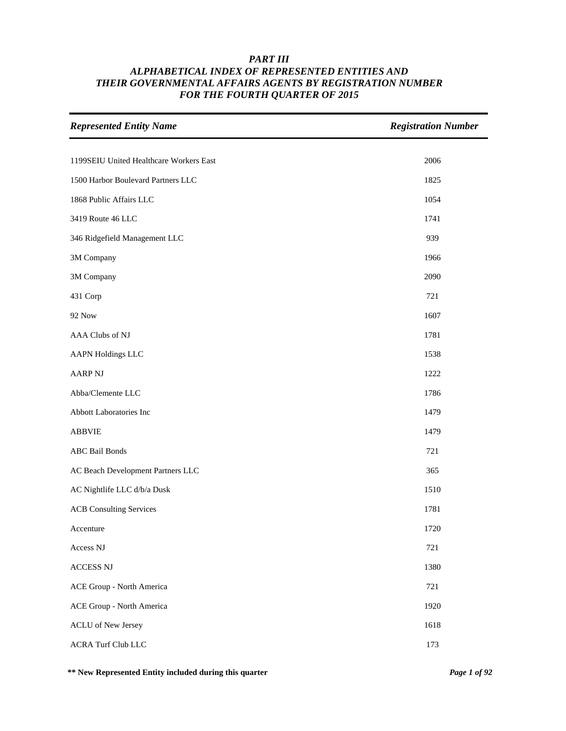| <b>Represented Entity Name</b>          | <b>Registration Number</b> |
|-----------------------------------------|----------------------------|
|                                         |                            |
| 1199SEIU United Healthcare Workers East | 2006                       |
| 1500 Harbor Boulevard Partners LLC      | 1825                       |
| 1868 Public Affairs LLC                 | 1054                       |
| 3419 Route 46 LLC                       | 1741                       |
| 346 Ridgefield Management LLC           | 939                        |
| 3M Company                              | 1966                       |
| 3M Company                              | 2090                       |
| 431 Corp                                | 721                        |
| <b>92 Now</b>                           | 1607                       |
| AAA Clubs of NJ                         | 1781                       |
| <b>AAPN Holdings LLC</b>                | 1538                       |
| <b>AARP NJ</b>                          | 1222                       |
| Abba/Clemente LLC                       | 1786                       |
| Abbott Laboratories Inc                 | 1479                       |
| <b>ABBVIE</b>                           | 1479                       |
| <b>ABC</b> Bail Bonds                   | 721                        |
| AC Beach Development Partners LLC       | 365                        |
| AC Nightlife LLC d/b/a Dusk             | 1510                       |
| <b>ACB</b> Consulting Services          | 1781                       |
| Accenture                               | 1720                       |
| Access NJ                               | 721                        |
| <b>ACCESS NJ</b>                        | 1380                       |
| ACE Group - North America               | 721                        |
| ACE Group - North America               | 1920                       |
| <b>ACLU</b> of New Jersey               | 1618                       |
| <b>ACRA Turf Club LLC</b>               | 173                        |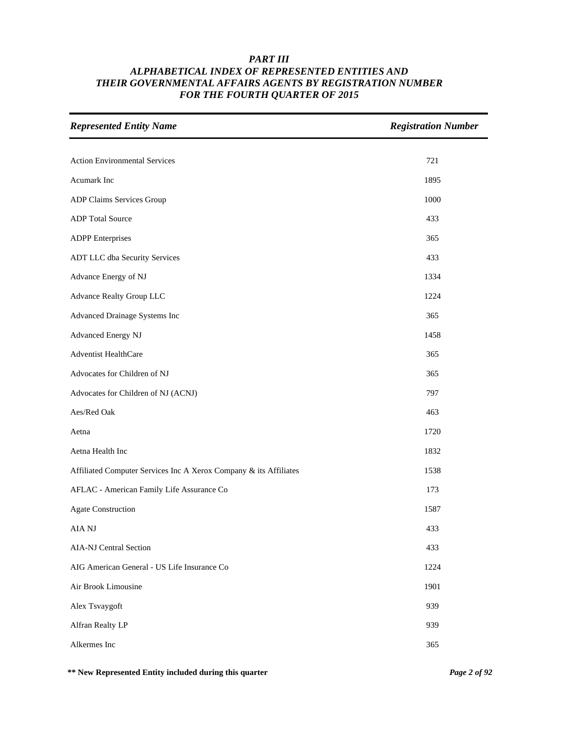| <b>Represented Entity Name</b>                                    | <b>Registration Number</b> |
|-------------------------------------------------------------------|----------------------------|
|                                                                   |                            |
| <b>Action Environmental Services</b>                              | 721                        |
| <b>Acumark</b> Inc                                                | 1895                       |
| ADP Claims Services Group                                         | 1000                       |
| <b>ADP</b> Total Source                                           | 433                        |
| <b>ADPP</b> Enterprises                                           | 365                        |
| ADT LLC dba Security Services                                     | 433                        |
| Advance Energy of NJ                                              | 1334                       |
| <b>Advance Realty Group LLC</b>                                   | 1224                       |
| Advanced Drainage Systems Inc                                     | 365                        |
| Advanced Energy NJ                                                | 1458                       |
| Adventist HealthCare                                              | 365                        |
| Advocates for Children of NJ                                      | 365                        |
| Advocates for Children of NJ (ACNJ)                               | 797                        |
| Aes/Red Oak                                                       | 463                        |
| Aetna                                                             | 1720                       |
| Aetna Health Inc                                                  | 1832                       |
| Affiliated Computer Services Inc A Xerox Company & its Affiliates | 1538                       |
| AFLAC - American Family Life Assurance Co                         | 173                        |
| <b>Agate Construction</b>                                         | 1587                       |
| AIA NJ                                                            | 433                        |
| <b>AIA-NJ Central Section</b>                                     | 433                        |
| AIG American General - US Life Insurance Co                       | 1224                       |
| Air Brook Limousine                                               | 1901                       |
| Alex Tsvaygoft                                                    | 939                        |
| Alfran Realty LP                                                  | 939                        |
| Alkermes Inc                                                      | 365                        |

**\*\* New Represented Entity included during this quarter** *Page 2 of 92*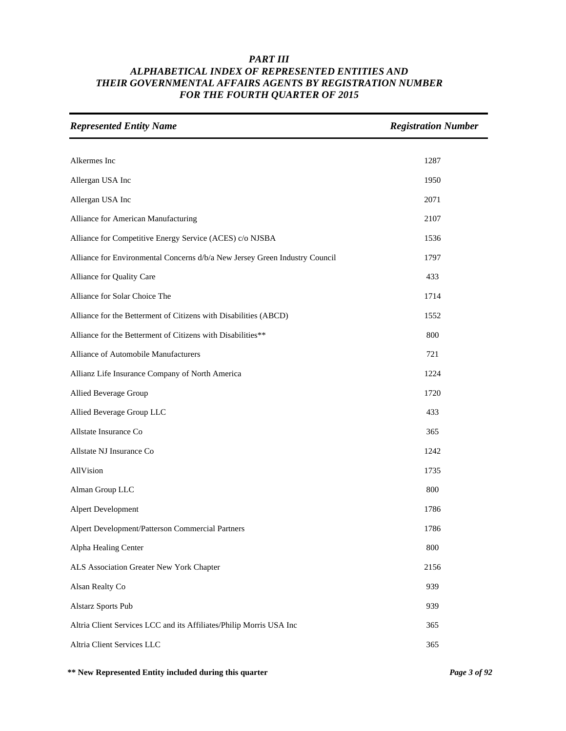| <b>Represented Entity Name</b>                                              | <b>Registration Number</b> |
|-----------------------------------------------------------------------------|----------------------------|
| Alkermes Inc                                                                | 1287                       |
| Allergan USA Inc                                                            | 1950                       |
|                                                                             |                            |
| Allergan USA Inc                                                            | 2071                       |
| Alliance for American Manufacturing                                         | 2107                       |
| Alliance for Competitive Energy Service (ACES) c/o NJSBA                    | 1536                       |
| Alliance for Environmental Concerns d/b/a New Jersey Green Industry Council | 1797                       |
| Alliance for Quality Care                                                   | 433                        |
| Alliance for Solar Choice The                                               | 1714                       |
| Alliance for the Betterment of Citizens with Disabilities (ABCD)            | 1552                       |
| Alliance for the Betterment of Citizens with Disabilities**                 | 800                        |
| Alliance of Automobile Manufacturers                                        | 721                        |
| Allianz Life Insurance Company of North America                             | 1224                       |
| Allied Beverage Group                                                       | 1720                       |
| Allied Beverage Group LLC                                                   | 433                        |
| Allstate Insurance Co                                                       | 365                        |
| Allstate NJ Insurance Co                                                    | 1242                       |
| AllVision                                                                   | 1735                       |
| Alman Group LLC                                                             | 800                        |
| Alpert Development                                                          | 1786                       |
| Alpert Development/Patterson Commercial Partners                            | 1786                       |
| Alpha Healing Center                                                        | 800                        |
| ALS Association Greater New York Chapter                                    | 2156                       |
| Alsan Realty Co                                                             | 939                        |
| <b>Alstarz Sports Pub</b>                                                   | 939                        |
| Altria Client Services LCC and its Affiliates/Philip Morris USA Inc         | 365                        |
| Altria Client Services LLC                                                  | 365                        |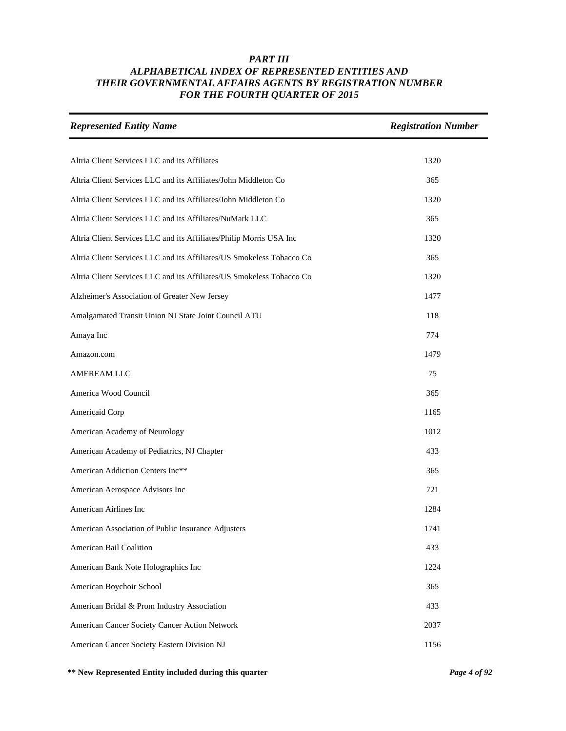| <b>Represented Entity Name</b>                                        | <b>Registration Number</b> |
|-----------------------------------------------------------------------|----------------------------|
|                                                                       |                            |
| Altria Client Services LLC and its Affiliates                         | 1320                       |
| Altria Client Services LLC and its Affiliates/John Middleton Co       | 365                        |
| Altria Client Services LLC and its Affiliates/John Middleton Co       | 1320                       |
| Altria Client Services LLC and its Affiliates/NuMark LLC              | 365                        |
| Altria Client Services LLC and its Affiliates/Philip Morris USA Inc   | 1320                       |
| Altria Client Services LLC and its Affiliates/US Smokeless Tobacco Co | 365                        |
| Altria Client Services LLC and its Affiliates/US Smokeless Tobacco Co | 1320                       |
| Alzheimer's Association of Greater New Jersey                         | 1477                       |
| Amalgamated Transit Union NJ State Joint Council ATU                  | 118                        |
| Amaya Inc                                                             | 774                        |
| Amazon.com                                                            | 1479                       |
| AMEREAM LLC                                                           | 75                         |
| America Wood Council                                                  | 365                        |
| Americaid Corp                                                        | 1165                       |
| American Academy of Neurology                                         | 1012                       |
| American Academy of Pediatrics, NJ Chapter                            | 433                        |
| American Addiction Centers Inc**                                      | 365                        |
| American Aerospace Advisors Inc                                       | 721                        |
| American Airlines Inc                                                 | 1284                       |
| American Association of Public Insurance Adjusters                    | 1741                       |
| American Bail Coalition                                               | 433                        |
| American Bank Note Holographics Inc                                   | 1224                       |
| American Boychoir School                                              | 365                        |
| American Bridal & Prom Industry Association                           | 433                        |
| American Cancer Society Cancer Action Network                         | 2037                       |
| American Cancer Society Eastern Division NJ                           | 1156                       |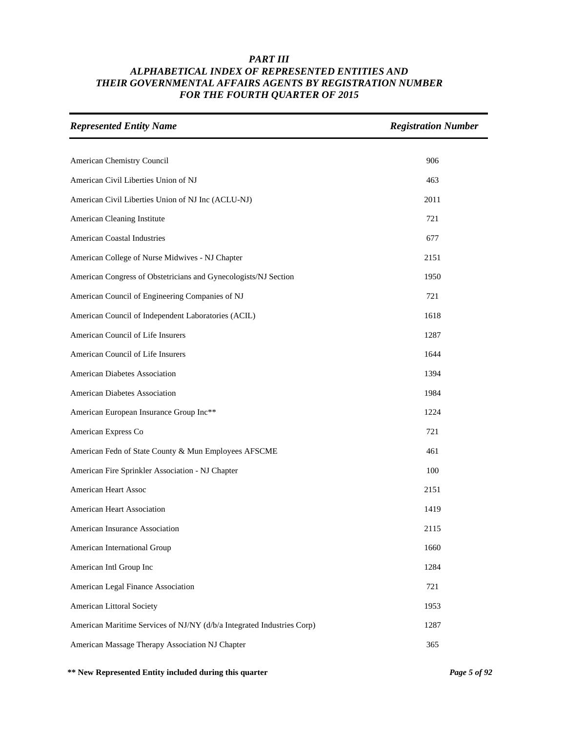| <b>Represented Entity Name</b>                                         | <b>Registration Number</b> |
|------------------------------------------------------------------------|----------------------------|
|                                                                        |                            |
| American Chemistry Council                                             | 906                        |
| American Civil Liberties Union of NJ                                   | 463                        |
| American Civil Liberties Union of NJ Inc (ACLU-NJ)                     | 2011                       |
| American Cleaning Institute                                            | 721                        |
| <b>American Coastal Industries</b>                                     | 677                        |
| American College of Nurse Midwives - NJ Chapter                        | 2151                       |
| American Congress of Obstetricians and Gynecologists/NJ Section        | 1950                       |
| American Council of Engineering Companies of NJ                        | 721                        |
| American Council of Independent Laboratories (ACIL)                    | 1618                       |
| American Council of Life Insurers                                      | 1287                       |
| American Council of Life Insurers                                      | 1644                       |
| American Diabetes Association                                          | 1394                       |
| American Diabetes Association                                          | 1984                       |
| American European Insurance Group Inc**                                | 1224                       |
| American Express Co                                                    | 721                        |
| American Fedn of State County & Mun Employees AFSCME                   | 461                        |
| American Fire Sprinkler Association - NJ Chapter                       | 100                        |
| <b>American Heart Assoc</b>                                            | 2151                       |
| American Heart Association                                             | 1419                       |
| American Insurance Association                                         | 2115                       |
| American International Group                                           | 1660                       |
| American Intl Group Inc                                                | 1284                       |
| American Legal Finance Association                                     | 721                        |
| American Littoral Society                                              | 1953                       |
| American Maritime Services of NJ/NY (d/b/a Integrated Industries Corp) | 1287                       |
| American Massage Therapy Association NJ Chapter                        | 365                        |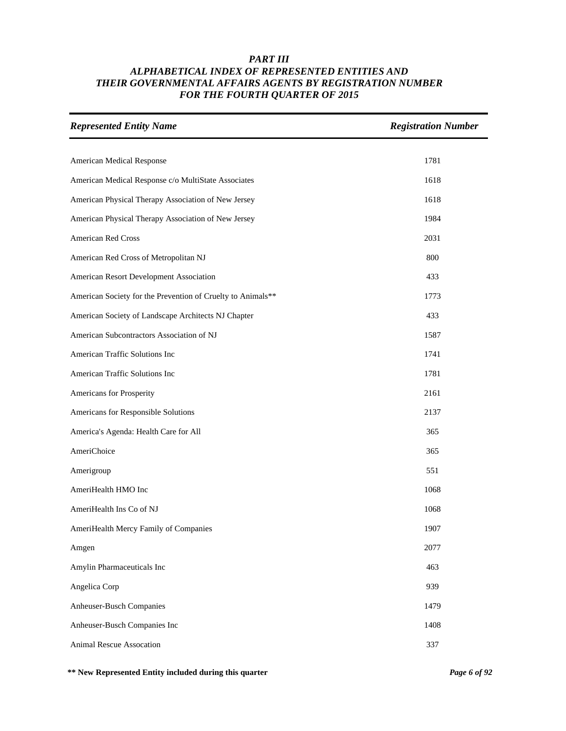| <b>Represented Entity Name</b>                              | <b>Registration Number</b> |
|-------------------------------------------------------------|----------------------------|
|                                                             |                            |
| American Medical Response                                   | 1781                       |
| American Medical Response c/o MultiState Associates         | 1618                       |
| American Physical Therapy Association of New Jersey         | 1618                       |
| American Physical Therapy Association of New Jersey         | 1984                       |
| American Red Cross                                          | 2031                       |
| American Red Cross of Metropolitan NJ                       | 800                        |
| American Resort Development Association                     | 433                        |
| American Society for the Prevention of Cruelty to Animals** | 1773                       |
| American Society of Landscape Architects NJ Chapter         | 433                        |
| American Subcontractors Association of NJ                   | 1587                       |
| American Traffic Solutions Inc                              | 1741                       |
| American Traffic Solutions Inc                              | 1781                       |
| Americans for Prosperity                                    | 2161                       |
| Americans for Responsible Solutions                         | 2137                       |
| America's Agenda: Health Care for All                       | 365                        |
| AmeriChoice                                                 | 365                        |
| Amerigroup                                                  | 551                        |
| AmeriHealth HMO Inc                                         | 1068                       |
| AmeriHealth Ins Co of NJ                                    | 1068                       |
| AmeriHealth Mercy Family of Companies                       | 1907                       |
| Amgen                                                       | 2077                       |
| Amylin Pharmaceuticals Inc                                  | 463                        |
| Angelica Corp                                               | 939                        |
| Anheuser-Busch Companies                                    | 1479                       |
| Anheuser-Busch Companies Inc                                | 1408                       |
| <b>Animal Rescue Assocation</b>                             | 337                        |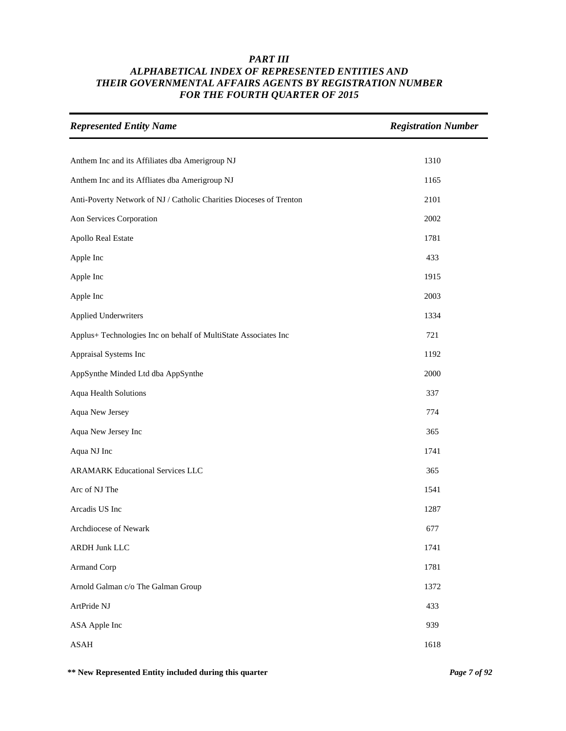| <b>Represented Entity Name</b>                                      | <b>Registration Number</b> |
|---------------------------------------------------------------------|----------------------------|
| Anthem Inc and its Affiliates dba Amerigroup NJ                     | 1310                       |
| Anthem Inc and its Affliates dba Amerigroup NJ                      | 1165                       |
| Anti-Poverty Network of NJ / Catholic Charities Dioceses of Trenton | 2101                       |
| Aon Services Corporation                                            | 2002                       |
| Apollo Real Estate                                                  | 1781                       |
| Apple Inc                                                           | 433                        |
| Apple Inc                                                           | 1915                       |
| Apple Inc                                                           | 2003                       |
| <b>Applied Underwriters</b>                                         | 1334                       |
| Applus+ Technologies Inc on behalf of MultiState Associates Inc     | 721                        |
| Appraisal Systems Inc                                               | 1192                       |
| AppSynthe Minded Ltd dba AppSynthe                                  | 2000                       |
| Aqua Health Solutions                                               | 337                        |
| Aqua New Jersey                                                     | 774                        |
| Aqua New Jersey Inc                                                 | 365                        |
| Aqua NJ Inc                                                         | 1741                       |
| <b>ARAMARK Educational Services LLC</b>                             | 365                        |
| Arc of NJ The                                                       | 1541                       |
| Arcadis US Inc                                                      | 1287                       |
| Archdiocese of Newark                                               | 677                        |
| <b>ARDH Junk LLC</b>                                                | 1741                       |
| Armand Corp                                                         | 1781                       |
| Arnold Galman c/o The Galman Group                                  | 1372                       |
| ArtPride NJ                                                         | 433                        |
| ASA Apple Inc                                                       | 939                        |
| <b>ASAH</b>                                                         | 1618                       |

**\*\* New Represented Entity included during this quarter** *Page 7 of 92*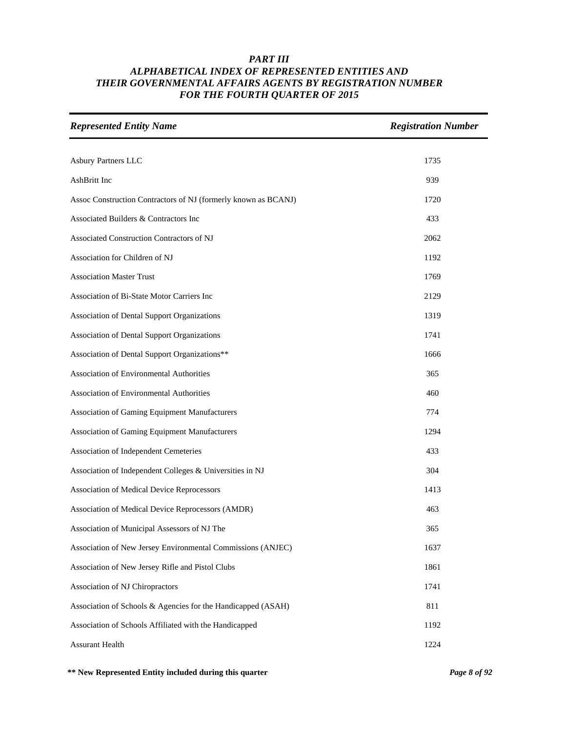| <b>Represented Entity Name</b>                                 | <b>Registration Number</b> |
|----------------------------------------------------------------|----------------------------|
|                                                                |                            |
| Asbury Partners LLC                                            | 1735                       |
| AshBritt Inc                                                   | 939                        |
| Assoc Construction Contractors of NJ (formerly known as BCANJ) | 1720                       |
| Associated Builders & Contractors Inc                          | 433                        |
| Associated Construction Contractors of NJ                      | 2062                       |
| Association for Children of NJ                                 | 1192                       |
| <b>Association Master Trust</b>                                | 1769                       |
| Association of Bi-State Motor Carriers Inc                     | 2129                       |
| Association of Dental Support Organizations                    | 1319                       |
| Association of Dental Support Organizations                    | 1741                       |
| Association of Dental Support Organizations**                  | 1666                       |
| Association of Environmental Authorities                       | 365                        |
| Association of Environmental Authorities                       | 460                        |
| Association of Gaming Equipment Manufacturers                  | 774                        |
| Association of Gaming Equipment Manufacturers                  | 1294                       |
| Association of Independent Cemeteries                          | 433                        |
| Association of Independent Colleges & Universities in NJ       | 304                        |
| Association of Medical Device Reprocessors                     | 1413                       |
| Association of Medical Device Reprocessors (AMDR)              | 463                        |
| Association of Municipal Assessors of NJ The                   | 365                        |
| Association of New Jersey Environmental Commissions (ANJEC)    | 1637                       |
| Association of New Jersey Rifle and Pistol Clubs               | 1861                       |
| Association of NJ Chiropractors                                | 1741                       |
| Association of Schools & Agencies for the Handicapped (ASAH)   | 811                        |
| Association of Schools Affiliated with the Handicapped         | 1192                       |
| <b>Assurant Health</b>                                         | 1224                       |

**\*\* New Represented Entity included during this quarter** *Page 8 of 92*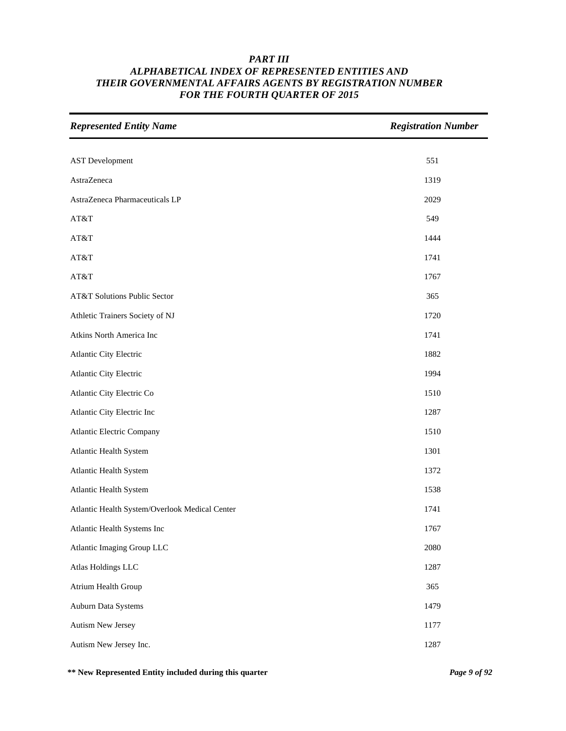| <b>Represented Entity Name</b>                 | <b>Registration Number</b> |
|------------------------------------------------|----------------------------|
|                                                |                            |
| <b>AST</b> Development                         | 551                        |
| AstraZeneca                                    | 1319                       |
| AstraZeneca Pharmaceuticals LP                 | 2029                       |
| AT&T                                           | 549                        |
| AT&T                                           | 1444                       |
| AT&T                                           | 1741                       |
| AT&T                                           | 1767                       |
| AT&T Solutions Public Sector                   | 365                        |
| Athletic Trainers Society of NJ                | 1720                       |
| Atkins North America Inc                       | 1741                       |
| Atlantic City Electric                         | 1882                       |
| Atlantic City Electric                         | 1994                       |
| Atlantic City Electric Co                      | 1510                       |
| Atlantic City Electric Inc                     | 1287                       |
| <b>Atlantic Electric Company</b>               | 1510                       |
| Atlantic Health System                         | 1301                       |
| Atlantic Health System                         | 1372                       |
| <b>Atlantic Health System</b>                  | 1538                       |
| Atlantic Health System/Overlook Medical Center | 1741                       |
| Atlantic Health Systems Inc                    | 1767                       |
| Atlantic Imaging Group LLC                     | 2080                       |
| Atlas Holdings LLC                             | 1287                       |
| Atrium Health Group                            | 365                        |
| Auburn Data Systems                            | 1479                       |
| Autism New Jersey                              | 1177                       |
| Autism New Jersey Inc.                         | 1287                       |

**\*\* New Represented Entity included during this quarter** *Page 9 of 92*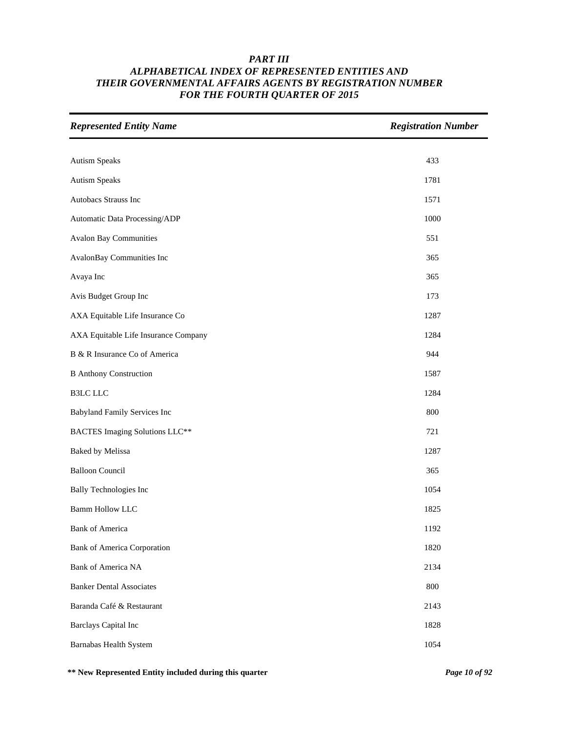| <b>Represented Entity Name</b>        | <b>Registration Number</b> |
|---------------------------------------|----------------------------|
|                                       |                            |
| <b>Autism Speaks</b>                  | 433                        |
| <b>Autism Speaks</b>                  | 1781                       |
| Autobacs Strauss Inc                  | 1571                       |
| Automatic Data Processing/ADP         | 1000                       |
| <b>Avalon Bay Communities</b>         | 551                        |
| AvalonBay Communities Inc             | 365                        |
| Avaya Inc                             | 365                        |
| Avis Budget Group Inc                 | 173                        |
| AXA Equitable Life Insurance Co       | 1287                       |
| AXA Equitable Life Insurance Company  | 1284                       |
| B & R Insurance Co of America         | 944                        |
| <b>B</b> Anthony Construction         | 1587                       |
| <b>B3LC LLC</b>                       | 1284                       |
| <b>Babyland Family Services Inc</b>   | 800                        |
| <b>BACTES Imaging Solutions LLC**</b> | 721                        |
| <b>Baked by Melissa</b>               | 1287                       |
| <b>Balloon Council</b>                | 365                        |
| <b>Bally Technologies Inc</b>         | 1054                       |
| <b>Bamm Hollow LLC</b>                | 1825                       |
| <b>Bank of America</b>                | 1192                       |
| <b>Bank of America Corporation</b>    | 1820                       |
| Bank of America NA                    | 2134                       |
| <b>Banker Dental Associates</b>       | 800                        |
| Baranda Café & Restaurant             | 2143                       |
| <b>Barclays Capital Inc</b>           | 1828                       |
| Barnabas Health System                | 1054                       |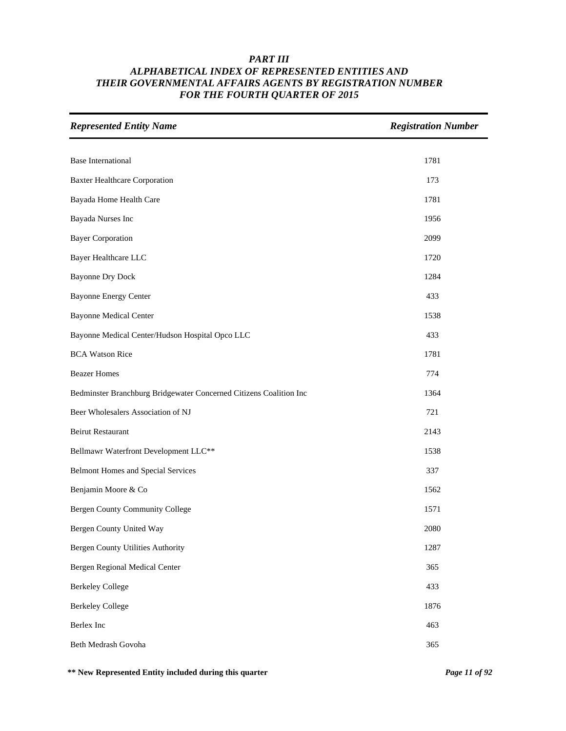| <b>Represented Entity Name</b>                                     | <b>Registration Number</b> |
|--------------------------------------------------------------------|----------------------------|
|                                                                    |                            |
| <b>Base International</b>                                          | 1781                       |
| <b>Baxter Healthcare Corporation</b>                               | 173                        |
| Bayada Home Health Care                                            | 1781                       |
| Bayada Nurses Inc                                                  | 1956                       |
| <b>Bayer Corporation</b>                                           | 2099                       |
| Bayer Healthcare LLC                                               | 1720                       |
| <b>Bayonne Dry Dock</b>                                            | 1284                       |
| <b>Bayonne Energy Center</b>                                       | 433                        |
| <b>Bayonne Medical Center</b>                                      | 1538                       |
| Bayonne Medical Center/Hudson Hospital Opco LLC                    | 433                        |
| <b>BCA Watson Rice</b>                                             | 1781                       |
| <b>Beazer Homes</b>                                                | 774                        |
| Bedminster Branchburg Bridgewater Concerned Citizens Coalition Inc | 1364                       |
| Beer Wholesalers Association of NJ                                 | 721                        |
| <b>Beirut Restaurant</b>                                           | 2143                       |
| Bellmawr Waterfront Development LLC**                              | 1538                       |
| <b>Belmont Homes and Special Services</b>                          | 337                        |
| Benjamin Moore & Co                                                | 1562                       |
| <b>Bergen County Community College</b>                             | 1571                       |
| Bergen County United Way                                           | 2080                       |
| <b>Bergen County Utilities Authority</b>                           | 1287                       |
| Bergen Regional Medical Center                                     | 365                        |
| <b>Berkeley College</b>                                            | 433                        |
| <b>Berkeley College</b>                                            | 1876                       |
| Berlex Inc                                                         | 463                        |
| Beth Medrash Govoha                                                | 365                        |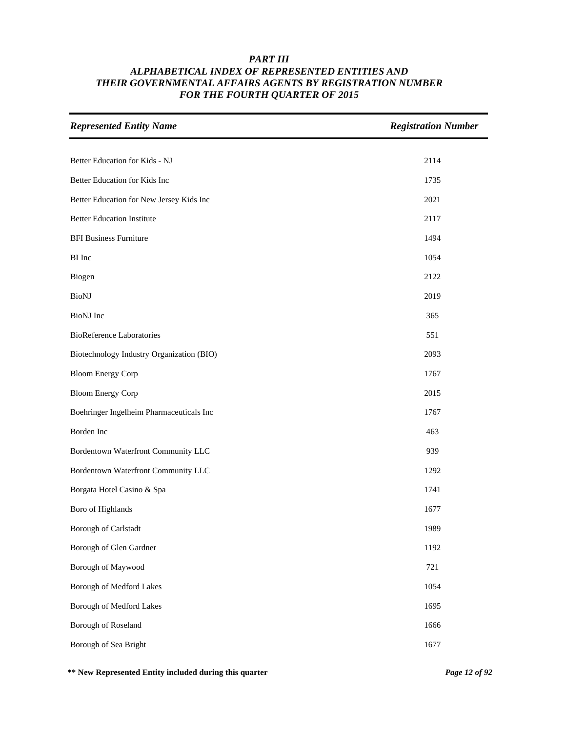| <b>Represented Entity Name</b>            | <b>Registration Number</b> |
|-------------------------------------------|----------------------------|
| Better Education for Kids - NJ            | 2114                       |
|                                           |                            |
| Better Education for Kids Inc             | 1735                       |
| Better Education for New Jersey Kids Inc  | 2021                       |
| <b>Better Education Institute</b>         | 2117                       |
| <b>BFI Business Furniture</b>             | 1494                       |
| BI Inc                                    | 1054                       |
| Biogen                                    | 2122                       |
| <b>BioNJ</b>                              | 2019                       |
| <b>BioNJ</b> Inc                          | 365                        |
| <b>BioReference Laboratories</b>          | 551                        |
| Biotechnology Industry Organization (BIO) | 2093                       |
| <b>Bloom Energy Corp</b>                  | 1767                       |
| <b>Bloom Energy Corp</b>                  | 2015                       |
| Boehringer Ingelheim Pharmaceuticals Inc  | 1767                       |
| Borden Inc                                | 463                        |
| Bordentown Waterfront Community LLC       | 939                        |
| Bordentown Waterfront Community LLC       | 1292                       |
| Borgata Hotel Casino & Spa                | 1741                       |
| Boro of Highlands                         | 1677                       |
| Borough of Carlstadt                      | 1989                       |
| Borough of Glen Gardner                   | 1192                       |
| Borough of Maywood                        | 721                        |
| Borough of Medford Lakes                  | 1054                       |
| <b>Borough of Medford Lakes</b>           | 1695                       |
| Borough of Roseland                       | 1666                       |
| Borough of Sea Bright                     | 1677                       |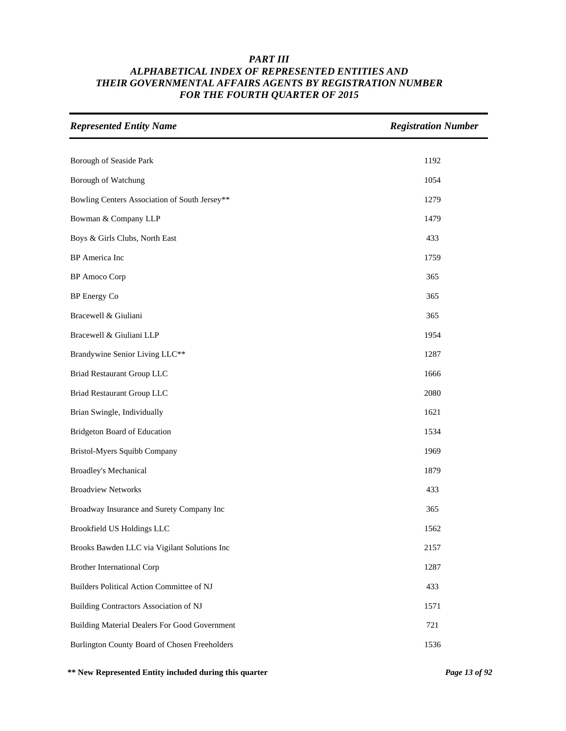| <b>Represented Entity Name</b>                | <b>Registration Number</b> |
|-----------------------------------------------|----------------------------|
|                                               |                            |
| Borough of Seaside Park                       | 1192                       |
| Borough of Watchung                           | 1054                       |
| Bowling Centers Association of South Jersey** | 1279                       |
| Bowman & Company LLP                          | 1479                       |
| Boys & Girls Clubs, North East                | 433                        |
| BP America Inc                                | 1759                       |
| <b>BP</b> Amoco Corp                          | 365                        |
| <b>BP</b> Energy Co                           | 365                        |
| Bracewell & Giuliani                          | 365                        |
| Bracewell & Giuliani LLP                      | 1954                       |
| Brandywine Senior Living LLC**                | 1287                       |
| <b>Briad Restaurant Group LLC</b>             | 1666                       |
| <b>Briad Restaurant Group LLC</b>             | 2080                       |
| Brian Swingle, Individually                   | 1621                       |
| Bridgeton Board of Education                  | 1534                       |
| Bristol-Myers Squibb Company                  | 1969                       |
| <b>Broadley's Mechanical</b>                  | 1879                       |
| <b>Broadview Networks</b>                     | 433                        |
| Broadway Insurance and Surety Company Inc     | 365                        |
| Brookfield US Holdings LLC                    | 1562                       |
| Brooks Bawden LLC via Vigilant Solutions Inc  | 2157                       |
| <b>Brother International Corp</b>             | 1287                       |
| Builders Political Action Committee of NJ     | 433                        |
| Building Contractors Association of NJ        | 1571                       |
| Building Material Dealers For Good Government | 721                        |
| Burlington County Board of Chosen Freeholders | 1536                       |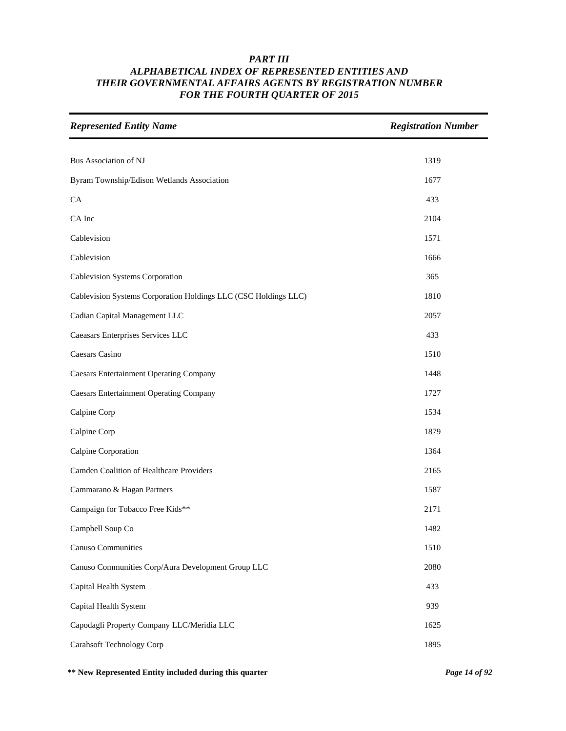| <b>Represented Entity Name</b>                                  | <b>Registration Number</b> |
|-----------------------------------------------------------------|----------------------------|
|                                                                 |                            |
| Bus Association of NJ                                           | 1319                       |
| Byram Township/Edison Wetlands Association                      | 1677                       |
| CA                                                              | 433                        |
| CA Inc                                                          | 2104                       |
| Cablevision                                                     | 1571                       |
| Cablevision                                                     | 1666                       |
| Cablevision Systems Corporation                                 | 365                        |
| Cablevision Systems Corporation Holdings LLC (CSC Holdings LLC) | 1810                       |
| Cadian Capital Management LLC                                   | 2057                       |
| Caeasars Enterprises Services LLC                               | 433                        |
| Caesars Casino                                                  | 1510                       |
| <b>Caesars Entertainment Operating Company</b>                  | 1448                       |
| <b>Caesars Entertainment Operating Company</b>                  | 1727                       |
| Calpine Corp                                                    | 1534                       |
| Calpine Corp                                                    | 1879                       |
| Calpine Corporation                                             | 1364                       |
| Camden Coalition of Healthcare Providers                        | 2165                       |
| Cammarano & Hagan Partners                                      | 1587                       |
| Campaign for Tobacco Free Kids**                                | 2171                       |
| Campbell Soup Co                                                | 1482                       |
| Canuso Communities                                              | 1510                       |
| Canuso Communities Corp/Aura Development Group LLC              | 2080                       |
| Capital Health System                                           | 433                        |
| Capital Health System                                           | 939                        |
| Capodagli Property Company LLC/Meridia LLC                      | 1625                       |
| <b>Carahsoft Technology Corp</b>                                | 1895                       |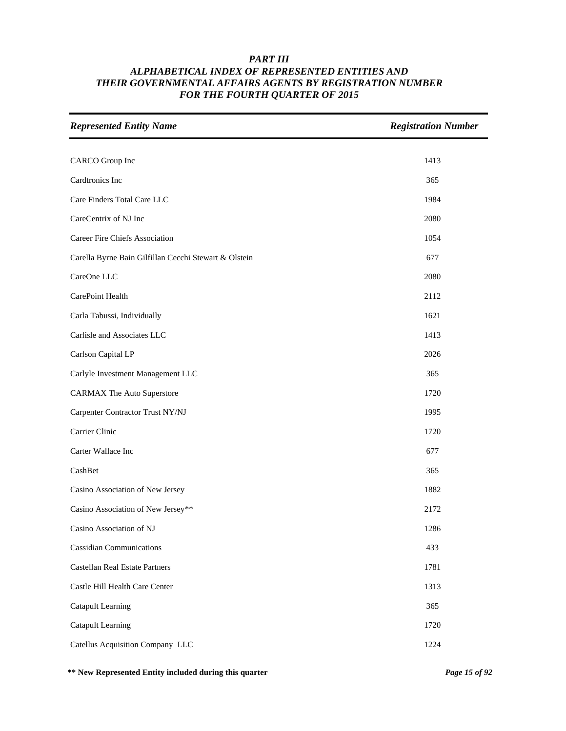| <b>Represented Entity Name</b>                        | <b>Registration Number</b> |
|-------------------------------------------------------|----------------------------|
|                                                       |                            |
| CARCO Group Inc                                       | 1413                       |
| Cardtronics Inc                                       | 365                        |
| Care Finders Total Care LLC                           | 1984                       |
| CareCentrix of NJ Inc                                 | 2080                       |
| Career Fire Chiefs Association                        | 1054                       |
| Carella Byrne Bain Gilfillan Cecchi Stewart & Olstein | 677                        |
| CareOne LLC                                           | 2080                       |
| CarePoint Health                                      | 2112                       |
| Carla Tabussi, Individually                           | 1621                       |
| Carlisle and Associates LLC                           | 1413                       |
| Carlson Capital LP                                    | 2026                       |
| Carlyle Investment Management LLC                     | 365                        |
| <b>CARMAX The Auto Superstore</b>                     | 1720                       |
| Carpenter Contractor Trust NY/NJ                      | 1995                       |
| Carrier Clinic                                        | 1720                       |
| Carter Wallace Inc                                    | 677                        |
| CashBet                                               | 365                        |
| Casino Association of New Jersey                      | 1882                       |
| Casino Association of New Jersey**                    | 2172                       |
| Casino Association of NJ                              | 1286                       |
| <b>Cassidian Communications</b>                       | 433                        |
| Castellan Real Estate Partners                        | 1781                       |
| Castle Hill Health Care Center                        | 1313                       |
| <b>Catapult Learning</b>                              | 365                        |
| Catapult Learning                                     | 1720                       |
| Catellus Acquisition Company LLC                      | 1224                       |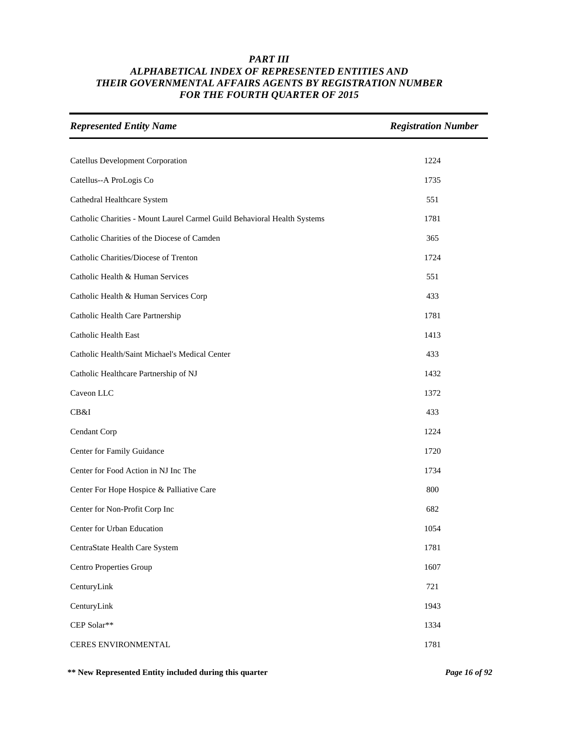| <b>Represented Entity Name</b>                                           | <b>Registration Number</b> |
|--------------------------------------------------------------------------|----------------------------|
| <b>Catellus Development Corporation</b>                                  | 1224                       |
| Catellus--A ProLogis Co                                                  | 1735                       |
| Cathedral Healthcare System                                              | 551                        |
| Catholic Charities - Mount Laurel Carmel Guild Behavioral Health Systems | 1781                       |
| Catholic Charities of the Diocese of Camden                              | 365                        |
| Catholic Charities/Diocese of Trenton                                    | 1724                       |
| Catholic Health & Human Services                                         | 551                        |
| Catholic Health & Human Services Corp                                    | 433                        |
| Catholic Health Care Partnership                                         | 1781                       |
| Catholic Health East                                                     | 1413                       |
| Catholic Health/Saint Michael's Medical Center                           | 433                        |
| Catholic Healthcare Partnership of NJ                                    | 1432                       |
| Caveon LLC                                                               | 1372                       |
| CB&I                                                                     | 433                        |
| Cendant Corp                                                             | 1224                       |
| Center for Family Guidance                                               | 1720                       |
| Center for Food Action in NJ Inc The                                     | 1734                       |
| Center For Hope Hospice & Palliative Care                                | 800                        |
| Center for Non-Profit Corp Inc                                           | 682                        |
| Center for Urban Education                                               | 1054                       |
| CentraState Health Care System                                           | 1781                       |
| Centro Properties Group                                                  | 1607                       |
| CenturyLink                                                              | 721                        |
| CenturyLink                                                              | 1943                       |
| CEP Solar**                                                              | 1334                       |
| CERES ENVIRONMENTAL                                                      | 1781                       |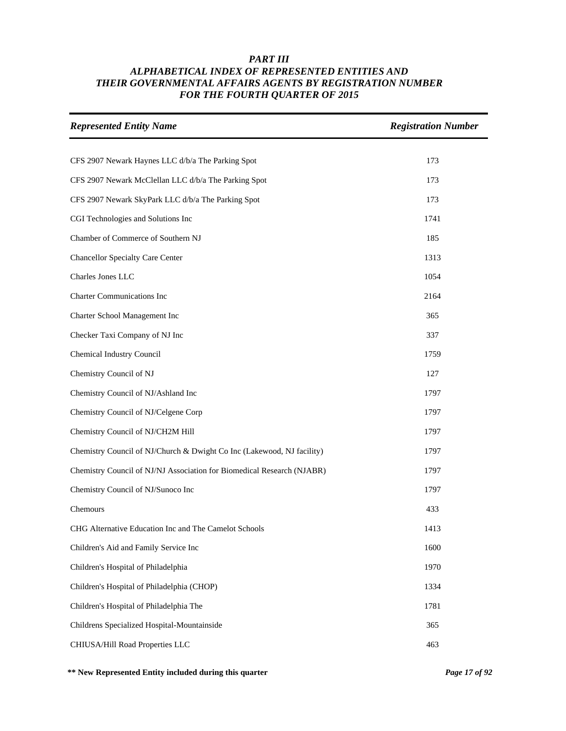| <b>Represented Entity Name</b>                                         | <b>Registration Number</b> |
|------------------------------------------------------------------------|----------------------------|
|                                                                        |                            |
| CFS 2907 Newark Haynes LLC d/b/a The Parking Spot                      | 173                        |
| CFS 2907 Newark McClellan LLC d/b/a The Parking Spot                   | 173                        |
| CFS 2907 Newark SkyPark LLC d/b/a The Parking Spot                     | 173                        |
| CGI Technologies and Solutions Inc                                     | 1741                       |
| Chamber of Commerce of Southern NJ                                     | 185                        |
| <b>Chancellor Specialty Care Center</b>                                | 1313                       |
| Charles Jones LLC                                                      | 1054                       |
| <b>Charter Communications Inc</b>                                      | 2164                       |
| Charter School Management Inc                                          | 365                        |
| Checker Taxi Company of NJ Inc                                         | 337                        |
| Chemical Industry Council                                              | 1759                       |
| Chemistry Council of NJ                                                | 127                        |
| Chemistry Council of NJ/Ashland Inc                                    | 1797                       |
| Chemistry Council of NJ/Celgene Corp                                   | 1797                       |
| Chemistry Council of NJ/CH2M Hill                                      | 1797                       |
| Chemistry Council of NJ/Church & Dwight Co Inc (Lakewood, NJ facility) | 1797                       |
| Chemistry Council of NJ/NJ Association for Biomedical Research (NJABR) | 1797                       |
| Chemistry Council of NJ/Sunoco Inc                                     | 1797                       |
| Chemours                                                               | 433                        |
| CHG Alternative Education Inc and The Camelot Schools                  | 1413                       |
| Children's Aid and Family Service Inc                                  | 1600                       |
| Children's Hospital of Philadelphia                                    | 1970                       |
| Children's Hospital of Philadelphia (CHOP)                             | 1334                       |
| Children's Hospital of Philadelphia The                                | 1781                       |
| Childrens Specialized Hospital-Mountainside                            | 365                        |
| CHIUSA/Hill Road Properties LLC                                        | 463                        |

**\*\* New Represented Entity included during this quarter** *Page 17 of 92*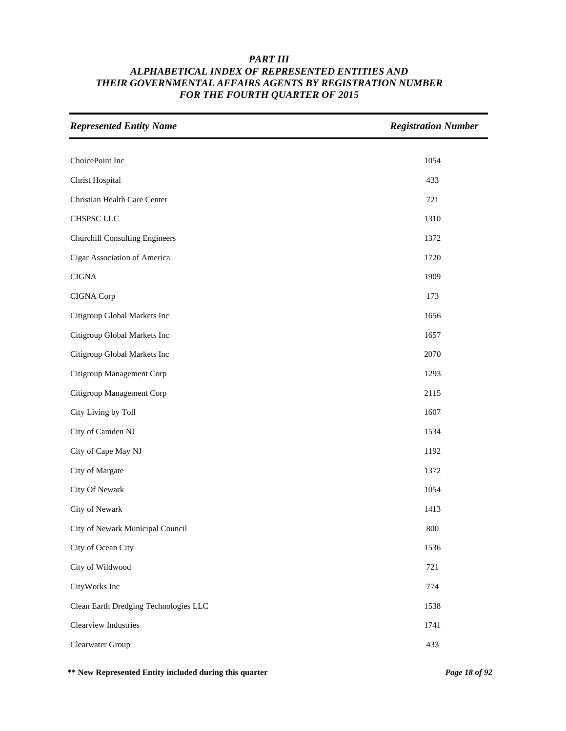| <b>Represented Entity Name</b>        | <b>Registration Number</b> |
|---------------------------------------|----------------------------|
|                                       |                            |
| ChoicePoint Inc                       | 1054                       |
| <b>Christ Hospital</b>                | 433                        |
| Christian Health Care Center          | 721                        |
| CHSPSC LLC                            | 1310                       |
| <b>Churchill Consulting Engineers</b> | 1372                       |
| Cigar Association of America          | 1720                       |
| <b>CIGNA</b>                          | 1909                       |
| CIGNA Corp                            | 173                        |
| Citigroup Global Markets Inc          | 1656                       |
| Citigroup Global Markets Inc          | 1657                       |
| Citigroup Global Markets Inc          | 2070                       |
| Citigroup Management Corp             | 1293                       |
| Citigroup Management Corp             | 2115                       |
| City Living by Toll                   | 1607                       |
| City of Camden NJ                     | 1534                       |
| City of Cape May NJ                   | 1192                       |
| City of Margate                       | 1372                       |
| City Of Newark                        | 1054                       |
| City of Newark                        | 1413                       |
| City of Newark Municipal Council      | 800                        |
| City of Ocean City                    | 1536                       |
| City of Wildwood                      | 721                        |
| CityWorks Inc                         | 774                        |
| Clean Earth Dredging Technologies LLC | 1538                       |
| Clearview Industries                  | 1741                       |
| Clearwater Group                      | 433                        |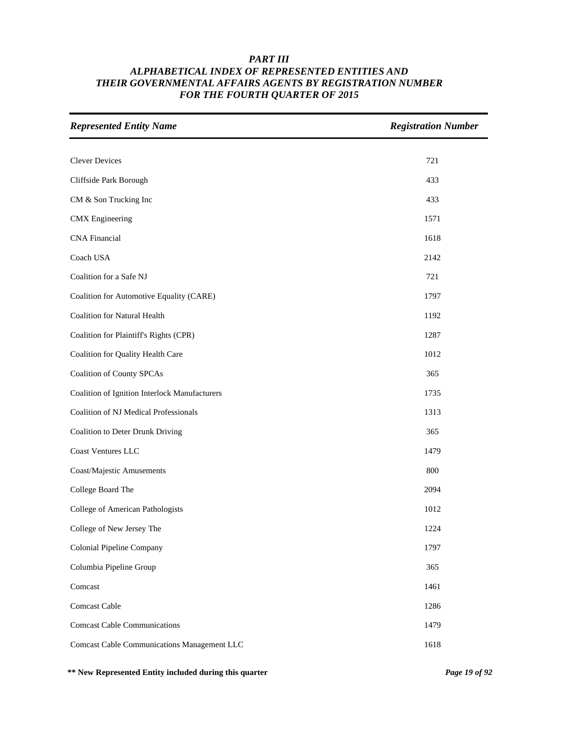| <b>Represented Entity Name</b>                     | <b>Registration Number</b> |
|----------------------------------------------------|----------------------------|
|                                                    |                            |
| <b>Clever Devices</b>                              | 721                        |
| Cliffside Park Borough                             | 433                        |
| CM & Son Trucking Inc                              | 433                        |
| <b>CMX</b> Engineering                             | 1571                       |
| <b>CNA</b> Financial                               | 1618                       |
| Coach USA                                          | 2142                       |
| Coalition for a Safe NJ                            | 721                        |
| Coalition for Automotive Equality (CARE)           | 1797                       |
| <b>Coalition for Natural Health</b>                | 1192                       |
| Coalition for Plaintiff's Rights (CPR)             | 1287                       |
| Coalition for Quality Health Care                  | 1012                       |
| <b>Coalition of County SPCAs</b>                   | 365                        |
| Coalition of Ignition Interlock Manufacturers      | 1735                       |
| Coalition of NJ Medical Professionals              | 1313                       |
| Coalition to Deter Drunk Driving                   | 365                        |
| Coast Ventures LLC                                 | 1479                       |
| Coast/Majestic Amusements                          | 800                        |
| College Board The                                  | 2094                       |
| College of American Pathologists                   | 1012                       |
| College of New Jersey The                          | 1224                       |
| <b>Colonial Pipeline Company</b>                   | 1797                       |
| Columbia Pipeline Group                            | 365                        |
| Comcast                                            | 1461                       |
| Comcast Cable                                      | 1286                       |
| <b>Comcast Cable Communications</b>                | 1479                       |
| <b>Comcast Cable Communications Management LLC</b> | 1618                       |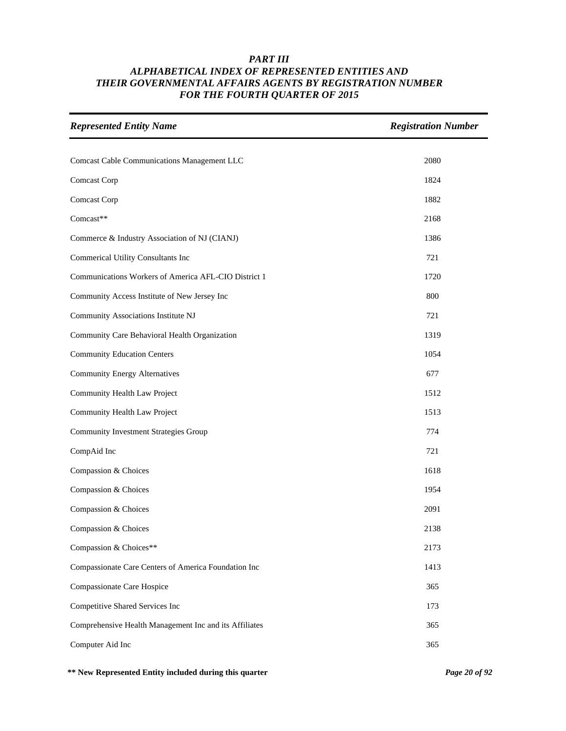| <b>Represented Entity Name</b>                         | <b>Registration Number</b> |
|--------------------------------------------------------|----------------------------|
|                                                        |                            |
| <b>Comcast Cable Communications Management LLC</b>     | 2080                       |
| Comcast Corp                                           | 1824                       |
| Comcast Corp                                           | 1882                       |
| Comcast**                                              | 2168                       |
| Commerce & Industry Association of NJ (CIANJ)          | 1386                       |
| <b>Commerical Utility Consultants Inc</b>              | 721                        |
| Communications Workers of America AFL-CIO District 1   | 1720                       |
| Community Access Institute of New Jersey Inc           | 800                        |
| Community Associations Institute NJ                    | 721                        |
| Community Care Behavioral Health Organization          | 1319                       |
| <b>Community Education Centers</b>                     | 1054                       |
| <b>Community Energy Alternatives</b>                   | 677                        |
| Community Health Law Project                           | 1512                       |
| Community Health Law Project                           | 1513                       |
| <b>Community Investment Strategies Group</b>           | 774                        |
| CompAid Inc                                            | 721                        |
| Compassion & Choices                                   | 1618                       |
| Compassion & Choices                                   | 1954                       |
| Compassion & Choices                                   | 2091                       |
| Compassion & Choices                                   | 2138                       |
| Compassion & Choices**                                 | 2173                       |
| Compassionate Care Centers of America Foundation Inc   | 1413                       |
| Compassionate Care Hospice                             | 365                        |
| Competitive Shared Services Inc                        | 173                        |
| Comprehensive Health Management Inc and its Affiliates | 365                        |
| Computer Aid Inc                                       | 365                        |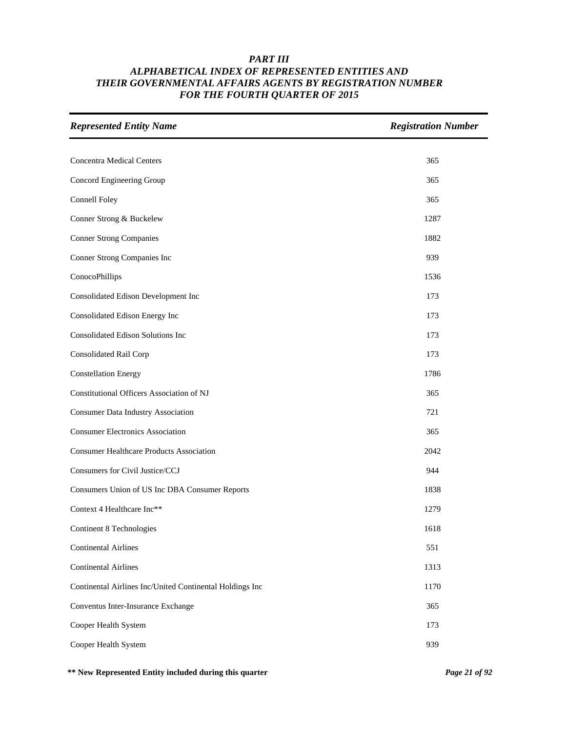| <b>Represented Entity Name</b>                           | <b>Registration Number</b> |
|----------------------------------------------------------|----------------------------|
|                                                          |                            |
| <b>Concentra Medical Centers</b>                         | 365                        |
| Concord Engineering Group                                | 365                        |
| Connell Foley                                            | 365                        |
| Conner Strong & Buckelew                                 | 1287                       |
| <b>Conner Strong Companies</b>                           | 1882                       |
| Conner Strong Companies Inc                              | 939                        |
| ConocoPhillips                                           | 1536                       |
| Consolidated Edison Development Inc                      | 173                        |
| Consolidated Edison Energy Inc                           | 173                        |
| Consolidated Edison Solutions Inc                        | 173                        |
| Consolidated Rail Corp                                   | 173                        |
| <b>Constellation Energy</b>                              | 1786                       |
| Constitutional Officers Association of NJ                | 365                        |
| <b>Consumer Data Industry Association</b>                | 721                        |
| <b>Consumer Electronics Association</b>                  | 365                        |
| <b>Consumer Healthcare Products Association</b>          | 2042                       |
| Consumers for Civil Justice/CCJ                          | 944                        |
| Consumers Union of US Inc DBA Consumer Reports           | 1838                       |
| Context 4 Healthcare Inc**                               | 1279                       |
| Continent 8 Technologies                                 | 1618                       |
| <b>Continental Airlines</b>                              | 551                        |
| <b>Continental Airlines</b>                              | 1313                       |
| Continental Airlines Inc/United Continental Holdings Inc | 1170                       |
| Conventus Inter-Insurance Exchange                       | 365                        |
| Cooper Health System                                     | 173                        |
| Cooper Health System                                     | 939                        |

**\*\* New Represented Entity included during this quarter** *Page 21 of 92*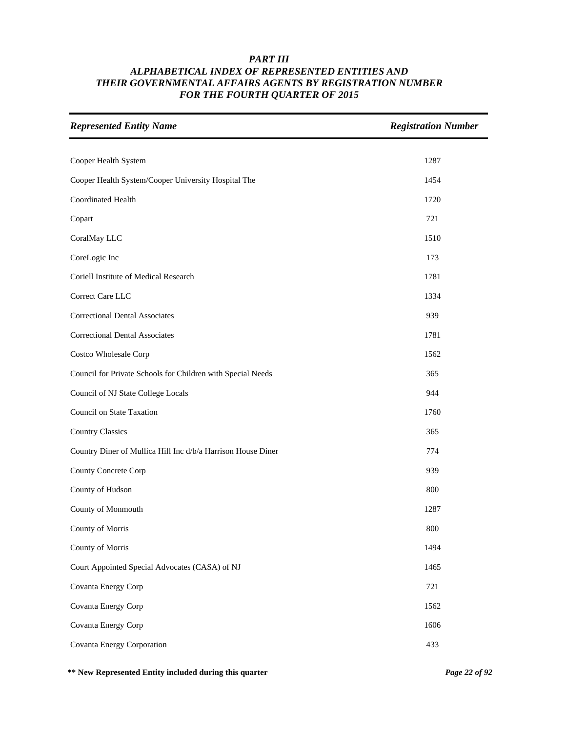| <b>Represented Entity Name</b>                               | <b>Registration Number</b> |
|--------------------------------------------------------------|----------------------------|
|                                                              |                            |
| Cooper Health System                                         | 1287                       |
| Cooper Health System/Cooper University Hospital The          | 1454                       |
| Coordinated Health                                           | 1720                       |
| Copart                                                       | 721                        |
| CoralMay LLC                                                 | 1510                       |
| CoreLogic Inc                                                | 173                        |
| Coriell Institute of Medical Research                        | 1781                       |
| Correct Care LLC                                             | 1334                       |
| <b>Correctional Dental Associates</b>                        | 939                        |
| <b>Correctional Dental Associates</b>                        | 1781                       |
| Costco Wholesale Corp                                        | 1562                       |
| Council for Private Schools for Children with Special Needs  | 365                        |
| Council of NJ State College Locals                           | 944                        |
| Council on State Taxation                                    | 1760                       |
| <b>Country Classics</b>                                      | 365                        |
| Country Diner of Mullica Hill Inc d/b/a Harrison House Diner | 774                        |
| County Concrete Corp                                         | 939                        |
| County of Hudson                                             | 800                        |
| County of Monmouth                                           | 1287                       |
| County of Morris                                             | 800                        |
| County of Morris                                             | 1494                       |
| Court Appointed Special Advocates (CASA) of NJ               | 1465                       |
| Covanta Energy Corp                                          | 721                        |
| Covanta Energy Corp                                          | 1562                       |
| Covanta Energy Corp                                          | 1606                       |
| Covanta Energy Corporation                                   | 433                        |

**\*\* New Represented Entity included during this quarter** *Page 22 of 92*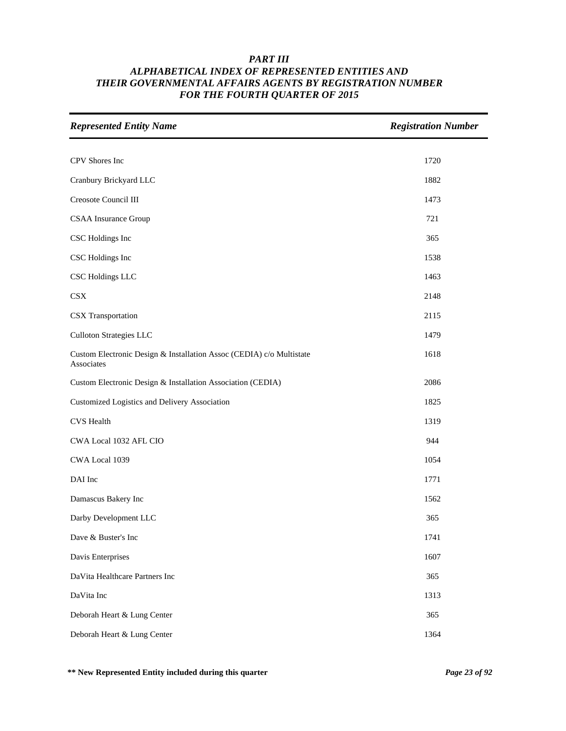| <b>Represented Entity Name</b>                                                     | <b>Registration Number</b> |
|------------------------------------------------------------------------------------|----------------------------|
|                                                                                    |                            |
| CPV Shores Inc                                                                     | 1720                       |
| Cranbury Brickyard LLC                                                             | 1882                       |
| Creosote Council III                                                               | 1473                       |
| <b>CSAA</b> Insurance Group                                                        | 721                        |
| CSC Holdings Inc                                                                   | 365                        |
| CSC Holdings Inc                                                                   | 1538                       |
| CSC Holdings LLC                                                                   | 1463                       |
| CSX                                                                                | 2148                       |
| CSX Transportation                                                                 | 2115                       |
| <b>Culloton Strategies LLC</b>                                                     | 1479                       |
| Custom Electronic Design & Installation Assoc (CEDIA) c/o Multistate<br>Associates | 1618                       |
| Custom Electronic Design & Installation Association (CEDIA)                        | 2086                       |
| Customized Logistics and Delivery Association                                      | 1825                       |
| <b>CVS</b> Health                                                                  | 1319                       |
| CWA Local 1032 AFL CIO                                                             | 944                        |
| CWA Local 1039                                                                     | 1054                       |
| DAI Inc                                                                            | 1771                       |
| Damascus Bakery Inc                                                                | 1562                       |
| Darby Development LLC                                                              | 365                        |
| Dave & Buster's Inc                                                                | 1741                       |
| Davis Enterprises                                                                  | 1607                       |
| DaVita Healthcare Partners Inc                                                     | 365                        |
| DaVita Inc                                                                         | 1313                       |
| Deborah Heart & Lung Center                                                        | 365                        |
| Deborah Heart & Lung Center                                                        | 1364                       |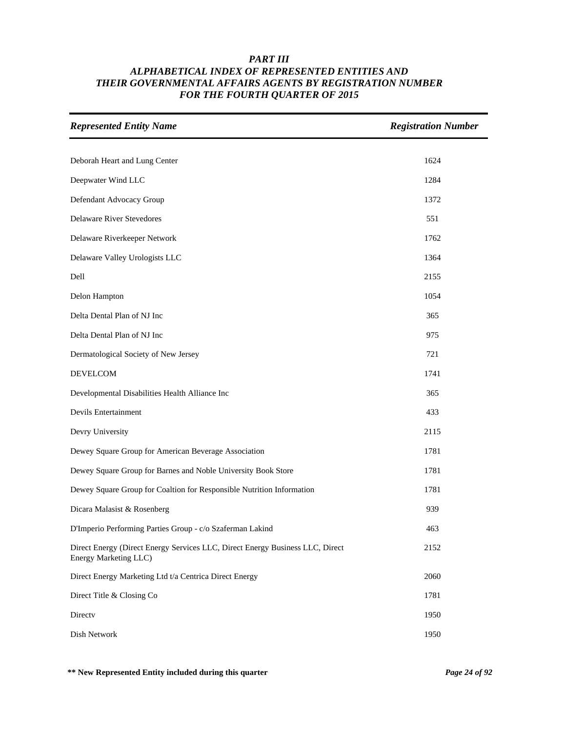| <b>Represented Entity Name</b>                                                                         | <b>Registration Number</b> |
|--------------------------------------------------------------------------------------------------------|----------------------------|
|                                                                                                        |                            |
| Deborah Heart and Lung Center                                                                          | 1624                       |
| Deepwater Wind LLC                                                                                     | 1284                       |
| Defendant Advocacy Group                                                                               | 1372                       |
| <b>Delaware River Stevedores</b>                                                                       | 551                        |
| Delaware Riverkeeper Network                                                                           | 1762                       |
| Delaware Valley Urologists LLC                                                                         | 1364                       |
| Dell                                                                                                   | 2155                       |
| Delon Hampton                                                                                          | 1054                       |
| Delta Dental Plan of NJ Inc                                                                            | 365                        |
| Delta Dental Plan of NJ Inc                                                                            | 975                        |
| Dermatological Society of New Jersey                                                                   | 721                        |
| <b>DEVELCOM</b>                                                                                        | 1741                       |
| Developmental Disabilities Health Alliance Inc                                                         | 365                        |
| Devils Entertainment                                                                                   | 433                        |
| Devry University                                                                                       | 2115                       |
| Dewey Square Group for American Beverage Association                                                   | 1781                       |
| Dewey Square Group for Barnes and Noble University Book Store                                          | 1781                       |
| Dewey Square Group for Coaltion for Responsible Nutrition Information                                  | 1781                       |
| Dicara Malasist & Rosenberg                                                                            | 939                        |
| D'Imperio Performing Parties Group - c/o Szaferman Lakind                                              | 463                        |
| Direct Energy (Direct Energy Services LLC, Direct Energy Business LLC, Direct<br>Energy Marketing LLC) | 2152                       |
| Direct Energy Marketing Ltd t/a Centrica Direct Energy                                                 | 2060                       |
| Direct Title & Closing Co                                                                              | 1781                       |
| Directv                                                                                                | 1950                       |
| Dish Network                                                                                           | 1950                       |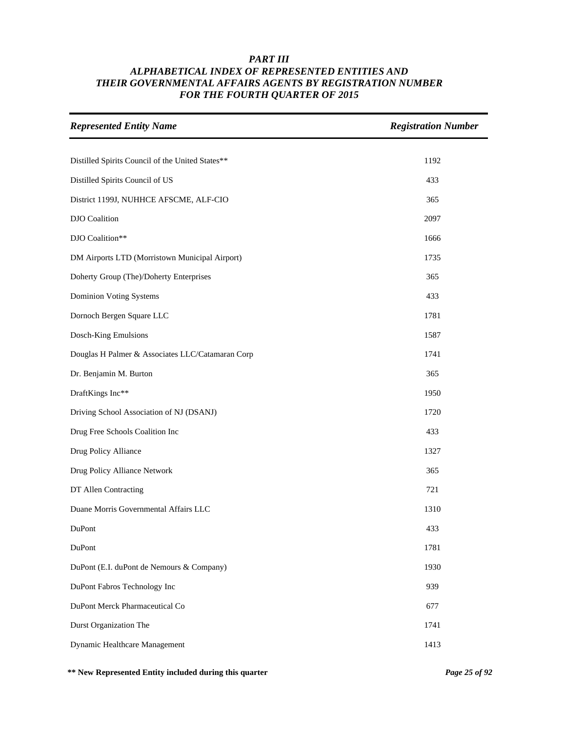| <b>Represented Entity Name</b>                   | <b>Registration Number</b> |
|--------------------------------------------------|----------------------------|
|                                                  |                            |
| Distilled Spirits Council of the United States** | 1192                       |
| Distilled Spirits Council of US                  | 433                        |
| District 1199J, NUHHCE AFSCME, ALF-CIO           | 365                        |
| <b>DJO</b> Coalition                             | 2097                       |
| DJO Coalition**                                  | 1666                       |
| DM Airports LTD (Morristown Municipal Airport)   | 1735                       |
| Doherty Group (The)/Doherty Enterprises          | 365                        |
| <b>Dominion Voting Systems</b>                   | 433                        |
| Dornoch Bergen Square LLC                        | 1781                       |
| Dosch-King Emulsions                             | 1587                       |
| Douglas H Palmer & Associates LLC/Catamaran Corp | 1741                       |
| Dr. Benjamin M. Burton                           | 365                        |
| DraftKings Inc**                                 | 1950                       |
| Driving School Association of NJ (DSANJ)         | 1720                       |
| Drug Free Schools Coalition Inc                  | 433                        |
| Drug Policy Alliance                             | 1327                       |
| Drug Policy Alliance Network                     | 365                        |
| DT Allen Contracting                             | 721                        |
| Duane Morris Governmental Affairs LLC            | 1310                       |
| DuPont                                           | 433                        |
| DuPont                                           | 1781                       |
| DuPont (E.I. duPont de Nemours & Company)        | 1930                       |
| DuPont Fabros Technology Inc                     | 939                        |
| DuPont Merck Pharmaceutical Co                   | 677                        |
| Durst Organization The                           | 1741                       |
| Dynamic Healthcare Management                    | 1413                       |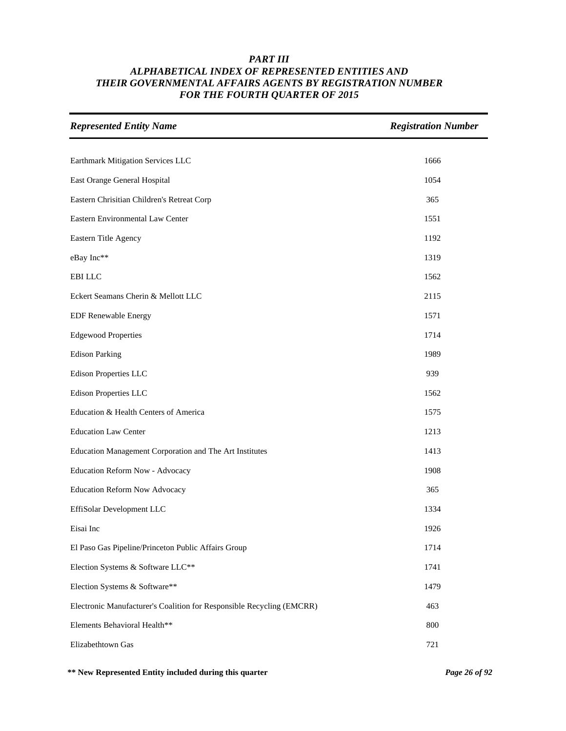| <b>Represented Entity Name</b>                                        | <b>Registration Number</b> |
|-----------------------------------------------------------------------|----------------------------|
|                                                                       |                            |
| Earthmark Mitigation Services LLC                                     | 1666                       |
| East Orange General Hospital                                          | 1054                       |
| Eastern Chrisitian Children's Retreat Corp                            | 365                        |
| Eastern Environmental Law Center                                      | 1551                       |
| Eastern Title Agency                                                  | 1192                       |
| eBay Inc**                                                            | 1319                       |
| <b>EBILLC</b>                                                         | 1562                       |
| Eckert Seamans Cherin & Mellott LLC                                   | 2115                       |
| <b>EDF Renewable Energy</b>                                           | 1571                       |
| <b>Edgewood Properties</b>                                            | 1714                       |
| <b>Edison Parking</b>                                                 | 1989                       |
| <b>Edison Properties LLC</b>                                          | 939                        |
| Edison Properties LLC                                                 | 1562                       |
| Education & Health Centers of America                                 | 1575                       |
| <b>Education Law Center</b>                                           | 1213                       |
| Education Management Corporation and The Art Institutes               | 1413                       |
| Education Reform Now - Advocacy                                       | 1908                       |
| <b>Education Reform Now Advocacy</b>                                  | 365                        |
| EffiSolar Development LLC                                             | 1334                       |
| Eisai Inc                                                             | 1926                       |
| El Paso Gas Pipeline/Princeton Public Affairs Group                   | 1714                       |
| Election Systems & Software LLC**                                     | 1741                       |
| Election Systems & Software**                                         | 1479                       |
| Electronic Manufacturer's Coalition for Responsible Recycling (EMCRR) | 463                        |
| Elements Behavioral Health**                                          | 800                        |
| Elizabethtown Gas                                                     | 721                        |

**\*\* New Represented Entity included during this quarter** *Page 26 of 92*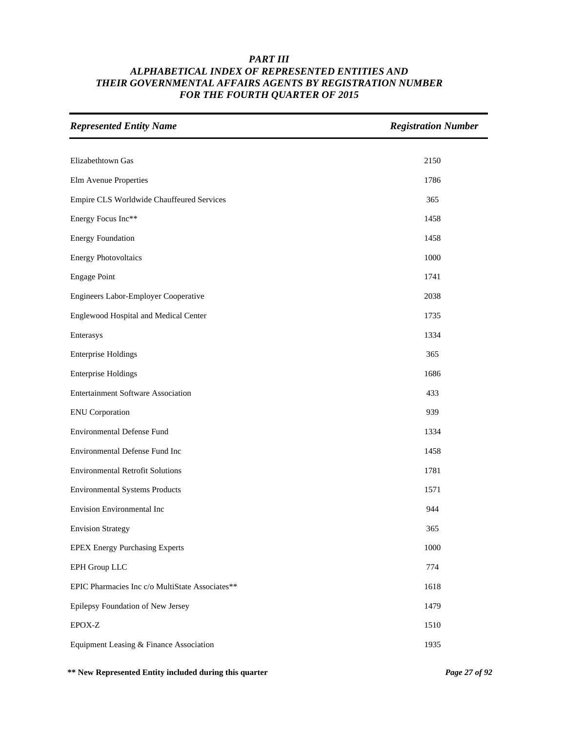| <b>Represented Entity Name</b>                  | <b>Registration Number</b> |
|-------------------------------------------------|----------------------------|
|                                                 |                            |
| Elizabethtown Gas                               | 2150                       |
| Elm Avenue Properties                           | 1786                       |
| Empire CLS Worldwide Chauffeured Services       | 365                        |
| Energy Focus Inc**                              | 1458                       |
| <b>Energy Foundation</b>                        | 1458                       |
| <b>Energy Photovoltaics</b>                     | 1000                       |
| <b>Engage Point</b>                             | 1741                       |
| Engineers Labor-Employer Cooperative            | 2038                       |
| Englewood Hospital and Medical Center           | 1735                       |
| Enterasys                                       | 1334                       |
| <b>Enterprise Holdings</b>                      | 365                        |
| <b>Enterprise Holdings</b>                      | 1686                       |
| <b>Entertainment Software Association</b>       | 433                        |
| <b>ENU</b> Corporation                          | 939                        |
| <b>Environmental Defense Fund</b>               | 1334                       |
| Environmental Defense Fund Inc                  | 1458                       |
| <b>Environmental Retrofit Solutions</b>         | 1781                       |
| <b>Environmental Systems Products</b>           | 1571                       |
| <b>Envision Environmental Inc</b>               | 944                        |
| <b>Envision Strategy</b>                        | 365                        |
| <b>EPEX Energy Purchasing Experts</b>           | 1000                       |
| EPH Group LLC                                   | 774                        |
| EPIC Pharmacies Inc c/o MultiState Associates** | 1618                       |
| Epilepsy Foundation of New Jersey               | 1479                       |
| EPOX-Z                                          | 1510                       |
| Equipment Leasing & Finance Association         | 1935                       |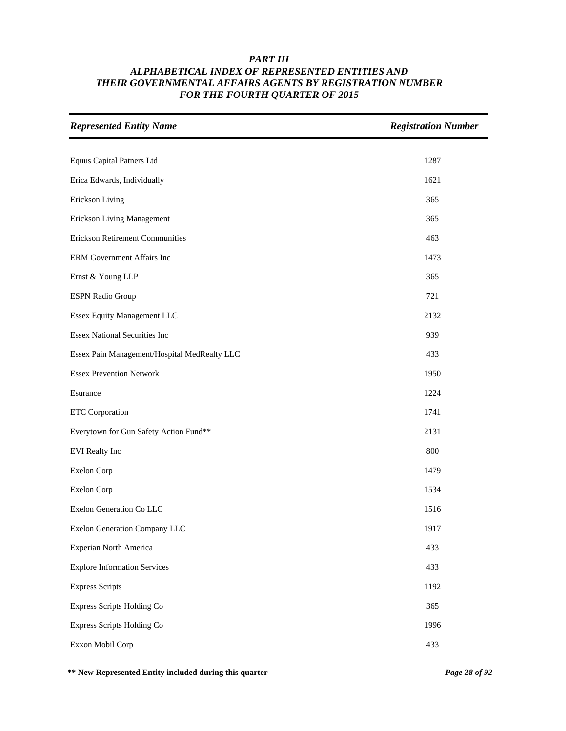| <b>Represented Entity Name</b>               | <b>Registration Number</b> |
|----------------------------------------------|----------------------------|
|                                              |                            |
| <b>Equus Capital Patners Ltd</b>             | 1287                       |
| Erica Edwards, Individually                  | 1621                       |
| Erickson Living                              | 365                        |
| <b>Erickson Living Management</b>            | 365                        |
| <b>Erickson Retirement Communities</b>       | 463                        |
| ERM Government Affairs Inc                   | 1473                       |
| Ernst & Young LLP                            | 365                        |
| <b>ESPN Radio Group</b>                      | 721                        |
| Essex Equity Management LLC                  | 2132                       |
| <b>Essex National Securities Inc</b>         | 939                        |
| Essex Pain Management/Hospital MedRealty LLC | 433                        |
| <b>Essex Prevention Network</b>              | 1950                       |
| Esurance                                     | 1224                       |
| <b>ETC</b> Corporation                       | 1741                       |
| Everytown for Gun Safety Action Fund**       | 2131                       |
| <b>EVI</b> Realty Inc                        | 800                        |
| <b>Exelon Corp</b>                           | 1479                       |
| <b>Exelon Corp</b>                           | 1534                       |
| Exelon Generation Co LLC                     | 1516                       |
| Exelon Generation Company LLC                | 1917                       |
| Experian North America                       | 433                        |
| <b>Explore Information Services</b>          | 433                        |
| <b>Express Scripts</b>                       | 1192                       |
| Express Scripts Holding Co                   | 365                        |
| Express Scripts Holding Co                   | 1996                       |
| Exxon Mobil Corp                             | 433                        |

**\*\* New Represented Entity included during this quarter** *Page 28 of 92*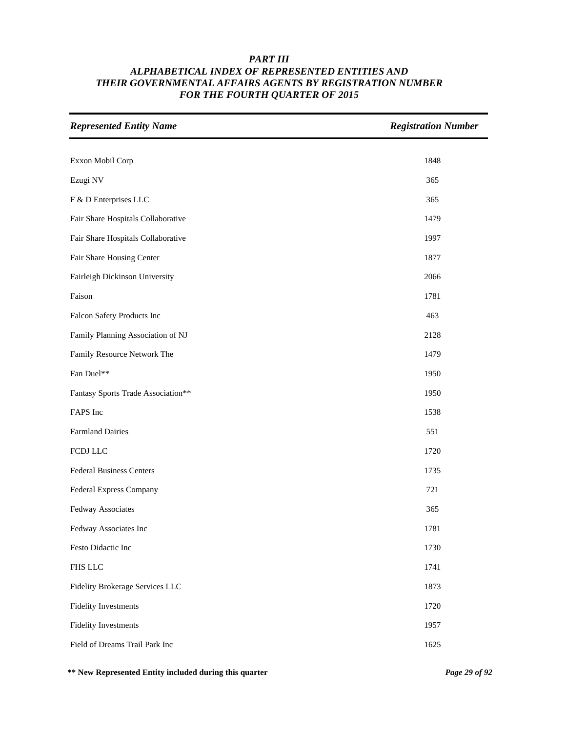| <b>Represented Entity Name</b>     | <b>Registration Number</b> |
|------------------------------------|----------------------------|
|                                    |                            |
| Exxon Mobil Corp                   | 1848                       |
| Ezugi NV                           | 365                        |
| F & D Enterprises LLC              | 365                        |
| Fair Share Hospitals Collaborative | 1479                       |
| Fair Share Hospitals Collaborative | 1997                       |
| Fair Share Housing Center          | 1877                       |
| Fairleigh Dickinson University     | 2066                       |
| Faison                             | 1781                       |
| Falcon Safety Products Inc         | 463                        |
| Family Planning Association of NJ  | 2128                       |
| Family Resource Network The        | 1479                       |
| Fan Duel**                         | 1950                       |
| Fantasy Sports Trade Association** | 1950                       |
| FAPS Inc                           | 1538                       |
| <b>Farmland Dairies</b>            | 551                        |
| FCDJ LLC                           | 1720                       |
| <b>Federal Business Centers</b>    | 1735                       |
| Federal Express Company            | 721                        |
| Fedway Associates                  | 365                        |
| Fedway Associates Inc              | 1781                       |
| Festo Didactic Inc                 | 1730                       |
| FHS LLC                            | 1741                       |
| Fidelity Brokerage Services LLC    | 1873                       |
| <b>Fidelity Investments</b>        | 1720                       |
| <b>Fidelity Investments</b>        | 1957                       |
| Field of Dreams Trail Park Inc     | 1625                       |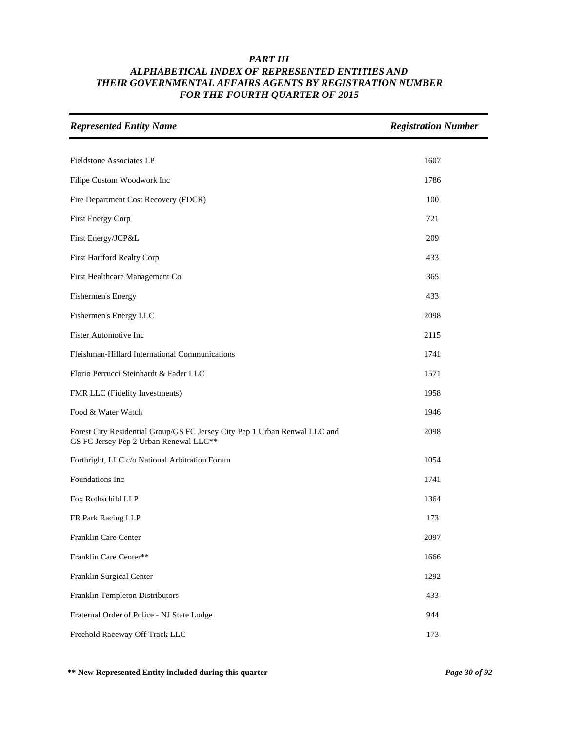| <b>Represented Entity Name</b>                                                                                       | <b>Registration Number</b> |
|----------------------------------------------------------------------------------------------------------------------|----------------------------|
| Fieldstone Associates LP                                                                                             | 1607                       |
|                                                                                                                      |                            |
| Filipe Custom Woodwork Inc                                                                                           | 1786                       |
| Fire Department Cost Recovery (FDCR)                                                                                 | 100                        |
| First Energy Corp                                                                                                    | 721                        |
| First Energy/JCP&L                                                                                                   | 209                        |
| First Hartford Realty Corp                                                                                           | 433                        |
| First Healthcare Management Co                                                                                       | 365                        |
| Fishermen's Energy                                                                                                   | 433                        |
| Fishermen's Energy LLC                                                                                               | 2098                       |
| <b>Fister Automotive Inc</b>                                                                                         | 2115                       |
| Fleishman-Hillard International Communications                                                                       | 1741                       |
| Florio Perrucci Steinhardt & Fader LLC                                                                               | 1571                       |
| FMR LLC (Fidelity Investments)                                                                                       | 1958                       |
| Food & Water Watch                                                                                                   | 1946                       |
| Forest City Residential Group/GS FC Jersey City Pep 1 Urban Renwal LLC and<br>GS FC Jersey Pep 2 Urban Renewal LLC** | 2098                       |
| Forthright, LLC c/o National Arbitration Forum                                                                       | 1054                       |
| Foundations Inc                                                                                                      | 1741                       |
| Fox Rothschild LLP                                                                                                   | 1364                       |
| FR Park Racing LLP                                                                                                   | 173                        |
| Franklin Care Center                                                                                                 | 2097                       |
| Franklin Care Center**                                                                                               | 1666                       |
| Franklin Surgical Center                                                                                             | 1292                       |
| Franklin Templeton Distributors                                                                                      | 433                        |
| Fraternal Order of Police - NJ State Lodge                                                                           | 944                        |
| Freehold Raceway Off Track LLC                                                                                       | 173                        |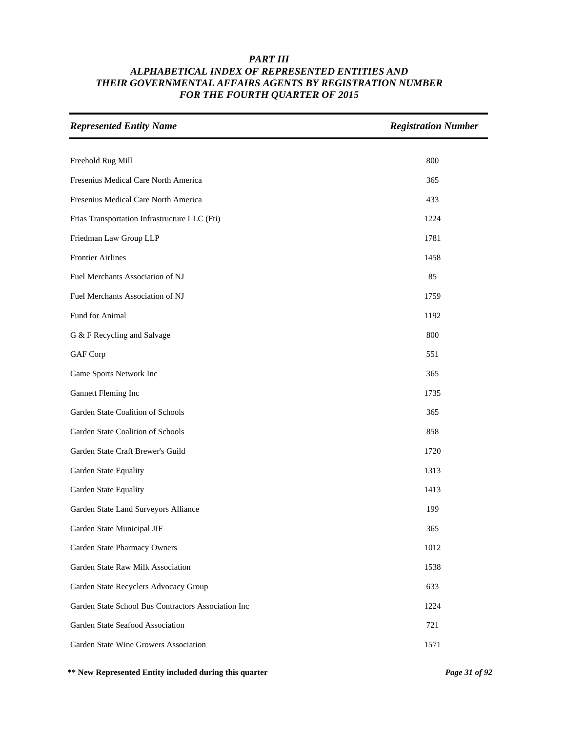| <b>Represented Entity Name</b>                      | <b>Registration Number</b> |
|-----------------------------------------------------|----------------------------|
|                                                     |                            |
| Freehold Rug Mill                                   | 800                        |
| Fresenius Medical Care North America                | 365                        |
| Fresenius Medical Care North America                | 433                        |
| Frias Transportation Infrastructure LLC (Fti)       | 1224                       |
| Friedman Law Group LLP                              | 1781                       |
| <b>Frontier Airlines</b>                            | 1458                       |
| Fuel Merchants Association of NJ                    | 85                         |
| Fuel Merchants Association of NJ                    | 1759                       |
| Fund for Animal                                     | 1192                       |
| G & F Recycling and Salvage                         | 800                        |
| GAF Corp                                            | 551                        |
| Game Sports Network Inc                             | 365                        |
| Gannett Fleming Inc                                 | 1735                       |
| Garden State Coalition of Schools                   | 365                        |
| Garden State Coalition of Schools                   | 858                        |
| Garden State Craft Brewer's Guild                   | 1720                       |
| Garden State Equality                               | 1313                       |
| Garden State Equality                               | 1413                       |
| Garden State Land Surveyors Alliance                | 199                        |
| Garden State Municipal JIF                          | 365                        |
| Garden State Pharmacy Owners                        | 1012                       |
| Garden State Raw Milk Association                   | 1538                       |
| Garden State Recyclers Advocacy Group               | 633                        |
| Garden State School Bus Contractors Association Inc | 1224                       |
| Garden State Seafood Association                    | 721                        |
| Garden State Wine Growers Association               | 1571                       |

**\*\* New Represented Entity included during this quarter** *Page 31 of 92*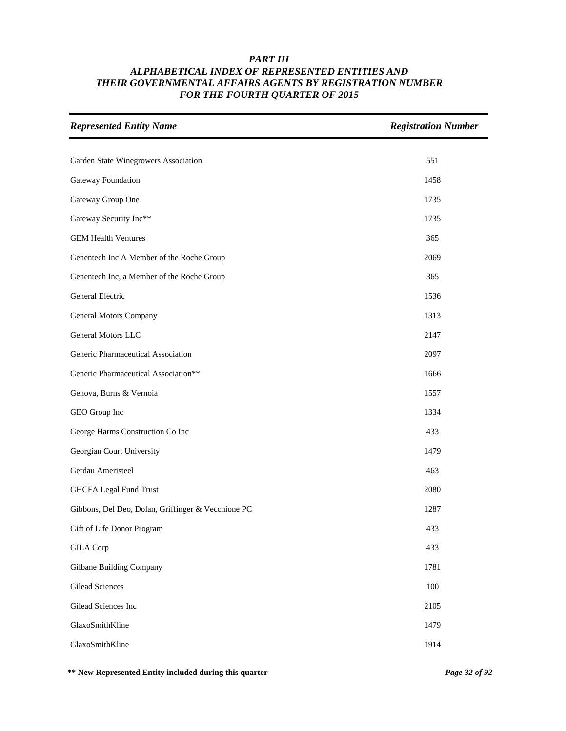| <b>Represented Entity Name</b>                     | <b>Registration Number</b> |
|----------------------------------------------------|----------------------------|
|                                                    |                            |
| Garden State Winegrowers Association               | 551                        |
| Gateway Foundation                                 | 1458                       |
| Gateway Group One                                  | 1735                       |
| Gateway Security Inc**                             | 1735                       |
| <b>GEM Health Ventures</b>                         | 365                        |
| Genentech Inc A Member of the Roche Group          | 2069                       |
| Genentech Inc, a Member of the Roche Group         | 365                        |
| General Electric                                   | 1536                       |
| General Motors Company                             | 1313                       |
| <b>General Motors LLC</b>                          | 2147                       |
| Generic Pharmaceutical Association                 | 2097                       |
| Generic Pharmaceutical Association**               | 1666                       |
| Genova, Burns & Vernoia                            | 1557                       |
| GEO Group Inc                                      | 1334                       |
| George Harms Construction Co Inc                   | 433                        |
| Georgian Court University                          | 1479                       |
| Gerdau Ameristeel                                  | 463                        |
| <b>GHCFA Legal Fund Trust</b>                      | 2080                       |
| Gibbons, Del Deo, Dolan, Griffinger & Vecchione PC | 1287                       |
| Gift of Life Donor Program                         | 433                        |
| <b>GILA</b> Corp                                   | 433                        |
| Gilbane Building Company                           | 1781                       |
| <b>Gilead Sciences</b>                             | 100                        |
| Gilead Sciences Inc                                | 2105                       |
| GlaxoSmithKline                                    | 1479                       |
| GlaxoSmithKline                                    | 1914                       |

**\*\* New Represented Entity included during this quarter** *Page 32 of 92*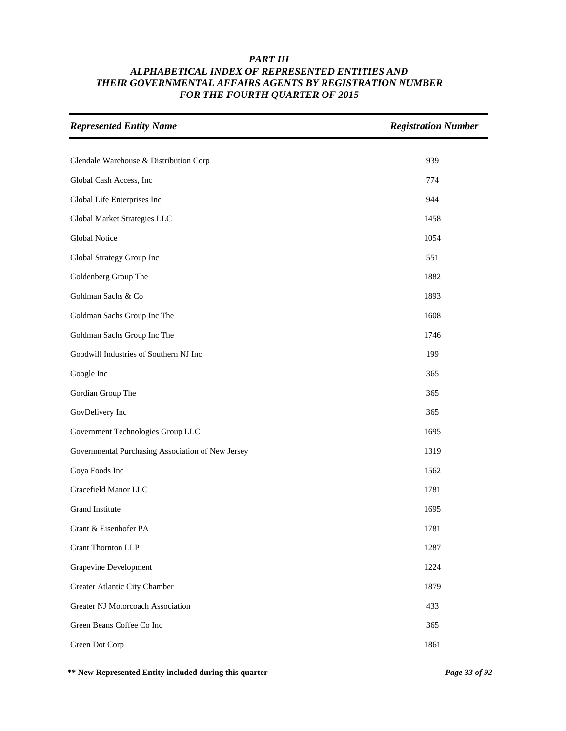| <b>Represented Entity Name</b>                    | <b>Registration Number</b> |
|---------------------------------------------------|----------------------------|
|                                                   |                            |
| Glendale Warehouse & Distribution Corp            | 939                        |
| Global Cash Access, Inc                           | 774                        |
| Global Life Enterprises Inc                       | 944                        |
| Global Market Strategies LLC                      | 1458                       |
| <b>Global Notice</b>                              | 1054                       |
| Global Strategy Group Inc                         | 551                        |
| Goldenberg Group The                              | 1882                       |
| Goldman Sachs & Co                                | 1893                       |
| Goldman Sachs Group Inc The                       | 1608                       |
| Goldman Sachs Group Inc The                       | 1746                       |
| Goodwill Industries of Southern NJ Inc            | 199                        |
| Google Inc                                        | 365                        |
| Gordian Group The                                 | 365                        |
| GovDelivery Inc                                   | 365                        |
| Government Technologies Group LLC                 | 1695                       |
| Governmental Purchasing Association of New Jersey | 1319                       |
| Goya Foods Inc                                    | 1562                       |
| Gracefield Manor LLC                              | 1781                       |
| <b>Grand Institute</b>                            | 1695                       |
| Grant & Eisenhofer PA                             | 1781                       |
| <b>Grant Thornton LLP</b>                         | 1287                       |
| Grapevine Development                             | 1224                       |
| Greater Atlantic City Chamber                     | 1879                       |
| Greater NJ Motorcoach Association                 | 433                        |
| Green Beans Coffee Co Inc                         | 365                        |
| Green Dot Corp                                    | 1861                       |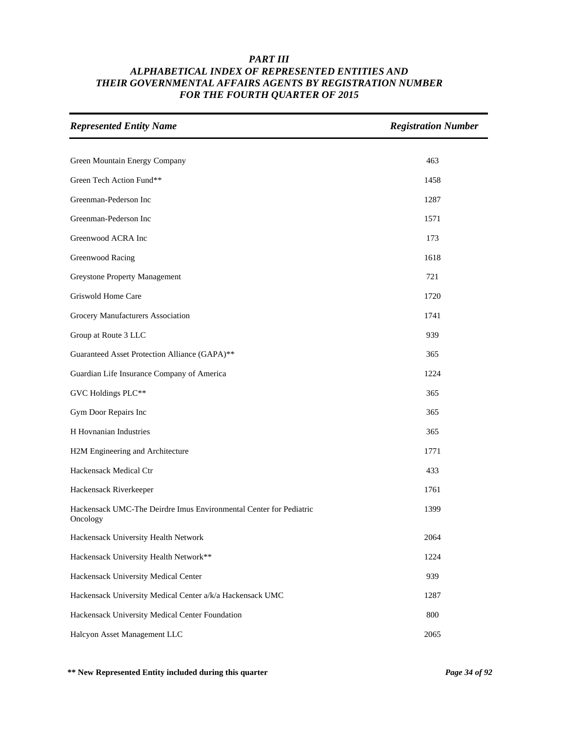| <b>Represented Entity Name</b>                                                 | <b>Registration Number</b> |
|--------------------------------------------------------------------------------|----------------------------|
|                                                                                |                            |
| Green Mountain Energy Company                                                  | 463                        |
| Green Tech Action Fund**                                                       | 1458                       |
| Greenman-Pederson Inc                                                          | 1287                       |
| Greenman-Pederson Inc                                                          | 1571                       |
| Greenwood ACRA Inc                                                             | 173                        |
| Greenwood Racing                                                               | 1618                       |
| Greystone Property Management                                                  | 721                        |
| Griswold Home Care                                                             | 1720                       |
| Grocery Manufacturers Association                                              | 1741                       |
| Group at Route 3 LLC                                                           | 939                        |
| Guaranteed Asset Protection Alliance (GAPA)**                                  | 365                        |
| Guardian Life Insurance Company of America                                     | 1224                       |
| GVC Holdings PLC**                                                             | 365                        |
| Gym Door Repairs Inc                                                           | 365                        |
| H Hovnanian Industries                                                         | 365                        |
| H2M Engineering and Architecture                                               | 1771                       |
| Hackensack Medical Ctr                                                         | 433                        |
| Hackensack Riverkeeper                                                         | 1761                       |
| Hackensack UMC-The Deirdre Imus Environmental Center for Pediatric<br>Oncology | 1399                       |
| Hackensack University Health Network                                           | 2064                       |
| Hackensack University Health Network**                                         | 1224                       |
| Hackensack University Medical Center                                           | 939                        |
| Hackensack University Medical Center a/k/a Hackensack UMC                      | 1287                       |
| Hackensack University Medical Center Foundation                                | 800                        |
| Halcyon Asset Management LLC                                                   | 2065                       |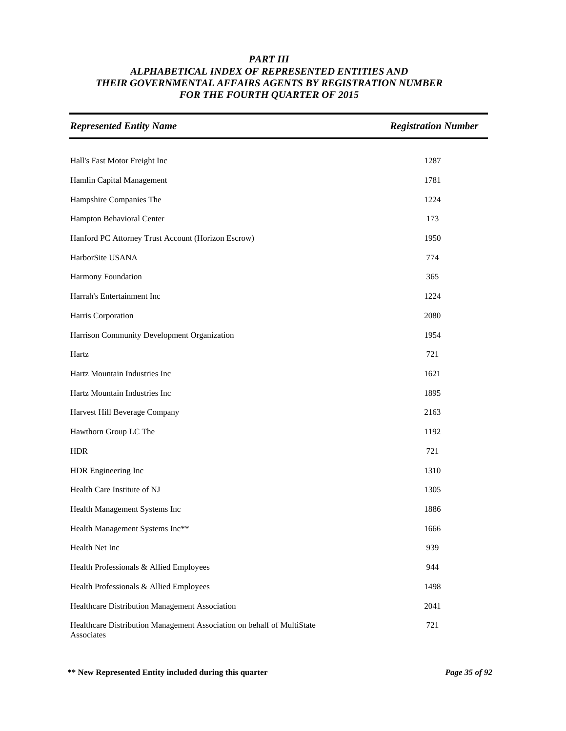| <b>Represented Entity Name</b>                                                       | <b>Registration Number</b> |
|--------------------------------------------------------------------------------------|----------------------------|
|                                                                                      |                            |
| Hall's Fast Motor Freight Inc                                                        | 1287                       |
| Hamlin Capital Management                                                            | 1781                       |
| Hampshire Companies The                                                              | 1224                       |
| Hampton Behavioral Center                                                            | 173                        |
| Hanford PC Attorney Trust Account (Horizon Escrow)                                   | 1950                       |
| HarborSite USANA                                                                     | 774                        |
| Harmony Foundation                                                                   | 365                        |
| Harrah's Entertainment Inc                                                           | 1224                       |
| Harris Corporation                                                                   | 2080                       |
| Harrison Community Development Organization                                          | 1954                       |
| Hartz                                                                                | 721                        |
| Hartz Mountain Industries Inc                                                        | 1621                       |
| Hartz Mountain Industries Inc                                                        | 1895                       |
| Harvest Hill Beverage Company                                                        | 2163                       |
| Hawthorn Group LC The                                                                | 1192                       |
| <b>HDR</b>                                                                           | 721                        |
| HDR Engineering Inc                                                                  | 1310                       |
| Health Care Institute of NJ                                                          | 1305                       |
| Health Management Systems Inc                                                        | 1886                       |
| Health Management Systems Inc**                                                      | 1666                       |
| Health Net Inc                                                                       | 939                        |
| Health Professionals & Allied Employees                                              | 944                        |
| Health Professionals & Allied Employees                                              | 1498                       |
| Healthcare Distribution Management Association                                       | 2041                       |
| Healthcare Distribution Management Association on behalf of MultiState<br>Associates | 721                        |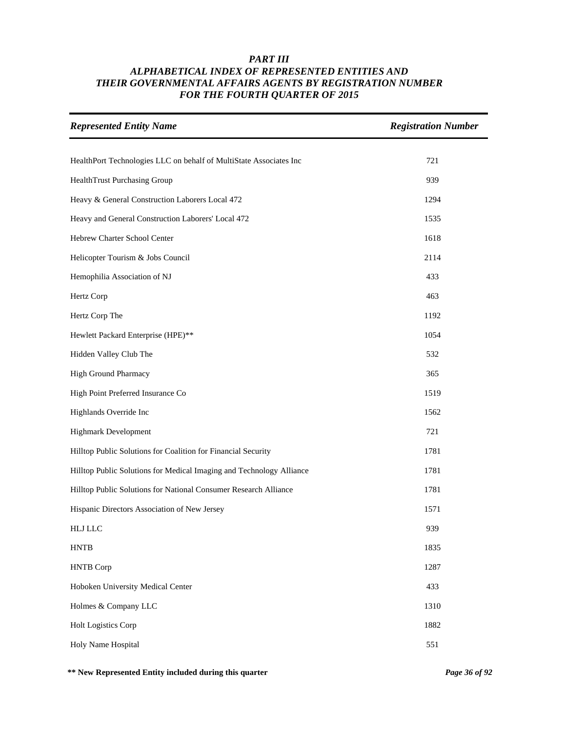| <b>Represented Entity Name</b>                                       | <b>Registration Number</b> |
|----------------------------------------------------------------------|----------------------------|
| HealthPort Technologies LLC on behalf of MultiState Associates Inc   | 721                        |
| HealthTrust Purchasing Group                                         | 939                        |
| Heavy & General Construction Laborers Local 472                      | 1294                       |
| Heavy and General Construction Laborers' Local 472                   | 1535                       |
| Hebrew Charter School Center                                         | 1618                       |
| Helicopter Tourism & Jobs Council                                    | 2114                       |
| Hemophilia Association of NJ                                         | 433                        |
| Hertz Corp                                                           | 463                        |
| Hertz Corp The                                                       | 1192                       |
| Hewlett Packard Enterprise (HPE)**                                   | 1054                       |
| Hidden Valley Club The                                               | 532                        |
| <b>High Ground Pharmacy</b>                                          | 365                        |
| High Point Preferred Insurance Co                                    | 1519                       |
| Highlands Override Inc                                               | 1562                       |
| <b>Highmark Development</b>                                          | 721                        |
| Hilltop Public Solutions for Coalition for Financial Security        | 1781                       |
| Hilltop Public Solutions for Medical Imaging and Technology Alliance | 1781                       |
| Hilltop Public Solutions for National Consumer Research Alliance     | 1781                       |
| Hispanic Directors Association of New Jersey                         | 1571                       |
| <b>HLJ LLC</b>                                                       | 939                        |
| <b>HNTB</b>                                                          | 1835                       |
| <b>HNTB</b> Corp                                                     | 1287                       |
| Hoboken University Medical Center                                    | 433                        |
| Holmes & Company LLC                                                 | 1310                       |
| Holt Logistics Corp                                                  | 1882                       |
| Holy Name Hospital                                                   | 551                        |

**\*\* New Represented Entity included during this quarter** *Page 36 of 92*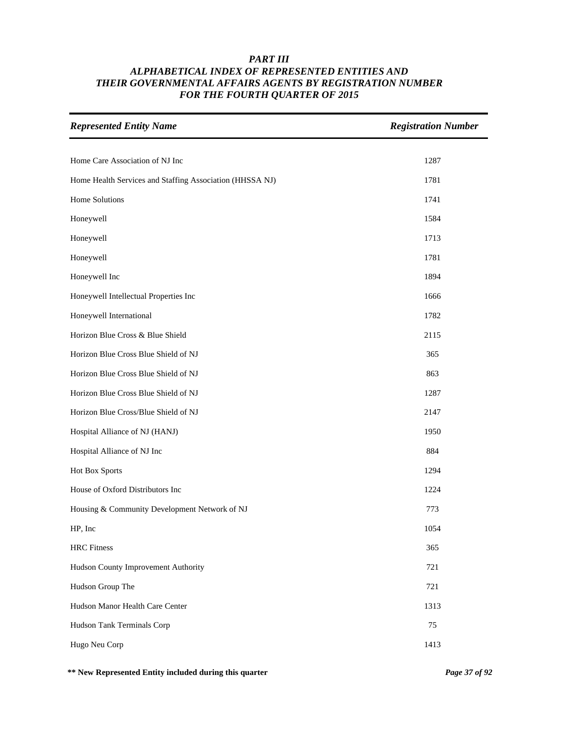| <b>Represented Entity Name</b>                           | <b>Registration Number</b> |
|----------------------------------------------------------|----------------------------|
| Home Care Association of NJ Inc                          | 1287                       |
|                                                          |                            |
| Home Health Services and Staffing Association (HHSSA NJ) | 1781                       |
| Home Solutions                                           | 1741                       |
| Honeywell                                                | 1584                       |
| Honeywell                                                | 1713                       |
| Honeywell                                                | 1781                       |
| Honeywell Inc                                            | 1894                       |
| Honeywell Intellectual Properties Inc                    | 1666                       |
| Honeywell International                                  | 1782                       |
| Horizon Blue Cross & Blue Shield                         | 2115                       |
| Horizon Blue Cross Blue Shield of NJ                     | 365                        |
| Horizon Blue Cross Blue Shield of NJ                     | 863                        |
| Horizon Blue Cross Blue Shield of NJ                     | 1287                       |
| Horizon Blue Cross/Blue Shield of NJ                     | 2147                       |
| Hospital Alliance of NJ (HANJ)                           | 1950                       |
| Hospital Alliance of NJ Inc                              | 884                        |
| Hot Box Sports                                           | 1294                       |
| House of Oxford Distributors Inc                         | 1224                       |
| Housing & Community Development Network of NJ            | 773                        |
| HP, Inc                                                  | 1054                       |
| <b>HRC</b> Fitness                                       | 365                        |
| Hudson County Improvement Authority                      | 721                        |
| Hudson Group The                                         | 721                        |
| Hudson Manor Health Care Center                          | 1313                       |
| Hudson Tank Terminals Corp                               | 75                         |
| Hugo Neu Corp                                            | 1413                       |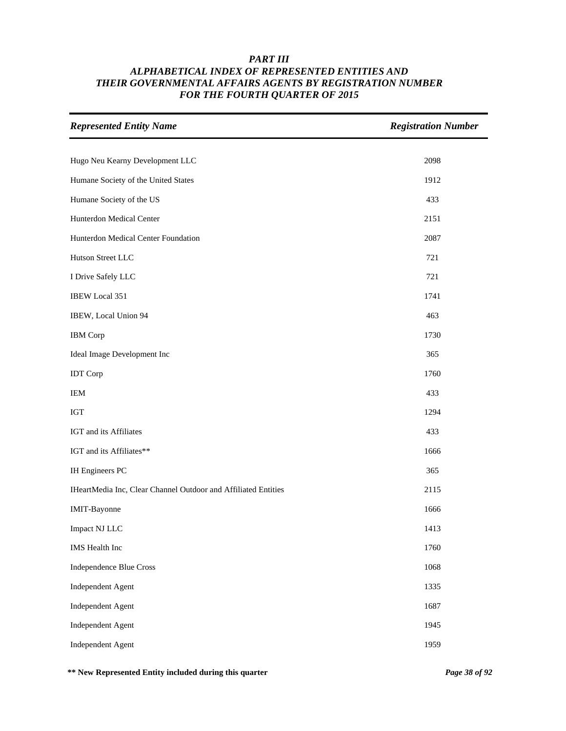| <b>Represented Entity Name</b>                                 | <b>Registration Number</b> |
|----------------------------------------------------------------|----------------------------|
|                                                                |                            |
| Hugo Neu Kearny Development LLC                                | 2098                       |
| Humane Society of the United States                            | 1912                       |
| Humane Society of the US                                       | 433                        |
| Hunterdon Medical Center                                       | 2151                       |
| Hunterdon Medical Center Foundation                            | 2087                       |
| Hutson Street LLC                                              | 721                        |
| I Drive Safely LLC                                             | 721                        |
| <b>IBEW Local 351</b>                                          | 1741                       |
| IBEW, Local Union 94                                           | 463                        |
| <b>IBM</b> Corp                                                | 1730                       |
| Ideal Image Development Inc                                    | 365                        |
| <b>IDT</b> Corp                                                | 1760                       |
| IEM                                                            | 433                        |
| <b>IGT</b>                                                     | 1294                       |
| IGT and its Affiliates                                         | 433                        |
| IGT and its Affiliates**                                       | 1666                       |
| <b>IH Engineers PC</b>                                         | 365                        |
| IHeartMedia Inc, Clear Channel Outdoor and Affiliated Entities | 2115                       |
| IMIT-Bayonne                                                   | 1666                       |
| Impact NJ LLC                                                  | 1413                       |
| <b>IMS</b> Health Inc                                          | 1760                       |
| <b>Independence Blue Cross</b>                                 | 1068                       |
| <b>Independent Agent</b>                                       | 1335                       |
| <b>Independent Agent</b>                                       | 1687                       |
| <b>Independent Agent</b>                                       | 1945                       |
| <b>Independent Agent</b>                                       | 1959                       |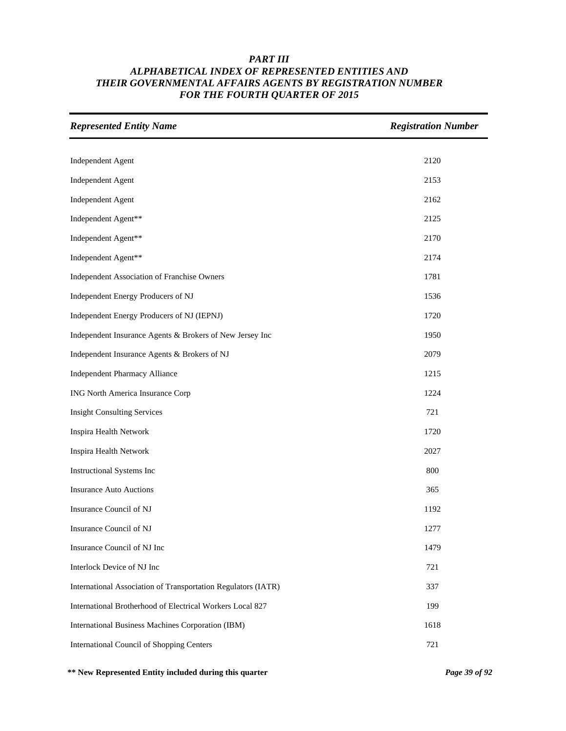| <b>Represented Entity Name</b>                                | <b>Registration Number</b> |
|---------------------------------------------------------------|----------------------------|
|                                                               |                            |
| <b>Independent Agent</b>                                      | 2120                       |
| <b>Independent Agent</b>                                      | 2153                       |
| <b>Independent Agent</b>                                      | 2162                       |
| Independent Agent**                                           | 2125                       |
| Independent Agent**                                           | 2170                       |
| Independent Agent**                                           | 2174                       |
| Independent Association of Franchise Owners                   | 1781                       |
| Independent Energy Producers of NJ                            | 1536                       |
| Independent Energy Producers of NJ (IEPNJ)                    | 1720                       |
| Independent Insurance Agents & Brokers of New Jersey Inc      | 1950                       |
| Independent Insurance Agents & Brokers of NJ                  | 2079                       |
| <b>Independent Pharmacy Alliance</b>                          | 1215                       |
| ING North America Insurance Corp                              | 1224                       |
| <b>Insight Consulting Services</b>                            | 721                        |
| Inspira Health Network                                        | 1720                       |
| Inspira Health Network                                        | 2027                       |
| Instructional Systems Inc                                     | 800                        |
| <b>Insurance Auto Auctions</b>                                | 365                        |
| Insurance Council of NJ                                       | 1192                       |
| Insurance Council of NJ                                       | 1277                       |
| Insurance Council of NJ Inc                                   | 1479                       |
| Interlock Device of NJ Inc                                    | 721                        |
| International Association of Transportation Regulators (IATR) | 337                        |
| International Brotherhood of Electrical Workers Local 827     | 199                        |
| International Business Machines Corporation (IBM)             | 1618                       |
| <b>International Council of Shopping Centers</b>              | 721                        |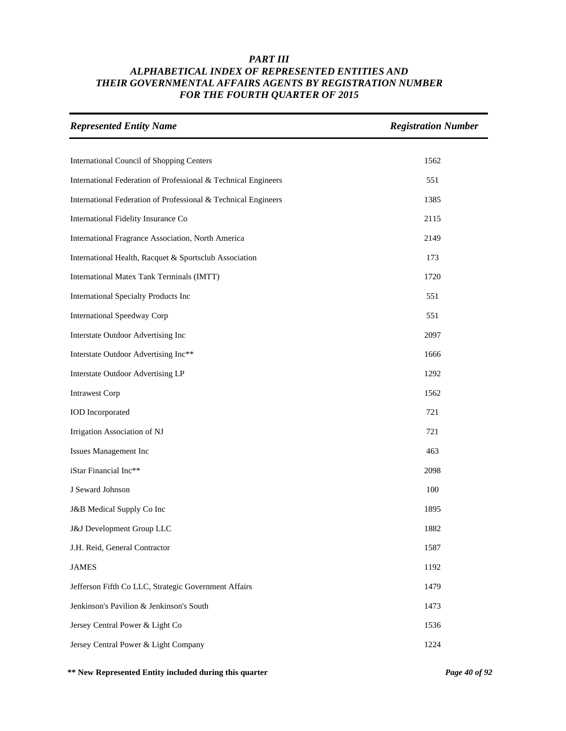| <b>Represented Entity Name</b>                                 | <b>Registration Number</b> |
|----------------------------------------------------------------|----------------------------|
|                                                                |                            |
| International Council of Shopping Centers                      | 1562                       |
| International Federation of Professional & Technical Engineers | 551                        |
| International Federation of Professional & Technical Engineers | 1385                       |
| International Fidelity Insurance Co                            | 2115                       |
| International Fragrance Association, North America             | 2149                       |
| International Health, Racquet & Sportsclub Association         | 173                        |
| International Matex Tank Terminals (IMTT)                      | 1720                       |
| International Specialty Products Inc                           | 551                        |
| <b>International Speedway Corp</b>                             | 551                        |
| Interstate Outdoor Advertising Inc                             | 2097                       |
| Interstate Outdoor Advertising Inc**                           | 1666                       |
| Interstate Outdoor Advertising LP                              | 1292                       |
| <b>Intrawest Corp</b>                                          | 1562                       |
| <b>IOD</b> Incorporated                                        | 721                        |
| Irrigation Association of NJ                                   | 721                        |
| Issues Management Inc                                          | 463                        |
| iStar Financial Inc**                                          | 2098                       |
| J Seward Johnson                                               | 100                        |
| J&B Medical Supply Co Inc                                      | 1895                       |
| J&J Development Group LLC                                      | 1882                       |
| J.H. Reid, General Contractor                                  | 1587                       |
| <b>JAMES</b>                                                   | 1192                       |
| Jefferson Fifth Co LLC, Strategic Government Affairs           | 1479                       |
| Jenkinson's Pavilion & Jenkinson's South                       | 1473                       |
| Jersey Central Power & Light Co                                | 1536                       |
| Jersey Central Power & Light Company                           | 1224                       |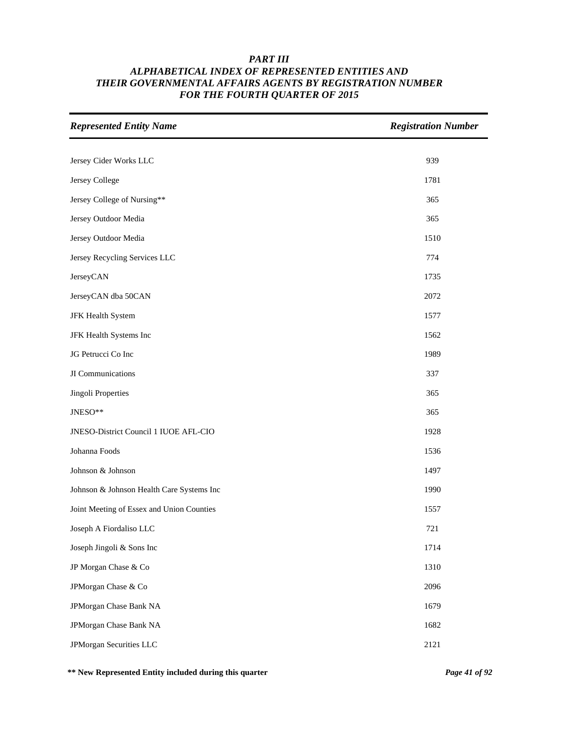| <b>Represented Entity Name</b>            | <b>Registration Number</b> |
|-------------------------------------------|----------------------------|
|                                           |                            |
| Jersey Cider Works LLC                    | 939                        |
| Jersey College                            | 1781                       |
| Jersey College of Nursing**               | 365                        |
| Jersey Outdoor Media                      | 365                        |
| Jersey Outdoor Media                      | 1510                       |
| Jersey Recycling Services LLC             | 774                        |
| JerseyCAN                                 | 1735                       |
| JerseyCAN dba 50CAN                       | 2072                       |
| JFK Health System                         | 1577                       |
| JFK Health Systems Inc                    | 1562                       |
| JG Petrucci Co Inc                        | 1989                       |
| JI Communications                         | 337                        |
| Jingoli Properties                        | 365                        |
| JNESO**                                   | 365                        |
| JNESO-District Council 1 IUOE AFL-CIO     | 1928                       |
| Johanna Foods                             | 1536                       |
| Johnson & Johnson                         | 1497                       |
| Johnson & Johnson Health Care Systems Inc | 1990                       |
| Joint Meeting of Essex and Union Counties | 1557                       |
| Joseph A Fiordaliso LLC                   | 721                        |
| Joseph Jingoli & Sons Inc                 | 1714                       |
| JP Morgan Chase & Co                      | 1310                       |
| JPMorgan Chase & Co                       | 2096                       |
| JPMorgan Chase Bank NA                    | 1679                       |
| JPMorgan Chase Bank NA                    | 1682                       |
| JPMorgan Securities LLC                   | 2121                       |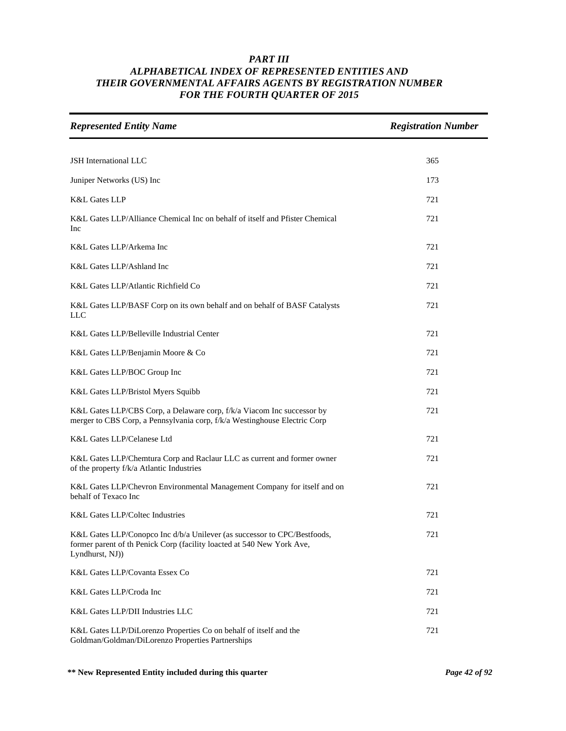| <b>Represented Entity Name</b>                                                                                                                                        | <b>Registration Number</b> |
|-----------------------------------------------------------------------------------------------------------------------------------------------------------------------|----------------------------|
| JSH International LLC                                                                                                                                                 | 365                        |
|                                                                                                                                                                       |                            |
| Juniper Networks (US) Inc                                                                                                                                             | 173                        |
| <b>K&amp;L Gates LLP</b>                                                                                                                                              | 721                        |
| K&L Gates LLP/Alliance Chemical Inc on behalf of itself and Pfister Chemical<br>Inc                                                                                   | 721                        |
| K&L Gates LLP/Arkema Inc                                                                                                                                              | 721                        |
| K&L Gates LLP/Ashland Inc                                                                                                                                             | 721                        |
| K&L Gates LLP/Atlantic Richfield Co                                                                                                                                   | 721                        |
| K&L Gates LLP/BASF Corp on its own behalf and on behalf of BASF Catalysts<br>LLC                                                                                      | 721                        |
| K&L Gates LLP/Belleville Industrial Center                                                                                                                            | 721                        |
| K&L Gates LLP/Benjamin Moore & Co                                                                                                                                     | 721                        |
| K&L Gates LLP/BOC Group Inc                                                                                                                                           | 721                        |
| K&L Gates LLP/Bristol Myers Squibb                                                                                                                                    | 721                        |
| K&L Gates LLP/CBS Corp, a Delaware corp, f/k/a Viacom Inc successor by<br>merger to CBS Corp, a Pennsylvania corp, f/k/a Westinghouse Electric Corp                   | 721                        |
| K&L Gates LLP/Celanese Ltd                                                                                                                                            | 721                        |
| K&L Gates LLP/Chemtura Corp and Raclaur LLC as current and former owner<br>of the property f/k/a Atlantic Industries                                                  | 721                        |
| K&L Gates LLP/Chevron Environmental Management Company for itself and on<br>behalf of Texaco Inc                                                                      | 721                        |
| K&L Gates LLP/Coltec Industries                                                                                                                                       | 721                        |
| K&L Gates LLP/Conopco Inc d/b/a Unilever (as successor to CPC/Bestfoods,<br>former parent of th Penick Corp (facility loacted at 540 New York Ave,<br>Lyndhurst, NJ)) | 721                        |
| K&L Gates LLP/Covanta Essex Co                                                                                                                                        | 721                        |
| K&L Gates LLP/Croda Inc                                                                                                                                               | 721                        |
| K&L Gates LLP/DII Industries LLC                                                                                                                                      | 721                        |
| K&L Gates LLP/DiLorenzo Properties Co on behalf of itself and the<br>Goldman/Goldman/DiLorenzo Properties Partnerships                                                | 721                        |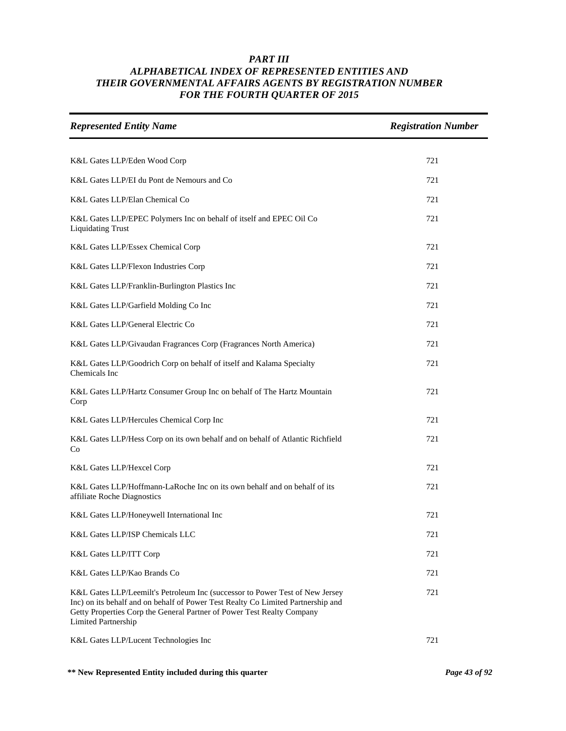| <b>Represented Entity Name</b>                                                                                                                                                                                                                                           | <b>Registration Number</b> |
|--------------------------------------------------------------------------------------------------------------------------------------------------------------------------------------------------------------------------------------------------------------------------|----------------------------|
|                                                                                                                                                                                                                                                                          | 721                        |
| K&L Gates LLP/Eden Wood Corp                                                                                                                                                                                                                                             |                            |
| K&L Gates LLP/EI du Pont de Nemours and Co                                                                                                                                                                                                                               | 721                        |
| K&L Gates LLP/Elan Chemical Co                                                                                                                                                                                                                                           | 721                        |
| K&L Gates LLP/EPEC Polymers Inc on behalf of itself and EPEC Oil Co<br><b>Liquidating Trust</b>                                                                                                                                                                          | 721                        |
| K&L Gates LLP/Essex Chemical Corp                                                                                                                                                                                                                                        | 721                        |
| K&L Gates LLP/Flexon Industries Corp                                                                                                                                                                                                                                     | 721                        |
| K&L Gates LLP/Franklin-Burlington Plastics Inc                                                                                                                                                                                                                           | 721                        |
| K&L Gates LLP/Garfield Molding Co Inc                                                                                                                                                                                                                                    | 721                        |
| K&L Gates LLP/General Electric Co                                                                                                                                                                                                                                        | 721                        |
| K&L Gates LLP/Givaudan Fragrances Corp (Fragrances North America)                                                                                                                                                                                                        | 721                        |
| K&L Gates LLP/Goodrich Corp on behalf of itself and Kalama Specialty<br>Chemicals Inc                                                                                                                                                                                    | 721                        |
| K&L Gates LLP/Hartz Consumer Group Inc on behalf of The Hartz Mountain<br>Corp                                                                                                                                                                                           | 721                        |
| K&L Gates LLP/Hercules Chemical Corp Inc                                                                                                                                                                                                                                 | 721                        |
| K&L Gates LLP/Hess Corp on its own behalf and on behalf of Atlantic Richfield<br>Co                                                                                                                                                                                      | 721                        |
| K&L Gates LLP/Hexcel Corp                                                                                                                                                                                                                                                | 721                        |
| K&L Gates LLP/Hoffmann-LaRoche Inc on its own behalf and on behalf of its<br>affiliate Roche Diagnostics                                                                                                                                                                 | 721                        |
| K&L Gates LLP/Honeywell International Inc                                                                                                                                                                                                                                | 721                        |
| K&L Gates LLP/ISP Chemicals LLC                                                                                                                                                                                                                                          | 721                        |
| K&L Gates LLP/ITT Corp                                                                                                                                                                                                                                                   | 721                        |
| K&L Gates LLP/Kao Brands Co                                                                                                                                                                                                                                              | 721                        |
| K&L Gates LLP/Leemilt's Petroleum Inc (successor to Power Test of New Jersey<br>Inc) on its behalf and on behalf of Power Test Realty Co Limited Partnership and<br>Getty Properties Corp the General Partner of Power Test Realty Company<br><b>Limited Partnership</b> | 721                        |
| K&L Gates LLP/Lucent Technologies Inc                                                                                                                                                                                                                                    | 721                        |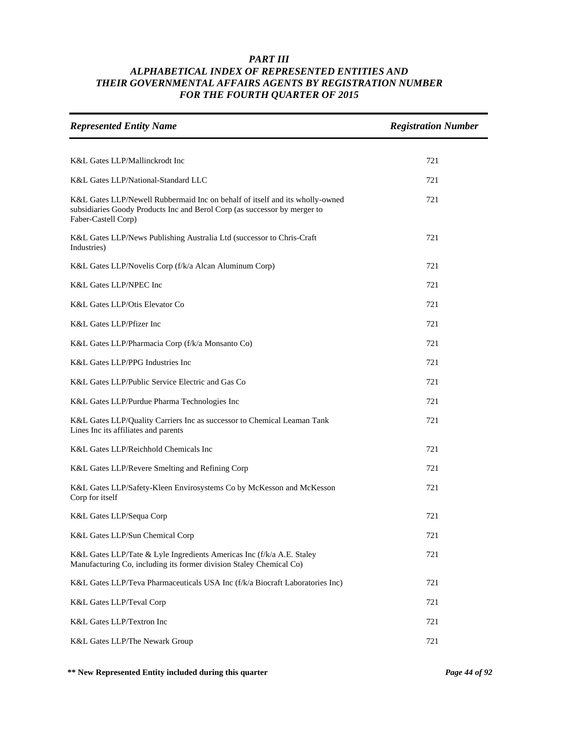| <b>Represented Entity Name</b>                                                                                                                                                   | <b>Registration Number</b> |
|----------------------------------------------------------------------------------------------------------------------------------------------------------------------------------|----------------------------|
|                                                                                                                                                                                  |                            |
| K&L Gates LLP/Mallinckrodt Inc                                                                                                                                                   | 721                        |
| K&L Gates LLP/National-Standard LLC                                                                                                                                              | 721                        |
| K&L Gates LLP/Newell Rubbermaid Inc on behalf of itself and its wholly-owned<br>subsidiaries Goody Products Inc and Berol Corp (as successor by merger to<br>Faber-Castell Corp) | 721                        |
| K&L Gates LLP/News Publishing Australia Ltd (successor to Chris-Craft<br>Industries)                                                                                             | 721                        |
| K&L Gates LLP/Novelis Corp (f/k/a Alcan Aluminum Corp)                                                                                                                           | 721                        |
| K&L Gates LLP/NPEC Inc                                                                                                                                                           | 721                        |
| K&L Gates LLP/Otis Elevator Co                                                                                                                                                   | 721                        |
| K&L Gates LLP/Pfizer Inc                                                                                                                                                         | 721                        |
| K&L Gates LLP/Pharmacia Corp (f/k/a Monsanto Co)                                                                                                                                 | 721                        |
| K&L Gates LLP/PPG Industries Inc                                                                                                                                                 | 721                        |
| K&L Gates LLP/Public Service Electric and Gas Co                                                                                                                                 | 721                        |
| K&L Gates LLP/Purdue Pharma Technologies Inc                                                                                                                                     | 721                        |
| K&L Gates LLP/Quality Carriers Inc as successor to Chemical Leaman Tank<br>Lines Inc its affiliates and parents                                                                  | 721                        |
| K&L Gates LLP/Reichhold Chemicals Inc                                                                                                                                            | 721                        |
| K&L Gates LLP/Revere Smelting and Refining Corp                                                                                                                                  | 721                        |
| K&L Gates LLP/Safety-Kleen Envirosystems Co by McKesson and McKesson<br>Corp for itself                                                                                          | 721                        |
| K&L Gates LLP/Sequa Corp                                                                                                                                                         | 721                        |
| K&L Gates LLP/Sun Chemical Corp                                                                                                                                                  | 721                        |
| K&L Gates LLP/Tate & Lyle Ingredients Americas Inc (f/k/a A.E. Staley<br>Manufacturing Co, including its former division Staley Chemical Co)                                     | 721                        |
| K&L Gates LLP/Teva Pharmaceuticals USA Inc (f/k/a Biocraft Laboratories Inc)                                                                                                     | 721                        |
| K&L Gates LLP/Teval Corp                                                                                                                                                         | 721                        |
| K&L Gates LLP/Textron Inc                                                                                                                                                        | 721                        |
| K&L Gates LLP/The Newark Group                                                                                                                                                   | 721                        |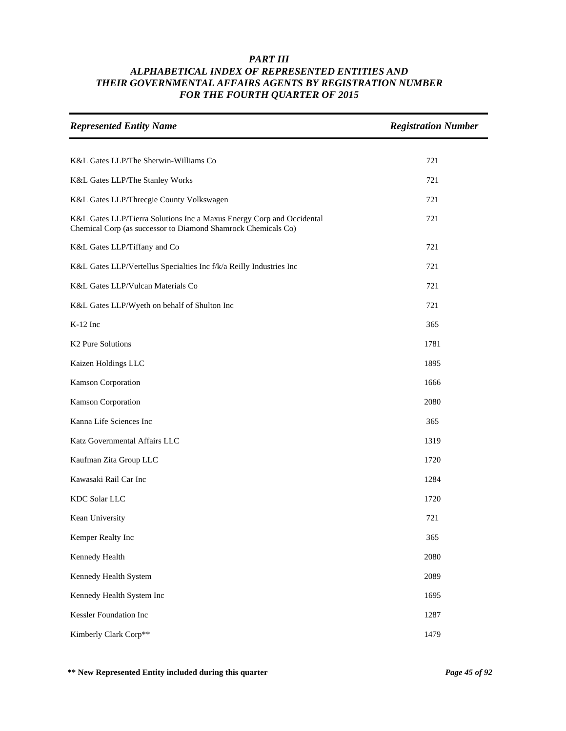| <b>Represented Entity Name</b>                                                                                                         | <b>Registration Number</b> |
|----------------------------------------------------------------------------------------------------------------------------------------|----------------------------|
|                                                                                                                                        |                            |
| K&L Gates LLP/The Sherwin-Williams Co                                                                                                  | 721                        |
| K&L Gates LLP/The Stanley Works                                                                                                        | 721                        |
| K&L Gates LLP/Threcgie County Volkswagen                                                                                               | 721                        |
| K&L Gates LLP/Tierra Solutions Inc a Maxus Energy Corp and Occidental<br>Chemical Corp (as successor to Diamond Shamrock Chemicals Co) | 721                        |
| K&L Gates LLP/Tiffany and Co                                                                                                           | 721                        |
| K&L Gates LLP/Vertellus Specialties Inc f/k/a Reilly Industries Inc                                                                    | 721                        |
| K&L Gates LLP/Vulcan Materials Co                                                                                                      | 721                        |
| K&L Gates LLP/Wyeth on behalf of Shulton Inc                                                                                           | 721                        |
| $K-12$ Inc                                                                                                                             | 365                        |
| K <sub>2</sub> Pure Solutions                                                                                                          | 1781                       |
| Kaizen Holdings LLC                                                                                                                    | 1895                       |
| Kamson Corporation                                                                                                                     | 1666                       |
| Kamson Corporation                                                                                                                     | 2080                       |
| Kanna Life Sciences Inc                                                                                                                | 365                        |
| Katz Governmental Affairs LLC                                                                                                          | 1319                       |
| Kaufman Zita Group LLC                                                                                                                 | 1720                       |
| Kawasaki Rail Car Inc                                                                                                                  | 1284                       |
| <b>KDC Solar LLC</b>                                                                                                                   | 1720                       |
| Kean University                                                                                                                        | 721                        |
| Kemper Realty Inc                                                                                                                      | 365                        |
| Kennedy Health                                                                                                                         | 2080                       |
| Kennedy Health System                                                                                                                  | 2089                       |
| Kennedy Health System Inc                                                                                                              | 1695                       |
| Kessler Foundation Inc                                                                                                                 | 1287                       |
| Kimberly Clark Corp**                                                                                                                  | 1479                       |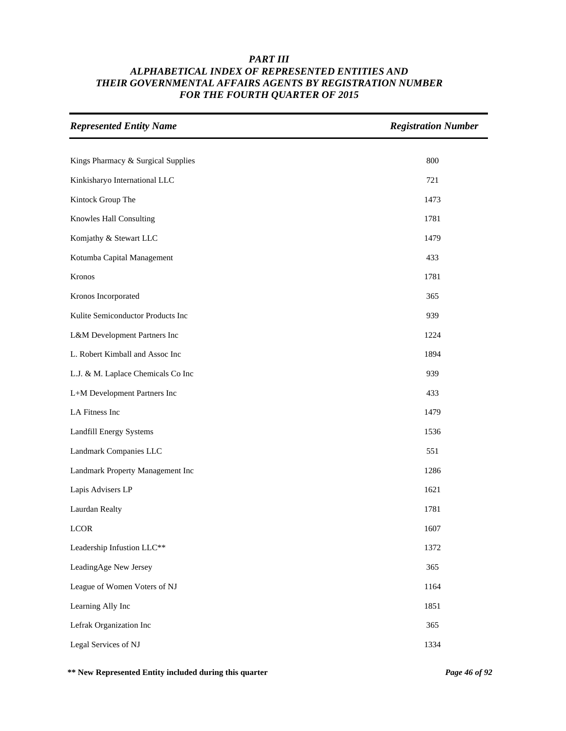| <b>Represented Entity Name</b>     | <b>Registration Number</b> |
|------------------------------------|----------------------------|
|                                    | 800                        |
| Kings Pharmacy & Surgical Supplies |                            |
| Kinkisharyo International LLC      | 721                        |
| Kintock Group The                  | 1473                       |
| Knowles Hall Consulting            | 1781                       |
| Komjathy & Stewart LLC             | 1479                       |
| Kotumba Capital Management         | 433                        |
| Kronos                             | 1781                       |
| Kronos Incorporated                | 365                        |
| Kulite Semiconductor Products Inc  | 939                        |
| L&M Development Partners Inc       | 1224                       |
| L. Robert Kimball and Assoc Inc    | 1894                       |
| L.J. & M. Laplace Chemicals Co Inc | 939                        |
| L+M Development Partners Inc       | 433                        |
| LA Fitness Inc                     | 1479                       |
| Landfill Energy Systems            | 1536                       |
| Landmark Companies LLC             | 551                        |
| Landmark Property Management Inc   | 1286                       |
| Lapis Advisers LP                  | 1621                       |
| Laurdan Realty                     | 1781                       |
| <b>LCOR</b>                        | 1607                       |
| Leadership Infustion LLC**         | 1372                       |
| LeadingAge New Jersey              | 365                        |
| League of Women Voters of NJ       | 1164                       |
| Learning Ally Inc                  | 1851                       |
| Lefrak Organization Inc            | 365                        |
| Legal Services of NJ               | 1334                       |

**\*\* New Represented Entity included during this quarter** *Page 46 of 92*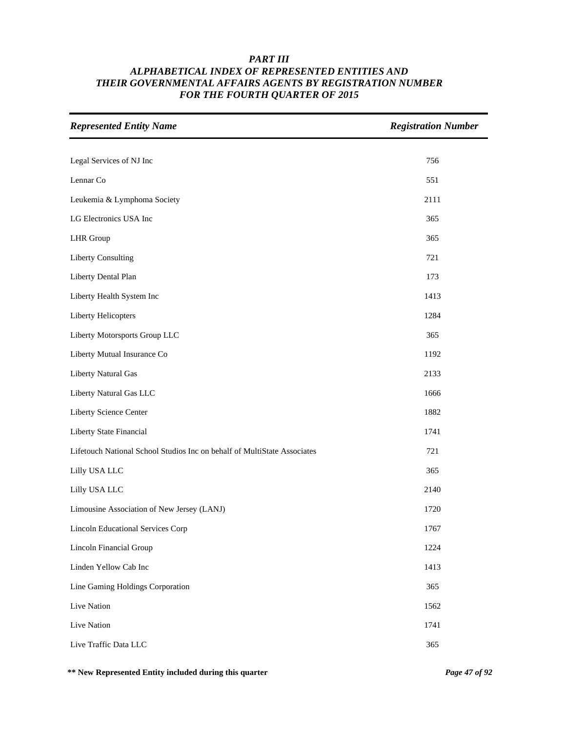| <b>Represented Entity Name</b>                                           | <b>Registration Number</b> |
|--------------------------------------------------------------------------|----------------------------|
|                                                                          |                            |
| Legal Services of NJ Inc                                                 | 756                        |
| Lennar Co                                                                | 551                        |
| Leukemia & Lymphoma Society                                              | 2111                       |
| LG Electronics USA Inc                                                   | 365                        |
| <b>LHR</b> Group                                                         | 365                        |
| <b>Liberty Consulting</b>                                                | 721                        |
| Liberty Dental Plan                                                      | 173                        |
| Liberty Health System Inc                                                | 1413                       |
| Liberty Helicopters                                                      | 1284                       |
| Liberty Motorsports Group LLC                                            | 365                        |
| Liberty Mutual Insurance Co                                              | 1192                       |
| Liberty Natural Gas                                                      | 2133                       |
| Liberty Natural Gas LLC                                                  | 1666                       |
| Liberty Science Center                                                   | 1882                       |
| Liberty State Financial                                                  | 1741                       |
| Lifetouch National School Studios Inc on behalf of MultiState Associates | 721                        |
| Lilly USA LLC                                                            | 365                        |
| Lilly USA LLC                                                            | 2140                       |
| Limousine Association of New Jersey (LANJ)                               | 1720                       |
| <b>Lincoln Educational Services Corp</b>                                 | 1767                       |
| Lincoln Financial Group                                                  | 1224                       |
| Linden Yellow Cab Inc                                                    | 1413                       |
| Line Gaming Holdings Corporation                                         | 365                        |
| Live Nation                                                              | 1562                       |
| Live Nation                                                              | 1741                       |
| Live Traffic Data LLC                                                    | 365                        |

**\*\* New Represented Entity included during this quarter** *Page 47 of 92*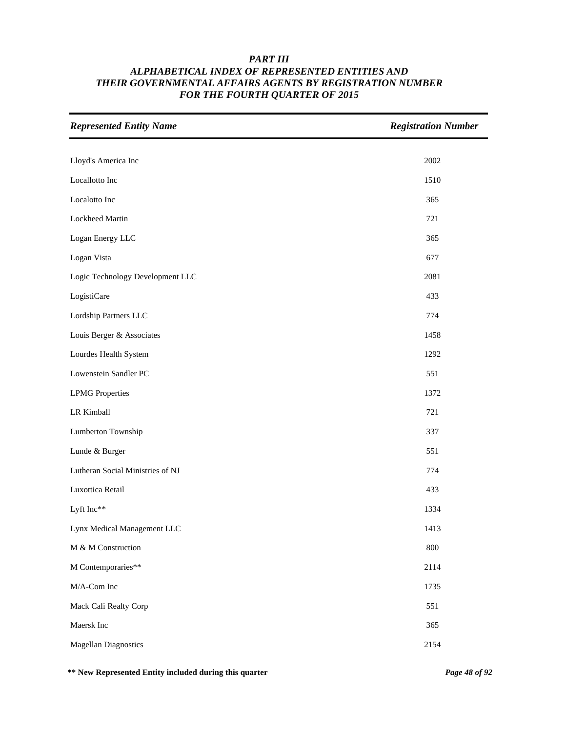| <b>Represented Entity Name</b>   | <b>Registration Number</b> |
|----------------------------------|----------------------------|
| Lloyd's America Inc              | 2002                       |
| Locallotto Inc                   | 1510                       |
| Localotto Inc                    | 365                        |
| Lockheed Martin                  | 721                        |
|                                  |                            |
| Logan Energy LLC                 | 365                        |
| Logan Vista                      | 677                        |
| Logic Technology Development LLC | 2081                       |
| LogistiCare                      | 433                        |
| Lordship Partners LLC            | 774                        |
| Louis Berger & Associates        | 1458                       |
| Lourdes Health System            | 1292                       |
| Lowenstein Sandler PC            | 551                        |
| <b>LPMG</b> Properties           | 1372                       |
| LR Kimball                       | 721                        |
| Lumberton Township               | 337                        |
| Lunde & Burger                   | 551                        |
| Lutheran Social Ministries of NJ | 774                        |
| Luxottica Retail                 | 433                        |
| Lyft Inc**                       | 1334                       |
| Lynx Medical Management LLC      | 1413                       |
| M & M Construction               | 800                        |
| M Contemporaries**               | 2114                       |
| M/A-Com Inc                      | 1735                       |
| Mack Cali Realty Corp            | 551                        |
| Maersk Inc                       | 365                        |
| <b>Magellan Diagnostics</b>      | 2154                       |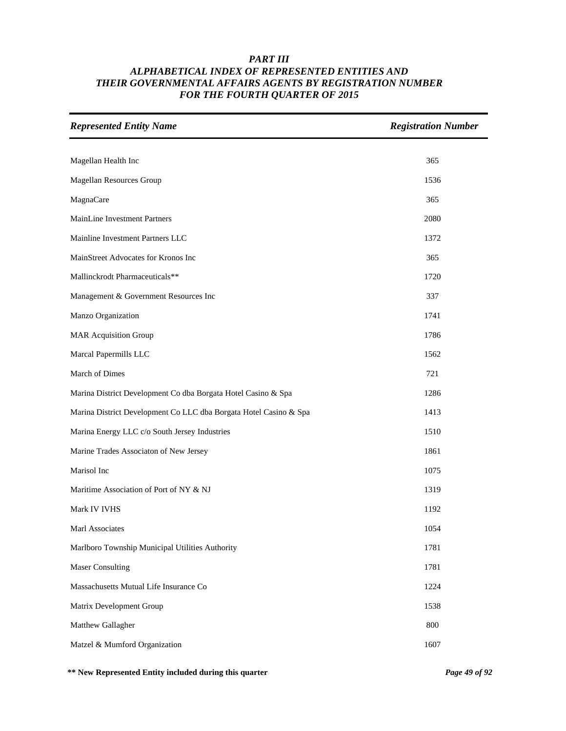| <b>Represented Entity Name</b>                                    | <b>Registration Number</b> |
|-------------------------------------------------------------------|----------------------------|
|                                                                   |                            |
| Magellan Health Inc                                               | 365                        |
| Magellan Resources Group                                          | 1536                       |
| <b>MagnaCare</b>                                                  | 365                        |
| MainLine Investment Partners                                      | 2080                       |
| Mainline Investment Partners LLC                                  | 1372                       |
| MainStreet Advocates for Kronos Inc                               | 365                        |
| Mallinckrodt Pharmaceuticals**                                    | 1720                       |
| Management & Government Resources Inc                             | 337                        |
| Manzo Organization                                                | 1741                       |
| <b>MAR Acquisition Group</b>                                      | 1786                       |
| Marcal Papermills LLC                                             | 1562                       |
| March of Dimes                                                    | 721                        |
| Marina District Development Co dba Borgata Hotel Casino & Spa     | 1286                       |
| Marina District Development Co LLC dba Borgata Hotel Casino & Spa | 1413                       |
| Marina Energy LLC c/o South Jersey Industries                     | 1510                       |
| Marine Trades Associaton of New Jersey                            | 1861                       |
| Marisol Inc                                                       | 1075                       |
| Maritime Association of Port of NY & NJ                           | 1319                       |
| Mark IV IVHS                                                      | 1192                       |
| Marl Associates                                                   | 1054                       |
| Marlboro Township Municipal Utilities Authority                   | 1781                       |
| <b>Maser Consulting</b>                                           | 1781                       |
| Massachusetts Mutual Life Insurance Co                            | 1224                       |
| Matrix Development Group                                          | 1538                       |
| Matthew Gallagher                                                 | 800                        |
| Matzel & Mumford Organization                                     | 1607                       |

**\*\* New Represented Entity included during this quarter** *Page 49 of 92*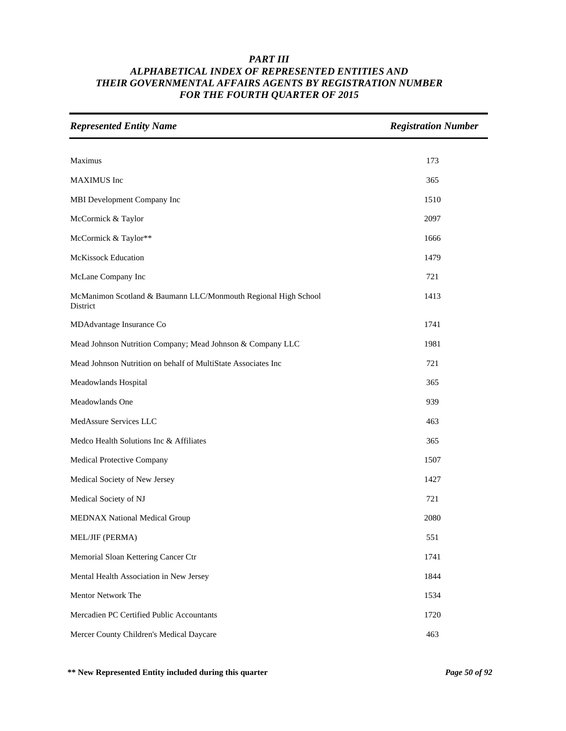| <b>Represented Entity Name</b>                                             | <b>Registration Number</b> |
|----------------------------------------------------------------------------|----------------------------|
| Maximus                                                                    | 173                        |
| <b>MAXIMUS</b> Inc                                                         | 365                        |
|                                                                            |                            |
| MBI Development Company Inc                                                | 1510                       |
| McCormick & Taylor                                                         | 2097                       |
| McCormick & Taylor**                                                       | 1666                       |
| <b>McKissock Education</b>                                                 | 1479                       |
| McLane Company Inc                                                         | 721                        |
| McManimon Scotland & Baumann LLC/Monmouth Regional High School<br>District | 1413                       |
| MDAdvantage Insurance Co                                                   | 1741                       |
| Mead Johnson Nutrition Company; Mead Johnson & Company LLC                 | 1981                       |
| Mead Johnson Nutrition on behalf of MultiState Associates Inc              | 721                        |
| Meadowlands Hospital                                                       | 365                        |
| Meadowlands One                                                            | 939                        |
| MedAssure Services LLC                                                     | 463                        |
| Medco Health Solutions Inc & Affiliates                                    | 365                        |
| Medical Protective Company                                                 | 1507                       |
| Medical Society of New Jersey                                              | 1427                       |
| Medical Society of NJ                                                      | 721                        |
| <b>MEDNAX National Medical Group</b>                                       | 2080                       |
| MEL/JIF (PERMA)                                                            | 551                        |
| Memorial Sloan Kettering Cancer Ctr                                        | 1741                       |
| Mental Health Association in New Jersey                                    | 1844                       |
| Mentor Network The                                                         | 1534                       |
| Mercadien PC Certified Public Accountants                                  | 1720                       |
| Mercer County Children's Medical Daycare                                   | 463                        |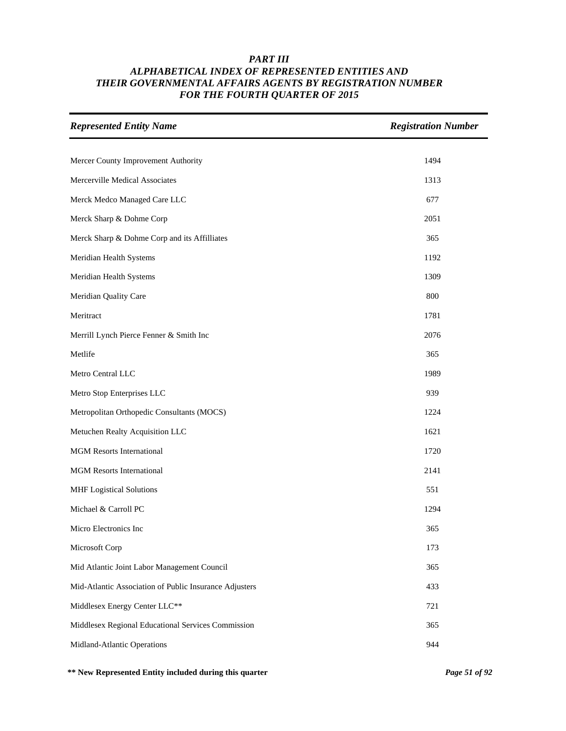| <b>Represented Entity Name</b>                         | <b>Registration Number</b> |
|--------------------------------------------------------|----------------------------|
|                                                        |                            |
| Mercer County Improvement Authority                    | 1494                       |
| Mercerville Medical Associates                         | 1313                       |
| Merck Medco Managed Care LLC                           | 677                        |
| Merck Sharp & Dohme Corp                               | 2051                       |
| Merck Sharp & Dohme Corp and its Affilliates           | 365                        |
| Meridian Health Systems                                | 1192                       |
| Meridian Health Systems                                | 1309                       |
| Meridian Quality Care                                  | 800                        |
| Meritract                                              | 1781                       |
| Merrill Lynch Pierce Fenner & Smith Inc                | 2076                       |
| Metlife                                                | 365                        |
| Metro Central LLC                                      | 1989                       |
| Metro Stop Enterprises LLC                             | 939                        |
| Metropolitan Orthopedic Consultants (MOCS)             | 1224                       |
| Metuchen Realty Acquisition LLC                        | 1621                       |
| <b>MGM Resorts International</b>                       | 1720                       |
| <b>MGM Resorts International</b>                       | 2141                       |
| <b>MHF</b> Logistical Solutions                        | 551                        |
| Michael & Carroll PC                                   | 1294                       |
| Micro Electronics Inc                                  | 365                        |
| Microsoft Corp                                         | 173                        |
| Mid Atlantic Joint Labor Management Council            | 365                        |
| Mid-Atlantic Association of Public Insurance Adjusters | 433                        |
| Middlesex Energy Center LLC**                          | 721                        |
| Middlesex Regional Educational Services Commission     | 365                        |
| Midland-Atlantic Operations                            | 944                        |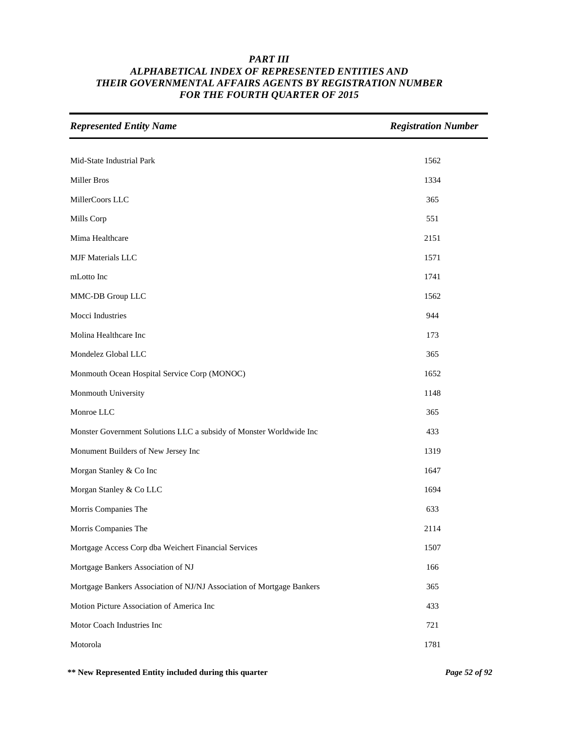| <b>Represented Entity Name</b>                                        | <b>Registration Number</b> |
|-----------------------------------------------------------------------|----------------------------|
|                                                                       |                            |
| Mid-State Industrial Park                                             | 1562                       |
| Miller Bros                                                           | 1334                       |
| MillerCoors LLC                                                       | 365                        |
| Mills Corp                                                            | 551                        |
| Mima Healthcare                                                       | 2151                       |
| <b>MJF Materials LLC</b>                                              | 1571                       |
| mLotto Inc                                                            | 1741                       |
| MMC-DB Group LLC                                                      | 1562                       |
| Mocci Industries                                                      | 944                        |
| Molina Healthcare Inc                                                 | 173                        |
| Mondelez Global LLC                                                   | 365                        |
| Monmouth Ocean Hospital Service Corp (MONOC)                          | 1652                       |
| Monmouth University                                                   | 1148                       |
| Monroe LLC                                                            | 365                        |
| Monster Government Solutions LLC a subsidy of Monster Worldwide Inc   | 433                        |
| Monument Builders of New Jersey Inc                                   | 1319                       |
| Morgan Stanley & Co Inc                                               | 1647                       |
| Morgan Stanley & Co LLC                                               | 1694                       |
| Morris Companies The                                                  | 633                        |
| Morris Companies The                                                  | 2114                       |
| Mortgage Access Corp dba Weichert Financial Services                  | 1507                       |
| Mortgage Bankers Association of NJ                                    | 166                        |
| Mortgage Bankers Association of NJ/NJ Association of Mortgage Bankers | 365                        |
| Motion Picture Association of America Inc                             | 433                        |
| Motor Coach Industries Inc                                            | 721                        |
| Motorola                                                              | 1781                       |

**\*\* New Represented Entity included during this quarter** *Page 52 of 92*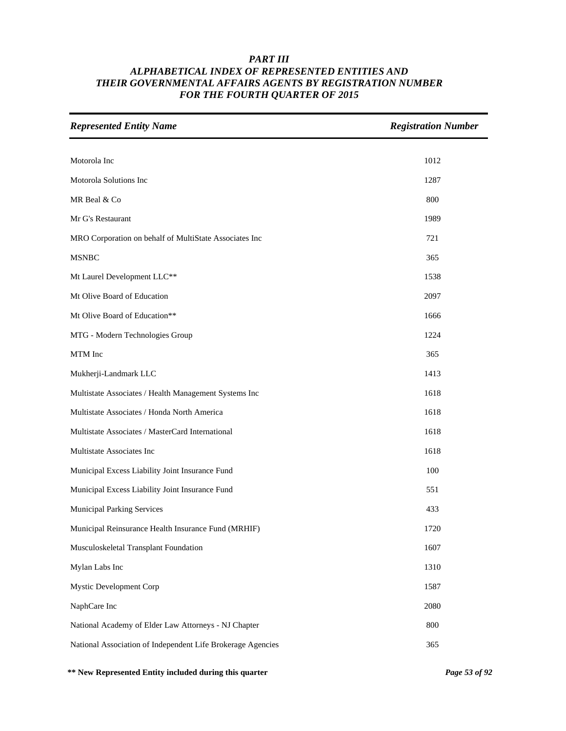| <b>Represented Entity Name</b>                              | <b>Registration Number</b> |
|-------------------------------------------------------------|----------------------------|
|                                                             |                            |
| Motorola Inc                                                | 1012                       |
| Motorola Solutions Inc                                      | 1287                       |
| MR Beal & Co                                                | 800                        |
| Mr G's Restaurant                                           | 1989                       |
| MRO Corporation on behalf of MultiState Associates Inc      | 721                        |
| <b>MSNBC</b>                                                | 365                        |
| Mt Laurel Development LLC**                                 | 1538                       |
| Mt Olive Board of Education                                 | 2097                       |
| Mt Olive Board of Education**                               | 1666                       |
| MTG - Modern Technologies Group                             | 1224                       |
| MTM Inc                                                     | 365                        |
| Mukherji-Landmark LLC                                       | 1413                       |
| Multistate Associates / Health Management Systems Inc       | 1618                       |
| Multistate Associates / Honda North America                 | 1618                       |
| Multistate Associates / MasterCard International            | 1618                       |
| Multistate Associates Inc                                   | 1618                       |
| Municipal Excess Liability Joint Insurance Fund             | 100                        |
| Municipal Excess Liability Joint Insurance Fund             | 551                        |
| <b>Municipal Parking Services</b>                           | 433                        |
| Municipal Reinsurance Health Insurance Fund (MRHIF)         | 1720                       |
| Musculoskeletal Transplant Foundation                       | 1607                       |
| Mylan Labs Inc                                              | 1310                       |
| Mystic Development Corp                                     | 1587                       |
| NaphCare Inc                                                | 2080                       |
| National Academy of Elder Law Attorneys - NJ Chapter        | 800                        |
| National Association of Independent Life Brokerage Agencies | 365                        |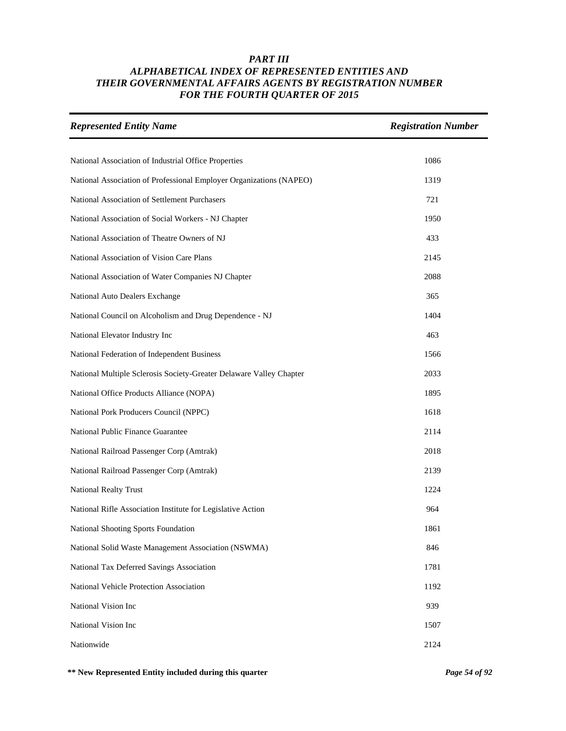| <b>Represented Entity Name</b>                                      | <b>Registration Number</b> |
|---------------------------------------------------------------------|----------------------------|
| National Association of Industrial Office Properties                | 1086                       |
| National Association of Professional Employer Organizations (NAPEO) | 1319                       |
| National Association of Settlement Purchasers                       | 721                        |
| National Association of Social Workers - NJ Chapter                 | 1950                       |
| National Association of Theatre Owners of NJ                        | 433                        |
| National Association of Vision Care Plans                           | 2145                       |
| National Association of Water Companies NJ Chapter                  | 2088                       |
| National Auto Dealers Exchange                                      | 365                        |
| National Council on Alcoholism and Drug Dependence - NJ             | 1404                       |
| National Elevator Industry Inc                                      | 463                        |
| National Federation of Independent Business                         | 1566                       |
| National Multiple Sclerosis Society-Greater Delaware Valley Chapter | 2033                       |
| National Office Products Alliance (NOPA)                            | 1895                       |
| National Pork Producers Council (NPPC)                              | 1618                       |
| National Public Finance Guarantee                                   | 2114                       |
| National Railroad Passenger Corp (Amtrak)                           | 2018                       |
| National Railroad Passenger Corp (Amtrak)                           | 2139                       |
| <b>National Realty Trust</b>                                        | 1224                       |
| National Rifle Association Institute for Legislative Action         | 964                        |
| National Shooting Sports Foundation                                 | 1861                       |
| National Solid Waste Management Association (NSWMA)                 | 846                        |
| National Tax Deferred Savings Association                           | 1781                       |
| National Vehicle Protection Association                             | 1192                       |
| National Vision Inc                                                 | 939                        |
| National Vision Inc                                                 | 1507                       |
| Nationwide                                                          | 2124                       |

**\*\* New Represented Entity included during this quarter** *Page 54 of 92*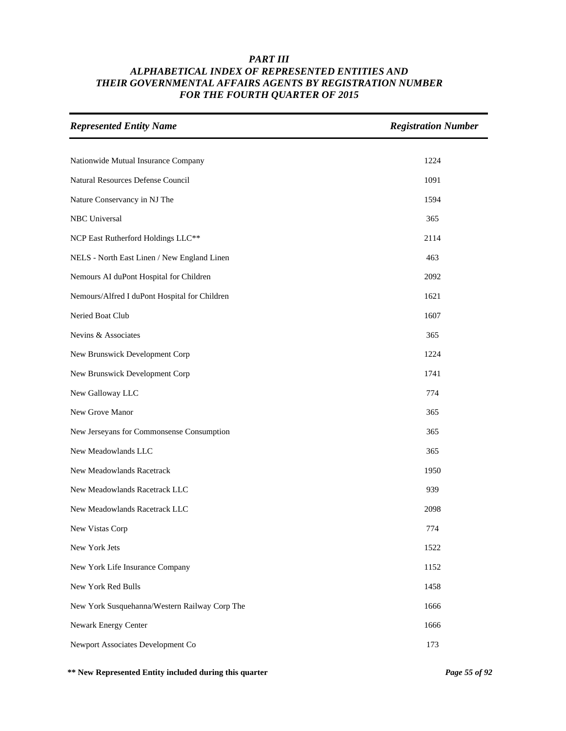| <b>Represented Entity Name</b>                | <b>Registration Number</b> |
|-----------------------------------------------|----------------------------|
|                                               |                            |
| Nationwide Mutual Insurance Company           | 1224                       |
| Natural Resources Defense Council             | 1091                       |
| Nature Conservancy in NJ The                  | 1594                       |
| NBC Universal                                 | 365                        |
| NCP East Rutherford Holdings LLC**            | 2114                       |
| NELS - North East Linen / New England Linen   | 463                        |
| Nemours AI duPont Hospital for Children       | 2092                       |
| Nemours/Alfred I duPont Hospital for Children | 1621                       |
| Neried Boat Club                              | 1607                       |
| Nevins & Associates                           | 365                        |
| New Brunswick Development Corp                | 1224                       |
| New Brunswick Development Corp                | 1741                       |
| New Galloway LLC                              | 774                        |
| New Grove Manor                               | 365                        |
| New Jerseyans for Commonsense Consumption     | 365                        |
| New Meadowlands LLC                           | 365                        |
| New Meadowlands Racetrack                     | 1950                       |
| New Meadowlands Racetrack LLC                 | 939                        |
| New Meadowlands Racetrack LLC                 | 2098                       |
| New Vistas Corp                               | 774                        |
| New York Jets                                 | 1522                       |
| New York Life Insurance Company               | 1152                       |
| New York Red Bulls                            | 1458                       |
| New York Susquehanna/Western Railway Corp The | 1666                       |
| Newark Energy Center                          | 1666                       |
| Newport Associates Development Co             | 173                        |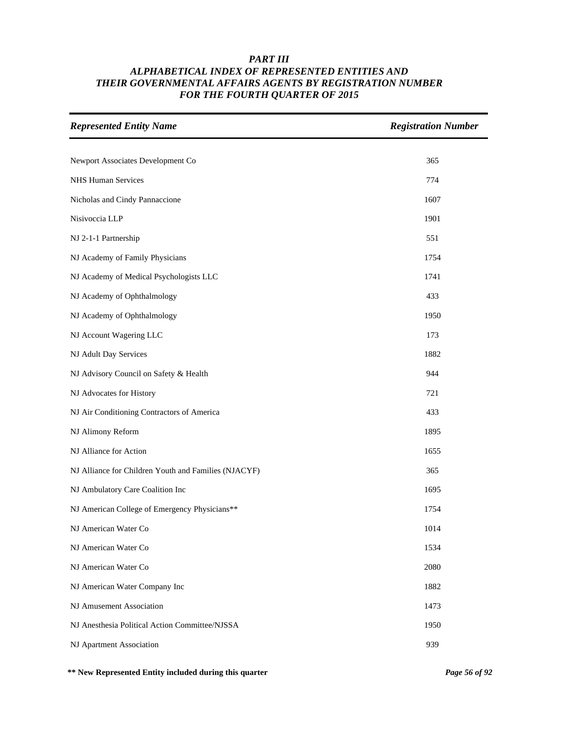| <b>Represented Entity Name</b>                       | <b>Registration Number</b> |
|------------------------------------------------------|----------------------------|
| Newport Associates Development Co                    | 365                        |
| <b>NHS Human Services</b>                            | 774                        |
| Nicholas and Cindy Pannaccione                       | 1607                       |
| Nisivoccia LLP                                       | 1901                       |
| NJ 2-1-1 Partnership                                 | 551                        |
| NJ Academy of Family Physicians                      | 1754                       |
| NJ Academy of Medical Psychologists LLC              | 1741                       |
| NJ Academy of Ophthalmology                          | 433                        |
| NJ Academy of Ophthalmology                          | 1950                       |
| NJ Account Wagering LLC                              | 173                        |
| NJ Adult Day Services                                | 1882                       |
| NJ Advisory Council on Safety & Health               | 944                        |
| NJ Advocates for History                             | 721                        |
| NJ Air Conditioning Contractors of America           | 433                        |
| NJ Alimony Reform                                    | 1895                       |
| NJ Alliance for Action                               | 1655                       |
| NJ Alliance for Children Youth and Families (NJACYF) | 365                        |
| NJ Ambulatory Care Coalition Inc                     | 1695                       |
| NJ American College of Emergency Physicians**        | 1754                       |
| NJ American Water Co                                 | 1014                       |
| NJ American Water Co                                 | 1534                       |
| NJ American Water Co                                 | 2080                       |
| NJ American Water Company Inc                        | 1882                       |
| NJ Amusement Association                             | 1473                       |
| NJ Anesthesia Political Action Committee/NJSSA       | 1950                       |
| NJ Apartment Association                             | 939                        |

**\*\* New Represented Entity included during this quarter** *Page 56 of 92*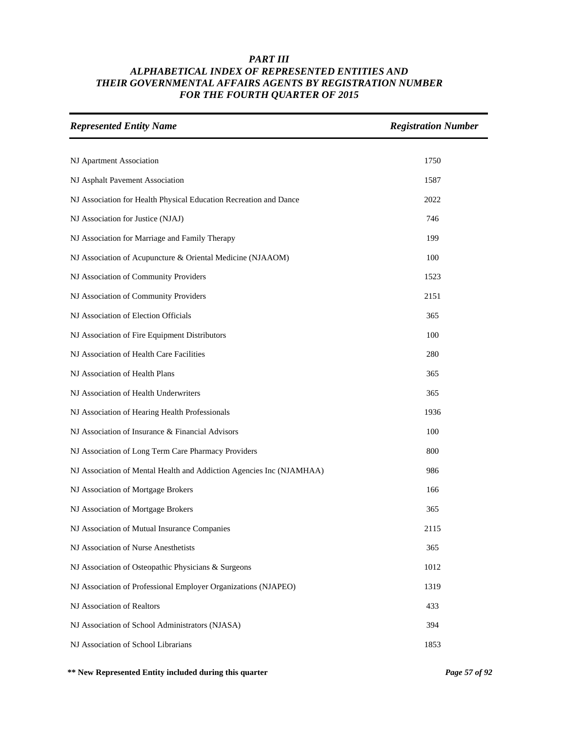| <b>Represented Entity Name</b>                                       | <b>Registration Number</b> |
|----------------------------------------------------------------------|----------------------------|
|                                                                      |                            |
| NJ Apartment Association                                             | 1750                       |
| NJ Asphalt Pavement Association                                      | 1587                       |
| NJ Association for Health Physical Education Recreation and Dance    | 2022                       |
| NJ Association for Justice (NJAJ)                                    | 746                        |
| NJ Association for Marriage and Family Therapy                       | 199                        |
| NJ Association of Acupuncture & Oriental Medicine (NJAAOM)           | 100                        |
| NJ Association of Community Providers                                | 1523                       |
| NJ Association of Community Providers                                | 2151                       |
| NJ Association of Election Officials                                 | 365                        |
| NJ Association of Fire Equipment Distributors                        | 100                        |
| NJ Association of Health Care Facilities                             | 280                        |
| NJ Association of Health Plans                                       | 365                        |
| NJ Association of Health Underwriters                                | 365                        |
| NJ Association of Hearing Health Professionals                       | 1936                       |
| NJ Association of Insurance & Financial Advisors                     | 100                        |
| NJ Association of Long Term Care Pharmacy Providers                  | 800                        |
| NJ Association of Mental Health and Addiction Agencies Inc (NJAMHAA) | 986                        |
| NJ Association of Mortgage Brokers                                   | 166                        |
| NJ Association of Mortgage Brokers                                   | 365                        |
| NJ Association of Mutual Insurance Companies                         | 2115                       |
| NJ Association of Nurse Anesthetists                                 | 365                        |
| NJ Association of Osteopathic Physicians & Surgeons                  | 1012                       |
| NJ Association of Professional Employer Organizations (NJAPEO)       | 1319                       |
| NJ Association of Realtors                                           | 433                        |
| NJ Association of School Administrators (NJASA)                      | 394                        |
| NJ Association of School Librarians                                  | 1853                       |

**\*\* New Represented Entity included during this quarter** *Page 57 of 92*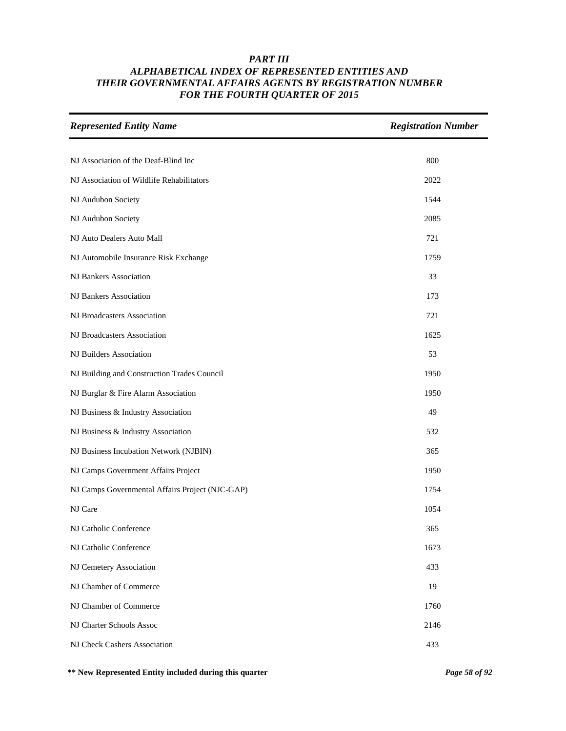| <b>Represented Entity Name</b>                  | <b>Registration Number</b> |
|-------------------------------------------------|----------------------------|
|                                                 |                            |
| NJ Association of the Deaf-Blind Inc            | 800                        |
| NJ Association of Wildlife Rehabilitators       | 2022                       |
| NJ Audubon Society                              | 1544                       |
| NJ Audubon Society                              | 2085                       |
| NJ Auto Dealers Auto Mall                       | 721                        |
| NJ Automobile Insurance Risk Exchange           | 1759                       |
| NJ Bankers Association                          | 33                         |
| NJ Bankers Association                          | 173                        |
| NJ Broadcasters Association                     | 721                        |
| NJ Broadcasters Association                     | 1625                       |
| NJ Builders Association                         | 53                         |
| NJ Building and Construction Trades Council     | 1950                       |
| NJ Burglar & Fire Alarm Association             | 1950                       |
| NJ Business & Industry Association              | 49                         |
| NJ Business & Industry Association              | 532                        |
| NJ Business Incubation Network (NJBIN)          | 365                        |
| NJ Camps Government Affairs Project             | 1950                       |
| NJ Camps Governmental Affairs Project (NJC-GAP) | 1754                       |
| NJ Care                                         | 1054                       |
| NJ Catholic Conference                          | 365                        |
| NJ Catholic Conference                          | 1673                       |
| NJ Cemetery Association                         | 433                        |
| NJ Chamber of Commerce                          | 19                         |
| NJ Chamber of Commerce                          | 1760                       |
| NJ Charter Schools Assoc                        | 2146                       |
| NJ Check Cashers Association                    | 433                        |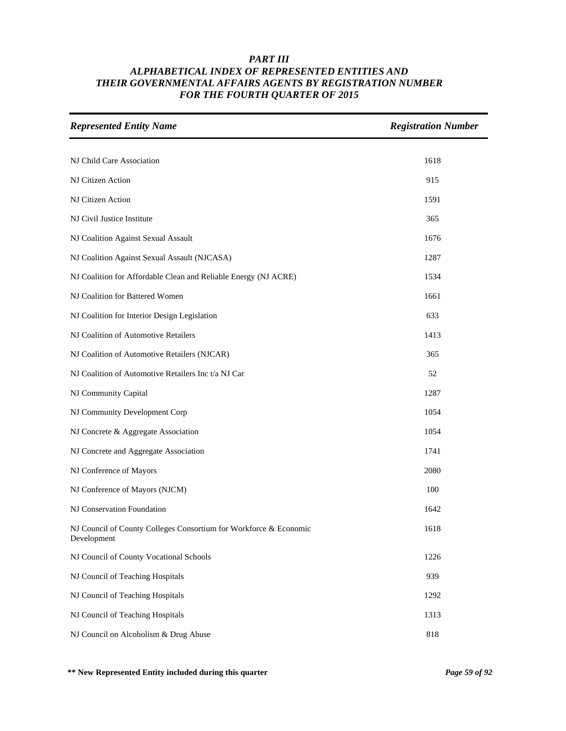| <b>Represented Entity Name</b>                                                   | <b>Registration Number</b> |
|----------------------------------------------------------------------------------|----------------------------|
|                                                                                  |                            |
| NJ Child Care Association                                                        | 1618                       |
| NJ Citizen Action                                                                | 915                        |
| NJ Citizen Action                                                                | 1591                       |
| NJ Civil Justice Institute                                                       | 365                        |
| NJ Coalition Against Sexual Assault                                              | 1676                       |
| NJ Coalition Against Sexual Assault (NJCASA)                                     | 1287                       |
| NJ Coalition for Affordable Clean and Reliable Energy (NJ ACRE)                  | 1534                       |
| NJ Coalition for Battered Women                                                  | 1661                       |
| NJ Coalition for Interior Design Legislation                                     | 633                        |
| NJ Coalition of Automotive Retailers                                             | 1413                       |
| NJ Coalition of Automotive Retailers (NJCAR)                                     | 365                        |
| NJ Coalition of Automotive Retailers Inc t/a NJ Car                              | 52                         |
| NJ Community Capital                                                             | 1287                       |
| NJ Community Development Corp                                                    | 1054                       |
| NJ Concrete & Aggregate Association                                              | 1054                       |
| NJ Concrete and Aggregate Association                                            | 1741                       |
| NJ Conference of Mayors                                                          | 2080                       |
| NJ Conference of Mayors (NJCM)                                                   | 100                        |
| NJ Conservation Foundation                                                       | 1642                       |
| NJ Council of County Colleges Consortium for Workforce & Economic<br>Development | 1618                       |
| NJ Council of County Vocational Schools                                          | 1226                       |
| NJ Council of Teaching Hospitals                                                 | 939                        |
| NJ Council of Teaching Hospitals                                                 | 1292                       |
| NJ Council of Teaching Hospitals                                                 | 1313                       |
| NJ Council on Alcoholism & Drug Abuse                                            | 818                        |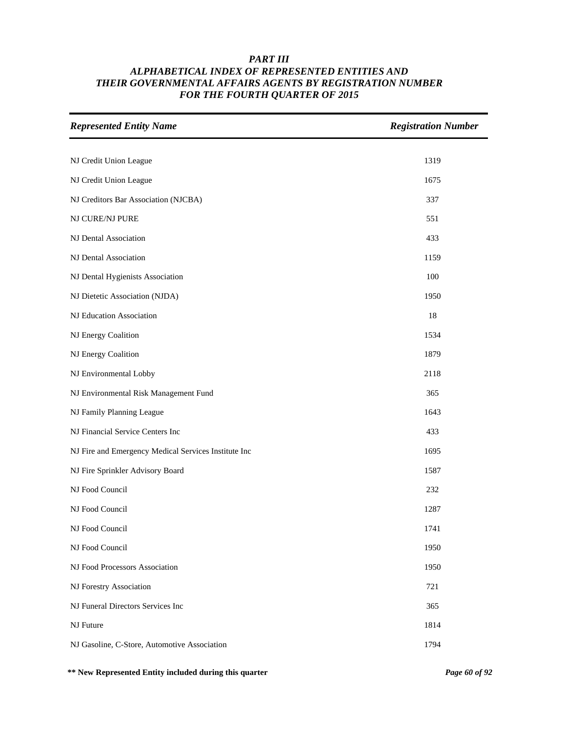| <b>Represented Entity Name</b>                       | <b>Registration Number</b> |
|------------------------------------------------------|----------------------------|
|                                                      |                            |
| NJ Credit Union League                               | 1319                       |
| NJ Credit Union League                               | 1675                       |
| NJ Creditors Bar Association (NJCBA)                 | 337                        |
| NJ CURE/NJ PURE                                      | 551                        |
| NJ Dental Association                                | 433                        |
| NJ Dental Association                                | 1159                       |
| NJ Dental Hygienists Association                     | 100                        |
| NJ Dietetic Association (NJDA)                       | 1950                       |
| NJ Education Association                             | 18                         |
| NJ Energy Coalition                                  | 1534                       |
| NJ Energy Coalition                                  | 1879                       |
| NJ Environmental Lobby                               | 2118                       |
| NJ Environmental Risk Management Fund                | 365                        |
| NJ Family Planning League                            | 1643                       |
| NJ Financial Service Centers Inc                     | 433                        |
| NJ Fire and Emergency Medical Services Institute Inc | 1695                       |
| NJ Fire Sprinkler Advisory Board                     | 1587                       |
| NJ Food Council                                      | 232                        |
| NJ Food Council                                      | 1287                       |
| NJ Food Council                                      | 1741                       |
| NJ Food Council                                      | 1950                       |
| NJ Food Processors Association                       | 1950                       |
| NJ Forestry Association                              | 721                        |
| NJ Funeral Directors Services Inc                    | 365                        |
| NJ Future                                            | 1814                       |
| NJ Gasoline, C-Store, Automotive Association         | 1794                       |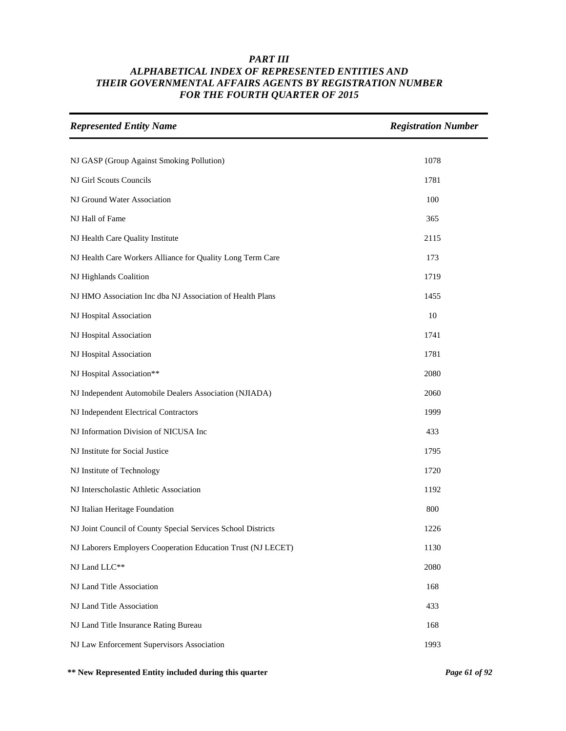| <b>Represented Entity Name</b>                               | <b>Registration Number</b> |
|--------------------------------------------------------------|----------------------------|
|                                                              |                            |
| NJ GASP (Group Against Smoking Pollution)                    | 1078                       |
| NJ Girl Scouts Councils                                      | 1781                       |
| NJ Ground Water Association                                  | 100                        |
| NJ Hall of Fame                                              | 365                        |
| NJ Health Care Quality Institute                             | 2115                       |
| NJ Health Care Workers Alliance for Quality Long Term Care   | 173                        |
| NJ Highlands Coalition                                       | 1719                       |
| NJ HMO Association Inc dba NJ Association of Health Plans    | 1455                       |
| NJ Hospital Association                                      | 10                         |
| NJ Hospital Association                                      | 1741                       |
| NJ Hospital Association                                      | 1781                       |
| NJ Hospital Association**                                    | 2080                       |
| NJ Independent Automobile Dealers Association (NJIADA)       | 2060                       |
| NJ Independent Electrical Contractors                        | 1999                       |
| NJ Information Division of NICUSA Inc                        | 433                        |
| NJ Institute for Social Justice                              | 1795                       |
| NJ Institute of Technology                                   | 1720                       |
| NJ Interscholastic Athletic Association                      | 1192                       |
| NJ Italian Heritage Foundation                               | 800                        |
| NJ Joint Council of County Special Services School Districts | 1226                       |
| NJ Laborers Employers Cooperation Education Trust (NJ LECET) | 1130                       |
| NJ Land LLC**                                                | 2080                       |
| NJ Land Title Association                                    | 168                        |
| NJ Land Title Association                                    | 433                        |
| NJ Land Title Insurance Rating Bureau                        | 168                        |
| NJ Law Enforcement Supervisors Association                   | 1993                       |

**\*\* New Represented Entity included during this quarter** *Page 61 of 92*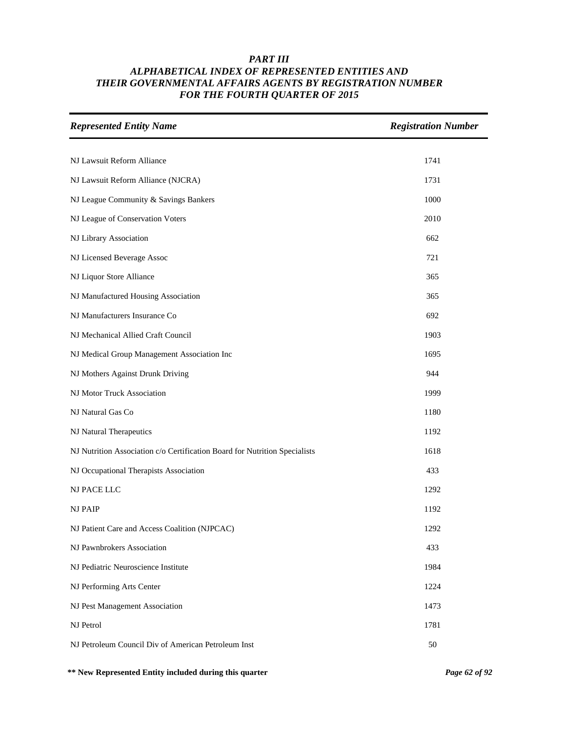| <b>Represented Entity Name</b>                                             | <b>Registration Number</b> |
|----------------------------------------------------------------------------|----------------------------|
|                                                                            |                            |
| NJ Lawsuit Reform Alliance                                                 | 1741                       |
| NJ Lawsuit Reform Alliance (NJCRA)                                         | 1731                       |
| NJ League Community & Savings Bankers                                      | 1000                       |
| NJ League of Conservation Voters                                           | 2010                       |
| NJ Library Association                                                     | 662                        |
| NJ Licensed Beverage Assoc                                                 | 721                        |
| NJ Liquor Store Alliance                                                   | 365                        |
| NJ Manufactured Housing Association                                        | 365                        |
| NJ Manufacturers Insurance Co                                              | 692                        |
| NJ Mechanical Allied Craft Council                                         | 1903                       |
| NJ Medical Group Management Association Inc                                | 1695                       |
| NJ Mothers Against Drunk Driving                                           | 944                        |
| NJ Motor Truck Association                                                 | 1999                       |
| NJ Natural Gas Co                                                          | 1180                       |
| NJ Natural Therapeutics                                                    | 1192                       |
| NJ Nutrition Association c/o Certification Board for Nutrition Specialists | 1618                       |
| NJ Occupational Therapists Association                                     | 433                        |
| NJ PACE LLC                                                                | 1292                       |
| <b>NJ PAIP</b>                                                             | 1192                       |
| NJ Patient Care and Access Coalition (NJPCAC)                              | 1292                       |
| NJ Pawnbrokers Association                                                 | 433                        |
| NJ Pediatric Neuroscience Institute                                        | 1984                       |
| NJ Performing Arts Center                                                  | 1224                       |
| NJ Pest Management Association                                             | 1473                       |
| NJ Petrol                                                                  | 1781                       |
| NJ Petroleum Council Div of American Petroleum Inst                        | 50                         |

**\*\* New Represented Entity included during this quarter** *Page 62 of 92*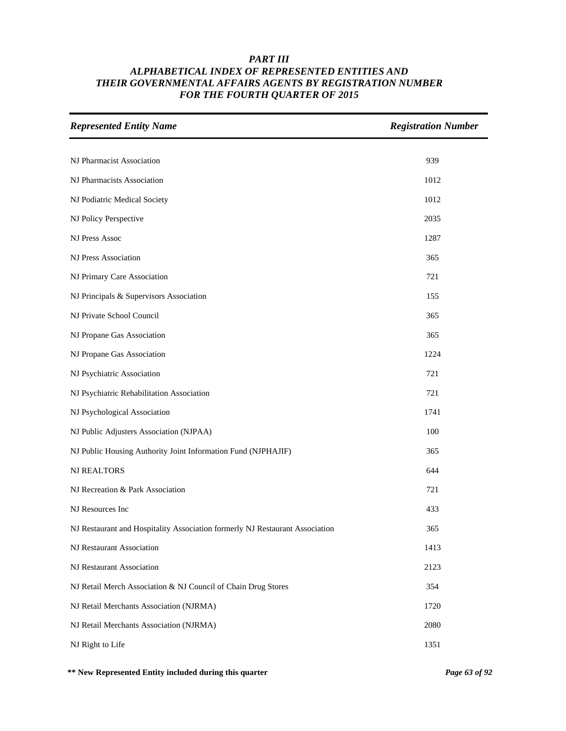| <b>Represented Entity Name</b>                                               | <b>Registration Number</b> |
|------------------------------------------------------------------------------|----------------------------|
|                                                                              |                            |
| NJ Pharmacist Association                                                    | 939                        |
| NJ Pharmacists Association                                                   | 1012                       |
| NJ Podiatric Medical Society                                                 | 1012                       |
| NJ Policy Perspective                                                        | 2035                       |
| <b>NJ Press Assoc</b>                                                        | 1287                       |
| <b>NJ Press Association</b>                                                  | 365                        |
| NJ Primary Care Association                                                  | 721                        |
| NJ Principals & Supervisors Association                                      | 155                        |
| NJ Private School Council                                                    | 365                        |
| NJ Propane Gas Association                                                   | 365                        |
| NJ Propane Gas Association                                                   | 1224                       |
| NJ Psychiatric Association                                                   | 721                        |
| NJ Psychiatric Rehabilitation Association                                    | 721                        |
| NJ Psychological Association                                                 | 1741                       |
| NJ Public Adjusters Association (NJPAA)                                      | 100                        |
| NJ Public Housing Authority Joint Information Fund (NJPHAJIF)                | 365                        |
| <b>NJ REALTORS</b>                                                           | 644                        |
| NJ Recreation & Park Association                                             | 721                        |
| NJ Resources Inc                                                             | 433                        |
| NJ Restaurant and Hospitality Association formerly NJ Restaurant Association | 365                        |
| NJ Restaurant Association                                                    | 1413                       |
| NJ Restaurant Association                                                    | 2123                       |
| NJ Retail Merch Association & NJ Council of Chain Drug Stores                | 354                        |
| NJ Retail Merchants Association (NJRMA)                                      | 1720                       |
| NJ Retail Merchants Association (NJRMA)                                      | 2080                       |
| NJ Right to Life                                                             | 1351                       |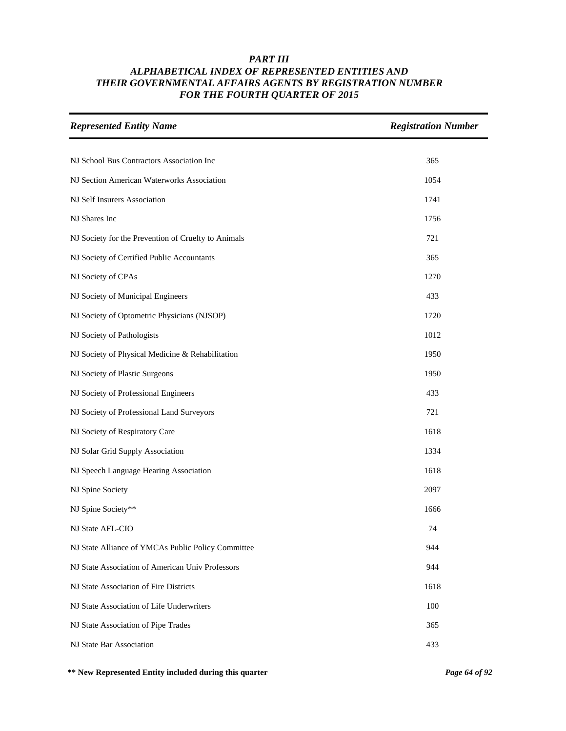| <b>Represented Entity Name</b>                      | <b>Registration Number</b> |
|-----------------------------------------------------|----------------------------|
|                                                     |                            |
| NJ School Bus Contractors Association Inc           | 365                        |
| NJ Section American Waterworks Association          | 1054                       |
| NJ Self Insurers Association                        | 1741                       |
| NJ Shares Inc                                       | 1756                       |
| NJ Society for the Prevention of Cruelty to Animals | 721                        |
| NJ Society of Certified Public Accountants          | 365                        |
| NJ Society of CPAs                                  | 1270                       |
| NJ Society of Municipal Engineers                   | 433                        |
| NJ Society of Optometric Physicians (NJSOP)         | 1720                       |
| NJ Society of Pathologists                          | 1012                       |
| NJ Society of Physical Medicine & Rehabilitation    | 1950                       |
| NJ Society of Plastic Surgeons                      | 1950                       |
| NJ Society of Professional Engineers                | 433                        |
| NJ Society of Professional Land Surveyors           | 721                        |
| NJ Society of Respiratory Care                      | 1618                       |
| NJ Solar Grid Supply Association                    | 1334                       |
| NJ Speech Language Hearing Association              | 1618                       |
| NJ Spine Society                                    | 2097                       |
| NJ Spine Society**                                  | 1666                       |
| NJ State AFL-CIO                                    | 74                         |
| NJ State Alliance of YMCAs Public Policy Committee  | 944                        |
| NJ State Association of American Univ Professors    | 944                        |
| NJ State Association of Fire Districts              | 1618                       |
| NJ State Association of Life Underwriters           | 100                        |
| NJ State Association of Pipe Trades                 | 365                        |
| NJ State Bar Association                            | 433                        |

**\*\* New Represented Entity included during this quarter** *Page 64 of 92*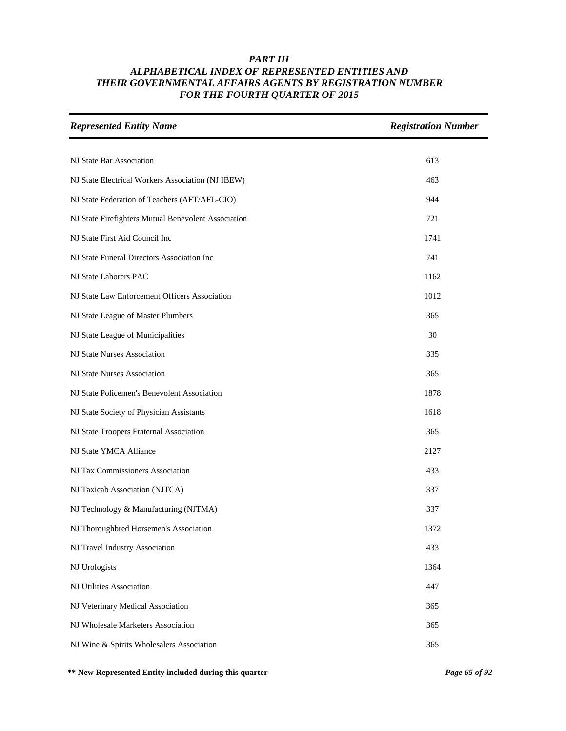| <b>Represented Entity Name</b>                      | <b>Registration Number</b> |
|-----------------------------------------------------|----------------------------|
|                                                     |                            |
| NJ State Bar Association                            | 613                        |
| NJ State Electrical Workers Association (NJ IBEW)   | 463                        |
| NJ State Federation of Teachers (AFT/AFL-CIO)       | 944                        |
| NJ State Firefighters Mutual Benevolent Association | 721                        |
| NJ State First Aid Council Inc                      | 1741                       |
| NJ State Funeral Directors Association Inc          | 741                        |
| NJ State Laborers PAC                               | 1162                       |
| NJ State Law Enforcement Officers Association       | 1012                       |
| NJ State League of Master Plumbers                  | 365                        |
| NJ State League of Municipalities                   | 30                         |
| NJ State Nurses Association                         | 335                        |
| NJ State Nurses Association                         | 365                        |
| NJ State Policemen's Benevolent Association         | 1878                       |
| NJ State Society of Physician Assistants            | 1618                       |
| NJ State Troopers Fraternal Association             | 365                        |
| NJ State YMCA Alliance                              | 2127                       |
| NJ Tax Commissioners Association                    | 433                        |
| NJ Taxicab Association (NJTCA)                      | 337                        |
| NJ Technology & Manufacturing (NJTMA)               | 337                        |
| NJ Thoroughbred Horsemen's Association              | 1372                       |
| NJ Travel Industry Association                      | 433                        |
| NJ Urologists                                       | 1364                       |
| NJ Utilities Association                            | 447                        |
| NJ Veterinary Medical Association                   | 365                        |
| NJ Wholesale Marketers Association                  | 365                        |
| NJ Wine & Spirits Wholesalers Association           | 365                        |

**\*\* New Represented Entity included during this quarter** *Page 65 of 92*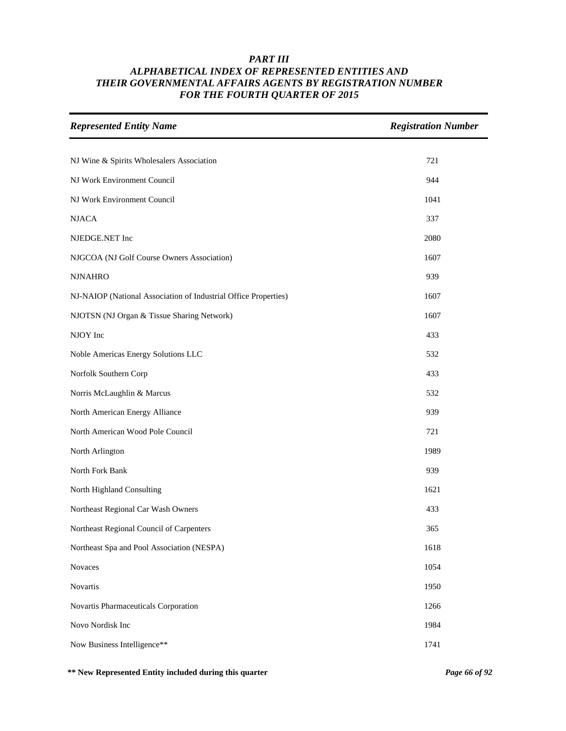| <b>Represented Entity Name</b>                                  | <b>Registration Number</b> |
|-----------------------------------------------------------------|----------------------------|
|                                                                 |                            |
| NJ Wine & Spirits Wholesalers Association                       | 721                        |
| NJ Work Environment Council                                     | 944                        |
| NJ Work Environment Council                                     | 1041                       |
| <b>NJACA</b>                                                    | 337                        |
| NJEDGE.NET Inc                                                  | 2080                       |
| NJGCOA (NJ Golf Course Owners Association)                      | 1607                       |
| <b>NJNAHRO</b>                                                  | 939                        |
| NJ-NAIOP (National Association of Industrial Office Properties) | 1607                       |
| NJOTSN (NJ Organ & Tissue Sharing Network)                      | 1607                       |
| NJOY Inc                                                        | 433                        |
| Noble Americas Energy Solutions LLC                             | 532                        |
| Norfolk Southern Corp                                           | 433                        |
| Norris McLaughlin & Marcus                                      | 532                        |
| North American Energy Alliance                                  | 939                        |
| North American Wood Pole Council                                | 721                        |
| North Arlington                                                 | 1989                       |
| North Fork Bank                                                 | 939                        |
| North Highland Consulting                                       | 1621                       |
| Northeast Regional Car Wash Owners                              | 433                        |
| Northeast Regional Council of Carpenters                        | 365                        |
| Northeast Spa and Pool Association (NESPA)                      | 1618                       |
| Novaces                                                         | 1054                       |
| Novartis                                                        | 1950                       |
| Novartis Pharmaceuticals Corporation                            | 1266                       |
| Novo Nordisk Inc                                                | 1984                       |
| Now Business Intelligence**                                     | 1741                       |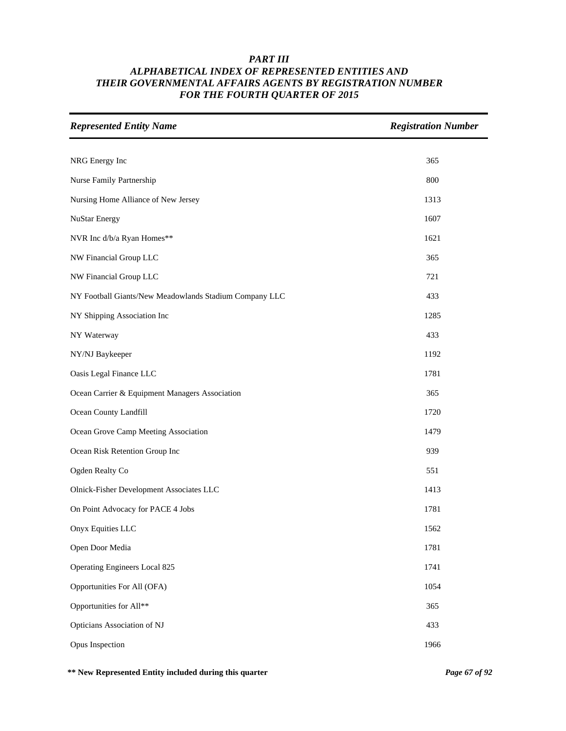| <b>Represented Entity Name</b>                         | <b>Registration Number</b> |
|--------------------------------------------------------|----------------------------|
|                                                        |                            |
| NRG Energy Inc                                         | 365                        |
| Nurse Family Partnership                               | 800                        |
| Nursing Home Alliance of New Jersey                    | 1313                       |
| <b>NuStar Energy</b>                                   | 1607                       |
| NVR Inc d/b/a Ryan Homes**                             | 1621                       |
| NW Financial Group LLC                                 | 365                        |
| NW Financial Group LLC                                 | 721                        |
| NY Football Giants/New Meadowlands Stadium Company LLC | 433                        |
| NY Shipping Association Inc                            | 1285                       |
| NY Waterway                                            | 433                        |
| NY/NJ Baykeeper                                        | 1192                       |
| Oasis Legal Finance LLC                                | 1781                       |
| Ocean Carrier & Equipment Managers Association         | 365                        |
| Ocean County Landfill                                  | 1720                       |
| Ocean Grove Camp Meeting Association                   | 1479                       |
| Ocean Risk Retention Group Inc                         | 939                        |
| Ogden Realty Co                                        | 551                        |
| Olnick-Fisher Development Associates LLC               | 1413                       |
| On Point Advocacy for PACE 4 Jobs                      | 1781                       |
| Onyx Equities LLC                                      | 1562                       |
| Open Door Media                                        | 1781                       |
| Operating Engineers Local 825                          | 1741                       |
| Opportunities For All (OFA)                            | 1054                       |
| Opportunities for All**                                | 365                        |
| Opticians Association of NJ                            | 433                        |
| Opus Inspection                                        | 1966                       |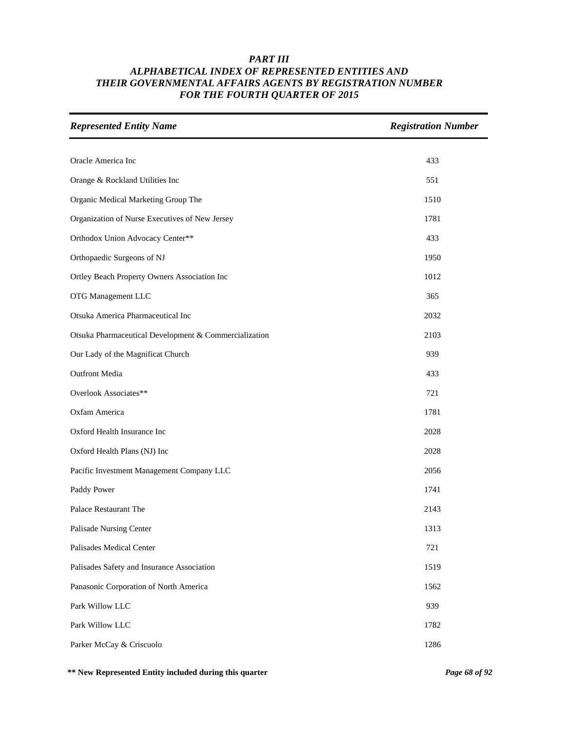| <b>Represented Entity Name</b>                        | <b>Registration Number</b> |
|-------------------------------------------------------|----------------------------|
|                                                       |                            |
| Oracle America Inc                                    | 433                        |
| Orange & Rockland Utilities Inc                       | 551                        |
| Organic Medical Marketing Group The                   | 1510                       |
| Organization of Nurse Executives of New Jersey        | 1781                       |
| Orthodox Union Advocacy Center**                      | 433                        |
| Orthopaedic Surgeons of NJ                            | 1950                       |
| Ortley Beach Property Owners Association Inc          | 1012                       |
| OTG Management LLC                                    | 365                        |
| Otsuka America Pharmaceutical Inc                     | 2032                       |
| Otsuka Pharmaceutical Development & Commercialization | 2103                       |
| Our Lady of the Magnificat Church                     | 939                        |
| <b>Outfront Media</b>                                 | 433                        |
| Overlook Associates**                                 | 721                        |
| Oxfam America                                         | 1781                       |
| Oxford Health Insurance Inc                           | 2028                       |
| Oxford Health Plans (NJ) Inc                          | 2028                       |
| Pacific Investment Management Company LLC             | 2056                       |
| Paddy Power                                           | 1741                       |
| Palace Restaurant The                                 | 2143                       |
| Palisade Nursing Center                               | 1313                       |
| Palisades Medical Center                              | 721                        |
| Palisades Safety and Insurance Association            | 1519                       |
| Panasonic Corporation of North America                | 1562                       |
| Park Willow LLC                                       | 939                        |
| Park Willow LLC                                       | 1782                       |
| Parker McCay & Criscuolo                              | 1286                       |

**\*\* New Represented Entity included during this quarter** *Page 68 of 92*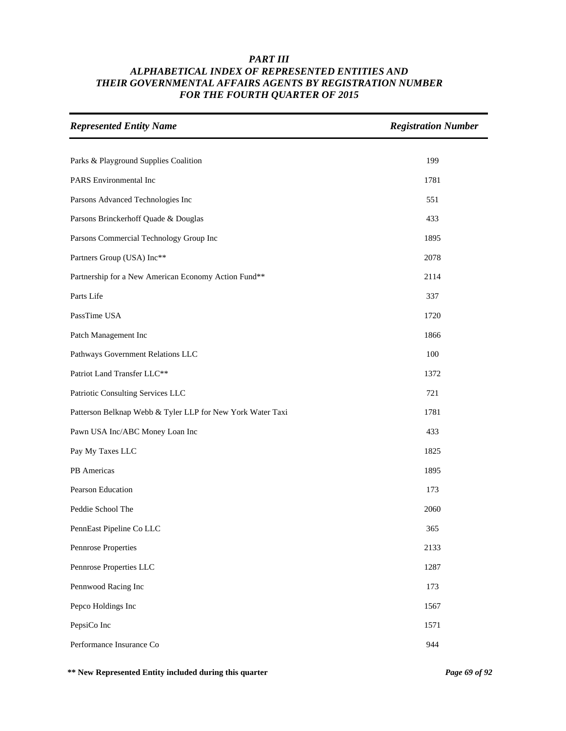| <b>Represented Entity Name</b>                             | <b>Registration Number</b> |
|------------------------------------------------------------|----------------------------|
| Parks & Playground Supplies Coalition                      | 199                        |
| PARS Environmental Inc                                     | 1781                       |
| Parsons Advanced Technologies Inc                          | 551                        |
| Parsons Brinckerhoff Quade & Douglas                       | 433                        |
| Parsons Commercial Technology Group Inc                    | 1895                       |
| Partners Group (USA) Inc**                                 | 2078                       |
| Partnership for a New American Economy Action Fund**       | 2114                       |
| Parts Life                                                 | 337                        |
| PassTime USA                                               | 1720                       |
| Patch Management Inc                                       | 1866                       |
| Pathways Government Relations LLC                          | 100                        |
| Patriot Land Transfer LLC**                                | 1372                       |
| Patriotic Consulting Services LLC                          | 721                        |
| Patterson Belknap Webb & Tyler LLP for New York Water Taxi | 1781                       |
| Pawn USA Inc/ABC Money Loan Inc                            | 433                        |
| Pay My Taxes LLC                                           | 1825                       |
| PB Americas                                                | 1895                       |
| Pearson Education                                          | 173                        |
| Peddie School The                                          | 2060                       |
| PennEast Pipeline Co LLC                                   | 365                        |
| Pennrose Properties                                        | 2133                       |
| Pennrose Properties LLC                                    | 1287                       |
| Pennwood Racing Inc                                        | 173                        |
| Pepco Holdings Inc                                         | 1567                       |
| PepsiCo Inc                                                | 1571                       |
| Performance Insurance Co                                   | 944                        |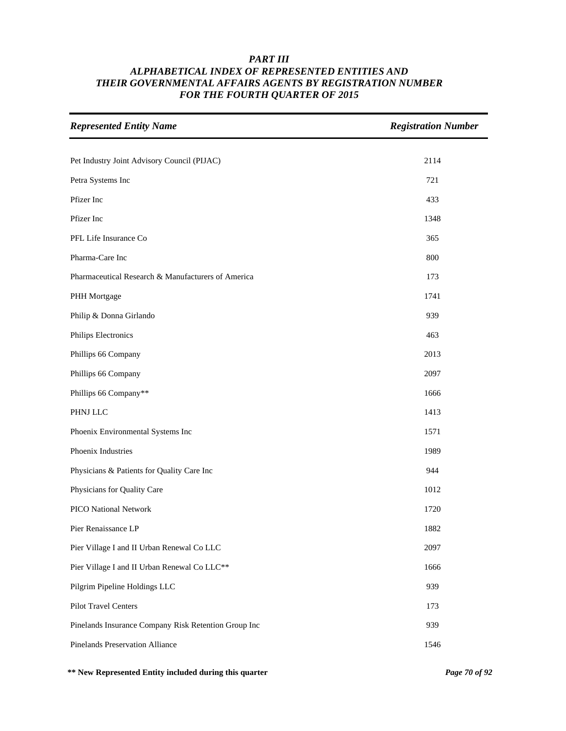| <b>Represented Entity Name</b>                       | <b>Registration Number</b> |
|------------------------------------------------------|----------------------------|
|                                                      |                            |
| Pet Industry Joint Advisory Council (PIJAC)          | 2114                       |
| Petra Systems Inc                                    | 721                        |
| Pfizer Inc                                           | 433                        |
| Pfizer Inc                                           | 1348                       |
| PFL Life Insurance Co                                | 365                        |
| Pharma-Care Inc                                      | 800                        |
| Pharmaceutical Research & Manufacturers of America   | 173                        |
| PHH Mortgage                                         | 1741                       |
| Philip & Donna Girlando                              | 939                        |
| Philips Electronics                                  | 463                        |
| Phillips 66 Company                                  | 2013                       |
| Phillips 66 Company                                  | 2097                       |
| Phillips 66 Company**                                | 1666                       |
| PHNJ LLC                                             | 1413                       |
| Phoenix Environmental Systems Inc                    | 1571                       |
| Phoenix Industries                                   | 1989                       |
| Physicians & Patients for Quality Care Inc           | 944                        |
| Physicians for Quality Care                          | 1012                       |
| PICO National Network                                | 1720                       |
| Pier Renaissance LP                                  | 1882                       |
| Pier Village I and II Urban Renewal Co LLC           | 2097                       |
| Pier Village I and II Urban Renewal Co LLC**         | 1666                       |
| Pilgrim Pipeline Holdings LLC                        | 939                        |
| Pilot Travel Centers                                 | 173                        |
| Pinelands Insurance Company Risk Retention Group Inc | 939                        |
| <b>Pinelands Preservation Alliance</b>               | 1546                       |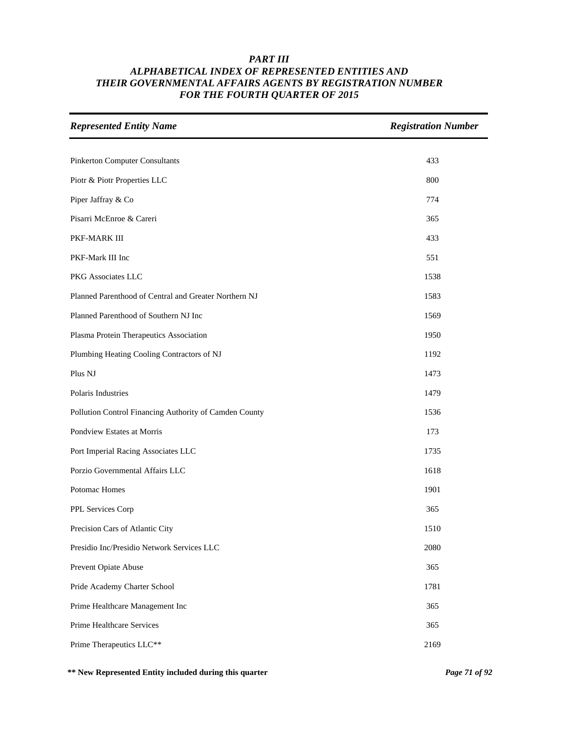| <b>Represented Entity Name</b>                         | <b>Registration Number</b> |
|--------------------------------------------------------|----------------------------|
|                                                        |                            |
| <b>Pinkerton Computer Consultants</b>                  | 433                        |
| Piotr & Piotr Properties LLC                           | 800                        |
| Piper Jaffray & Co                                     | 774                        |
| Pisarri McEnroe & Careri                               | 365                        |
| PKF-MARK III                                           | 433                        |
| PKF-Mark III Inc                                       | 551                        |
| PKG Associates LLC                                     | 1538                       |
| Planned Parenthood of Central and Greater Northern NJ  | 1583                       |
| Planned Parenthood of Southern NJ Inc                  | 1569                       |
| Plasma Protein Therapeutics Association                | 1950                       |
| Plumbing Heating Cooling Contractors of NJ             | 1192                       |
| Plus NJ                                                | 1473                       |
| Polaris Industries                                     | 1479                       |
| Pollution Control Financing Authority of Camden County | 1536                       |
| Pondview Estates at Morris                             | 173                        |
| Port Imperial Racing Associates LLC                    | 1735                       |
| Porzio Governmental Affairs LLC                        | 1618                       |
| Potomac Homes                                          | 1901                       |
| PPL Services Corp                                      | 365                        |
| Precision Cars of Atlantic City                        | 1510                       |
| Presidio Inc/Presidio Network Services LLC             | 2080                       |
| Prevent Opiate Abuse                                   | 365                        |
| Pride Academy Charter School                           | 1781                       |
| Prime Healthcare Management Inc                        | 365                        |
| Prime Healthcare Services                              | 365                        |
| Prime Therapeutics LLC**                               | 2169                       |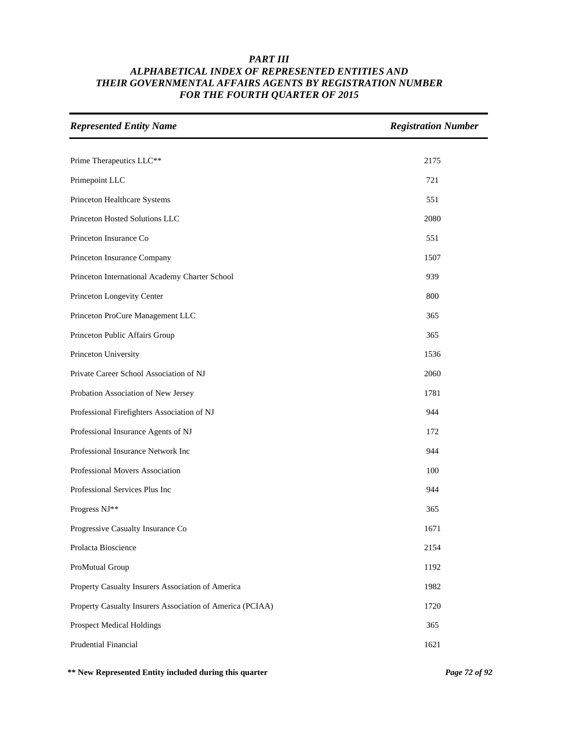| <b>Represented Entity Name</b>                            | <b>Registration Number</b> |
|-----------------------------------------------------------|----------------------------|
|                                                           |                            |
| Prime Therapeutics LLC**                                  | 2175                       |
| Primepoint LLC                                            | 721                        |
| Princeton Healthcare Systems                              | 551                        |
| Princeton Hosted Solutions LLC                            | 2080                       |
| Princeton Insurance Co                                    | 551                        |
| Princeton Insurance Company                               | 1507                       |
| Princeton International Academy Charter School            | 939                        |
| Princeton Longevity Center                                | 800                        |
| Princeton ProCure Management LLC                          | 365                        |
| Princeton Public Affairs Group                            | 365                        |
| Princeton University                                      | 1536                       |
| Private Career School Association of NJ                   | 2060                       |
| Probation Association of New Jersey                       | 1781                       |
| Professional Firefighters Association of NJ               | 944                        |
| Professional Insurance Agents of NJ                       | 172                        |
| Professional Insurance Network Inc                        | 944                        |
| Professional Movers Association                           | 100                        |
| Professional Services Plus Inc                            | 944                        |
| Progress NJ**                                             | 365                        |
| Progressive Casualty Insurance Co                         | 1671                       |
| Prolacta Bioscience                                       | 2154                       |
| ProMutual Group                                           | 1192                       |
| Property Casualty Insurers Association of America         | 1982                       |
| Property Casualty Insurers Association of America (PCIAA) | 1720                       |
| <b>Prospect Medical Holdings</b>                          | 365                        |
| Prudential Financial                                      | 1621                       |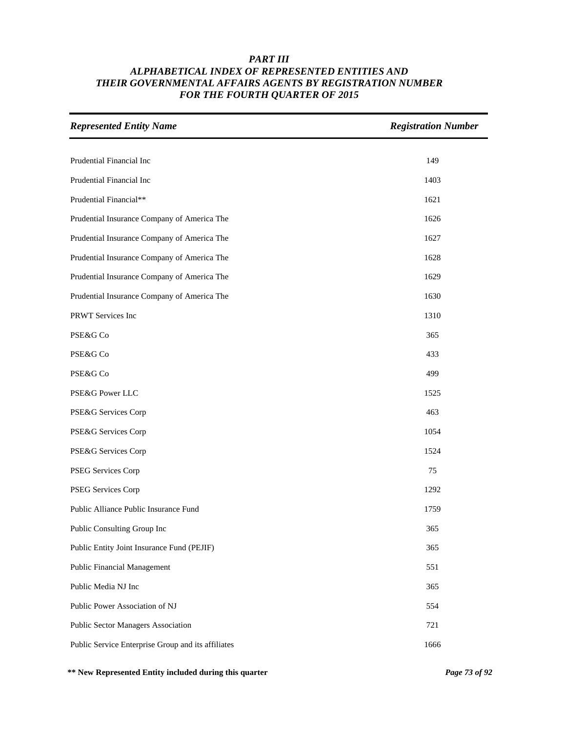| <b>Represented Entity Name</b>                     | <b>Registration Number</b> |
|----------------------------------------------------|----------------------------|
|                                                    |                            |
| Prudential Financial Inc                           | 149                        |
| Prudential Financial Inc                           | 1403                       |
| Prudential Financial**                             | 1621                       |
| Prudential Insurance Company of America The        | 1626                       |
| Prudential Insurance Company of America The        | 1627                       |
| Prudential Insurance Company of America The        | 1628                       |
| Prudential Insurance Company of America The        | 1629                       |
| Prudential Insurance Company of America The        | 1630                       |
| PRWT Services Inc                                  | 1310                       |
| PSE&G Co                                           | 365                        |
| PSE&G Co                                           | 433                        |
| PSE&G Co                                           | 499                        |
| PSE&G Power LLC                                    | 1525                       |
| PSE&G Services Corp                                | 463                        |
| PSE&G Services Corp                                | 1054                       |
| PSE&G Services Corp                                | 1524                       |
| PSEG Services Corp                                 | 75                         |
| PSEG Services Corp                                 | 1292                       |
| Public Alliance Public Insurance Fund              | 1759                       |
| Public Consulting Group Inc                        | 365                        |
| Public Entity Joint Insurance Fund (PEJIF)         | 365                        |
| <b>Public Financial Management</b>                 | 551                        |
| Public Media NJ Inc                                | 365                        |
| Public Power Association of NJ                     | 554                        |
| Public Sector Managers Association                 | 721                        |
| Public Service Enterprise Group and its affiliates | 1666                       |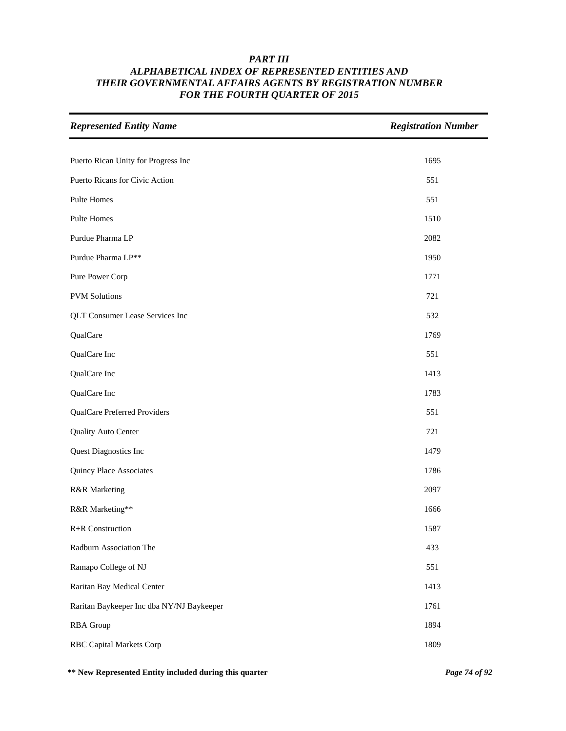| <b>Represented Entity Name</b>            | <b>Registration Number</b> |
|-------------------------------------------|----------------------------|
|                                           |                            |
| Puerto Rican Unity for Progress Inc       | 1695                       |
| Puerto Ricans for Civic Action            | 551                        |
| Pulte Homes                               | 551                        |
| Pulte Homes                               | 1510                       |
| Purdue Pharma LP                          | 2082                       |
| Purdue Pharma LP**                        | 1950                       |
| Pure Power Corp                           | 1771                       |
| <b>PVM</b> Solutions                      | 721                        |
| <b>QLT Consumer Lease Services Inc</b>    | 532                        |
| QualCare                                  | 1769                       |
| QualCare Inc                              | 551                        |
| QualCare Inc                              | 1413                       |
| QualCare Inc                              | 1783                       |
| QualCare Preferred Providers              | 551                        |
| Quality Auto Center                       | 721                        |
| Quest Diagnostics Inc                     | 1479                       |
| Quincy Place Associates                   | 1786                       |
| R&R Marketing                             | 2097                       |
| R&R Marketing**                           | 1666                       |
| R+R Construction                          | 1587                       |
| Radburn Association The                   | 433                        |
| Ramapo College of NJ                      | 551                        |
| Raritan Bay Medical Center                | 1413                       |
| Raritan Baykeeper Inc dba NY/NJ Baykeeper | 1761                       |
| <b>RBA</b> Group                          | 1894                       |
| <b>RBC Capital Markets Corp</b>           | 1809                       |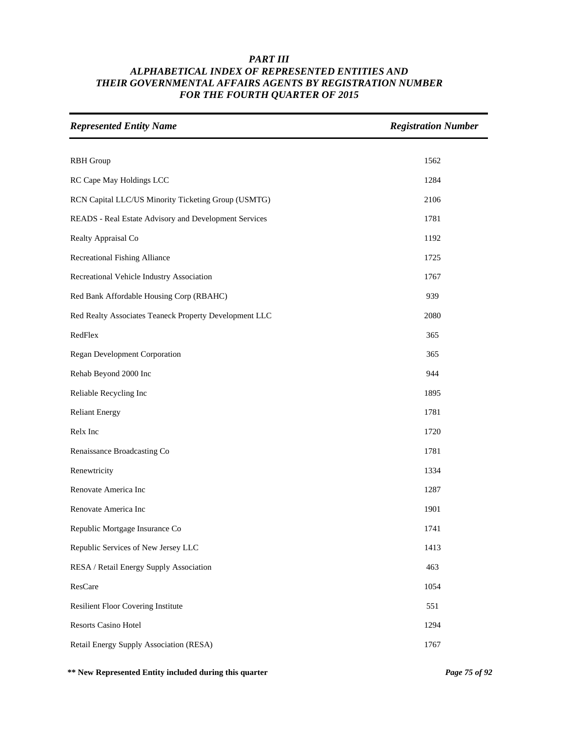| <b>Represented Entity Name</b>                         | <b>Registration Number</b> |
|--------------------------------------------------------|----------------------------|
|                                                        |                            |
| <b>RBH</b> Group                                       | 1562                       |
| RC Cape May Holdings LCC                               | 1284                       |
| RCN Capital LLC/US Minority Ticketing Group (USMTG)    | 2106                       |
| READS - Real Estate Advisory and Development Services  | 1781                       |
| Realty Appraisal Co                                    | 1192                       |
| Recreational Fishing Alliance                          | 1725                       |
| Recreational Vehicle Industry Association              | 1767                       |
| Red Bank Affordable Housing Corp (RBAHC)               | 939                        |
| Red Realty Associates Teaneck Property Development LLC | 2080                       |
| RedFlex                                                | 365                        |
| Regan Development Corporation                          | 365                        |
| Rehab Beyond 2000 Inc                                  | 944                        |
| Reliable Recycling Inc                                 | 1895                       |
| <b>Reliant Energy</b>                                  | 1781                       |
| Relx Inc                                               | 1720                       |
| Renaissance Broadcasting Co                            | 1781                       |
| Renewtricity                                           | 1334                       |
| Renovate America Inc                                   | 1287                       |
| Renovate America Inc                                   | 1901                       |
| Republic Mortgage Insurance Co                         | 1741                       |
| Republic Services of New Jersey LLC                    | 1413                       |
| RESA / Retail Energy Supply Association                | 463                        |
| ResCare                                                | 1054                       |
| <b>Resilient Floor Covering Institute</b>              | 551                        |
| Resorts Casino Hotel                                   | 1294                       |
| Retail Energy Supply Association (RESA)                | 1767                       |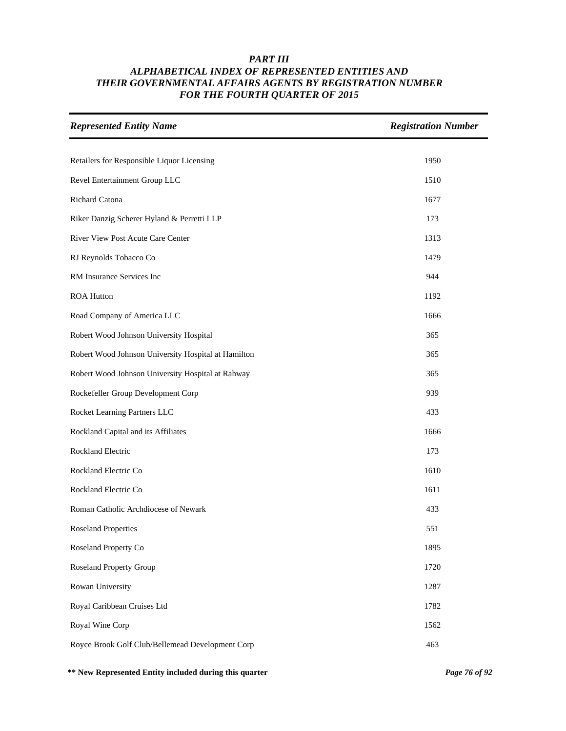| <b>Represented Entity Name</b>                      | <b>Registration Number</b> |
|-----------------------------------------------------|----------------------------|
|                                                     |                            |
| Retailers for Responsible Liquor Licensing          | 1950                       |
| Revel Entertainment Group LLC                       | 1510                       |
| Richard Catona                                      | 1677                       |
| Riker Danzig Scherer Hyland & Perretti LLP          | 173                        |
| River View Post Acute Care Center                   | 1313                       |
| RJ Reynolds Tobacco Co                              | 1479                       |
| RM Insurance Services Inc                           | 944                        |
| <b>ROA Hutton</b>                                   | 1192                       |
| Road Company of America LLC                         | 1666                       |
| Robert Wood Johnson University Hospital             | 365                        |
| Robert Wood Johnson University Hospital at Hamilton | 365                        |
| Robert Wood Johnson University Hospital at Rahway   | 365                        |
| Rockefeller Group Development Corp                  | 939                        |
| Rocket Learning Partners LLC                        | 433                        |
| Rockland Capital and its Affiliates                 | 1666                       |
| Rockland Electric                                   | 173                        |
| Rockland Electric Co                                | 1610                       |
| Rockland Electric Co                                | 1611                       |
| Roman Catholic Archdiocese of Newark                | 433                        |
| <b>Roseland Properties</b>                          | 551                        |
| Roseland Property Co                                | 1895                       |
| <b>Roseland Property Group</b>                      | 1720                       |
| Rowan University                                    | 1287                       |
| Royal Caribbean Cruises Ltd                         | 1782                       |
| Royal Wine Corp                                     | 1562                       |
| Royce Brook Golf Club/Bellemead Development Corp    | 463                        |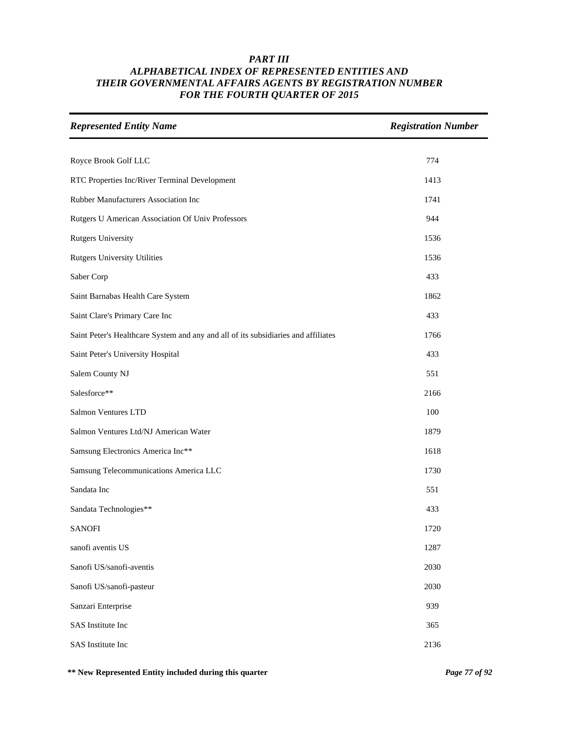| <b>Represented Entity Name</b>                                                     | <b>Registration Number</b> |
|------------------------------------------------------------------------------------|----------------------------|
| Royce Brook Golf LLC                                                               | 774                        |
| RTC Properties Inc/River Terminal Development                                      | 1413                       |
| Rubber Manufacturers Association Inc                                               | 1741                       |
| Rutgers U American Association Of Univ Professors                                  | 944                        |
| <b>Rutgers University</b>                                                          | 1536                       |
| <b>Rutgers University Utilities</b>                                                | 1536                       |
| Saber Corp                                                                         | 433                        |
| Saint Barnabas Health Care System                                                  | 1862                       |
| Saint Clare's Primary Care Inc                                                     | 433                        |
| Saint Peter's Healthcare System and any and all of its subsidiaries and affiliates | 1766                       |
| Saint Peter's University Hospital                                                  | 433                        |
| Salem County NJ                                                                    | 551                        |
| Salesforce**                                                                       | 2166                       |
| Salmon Ventures LTD                                                                | 100                        |
| Salmon Ventures Ltd/NJ American Water                                              | 1879                       |
| Samsung Electronics America Inc**                                                  | 1618                       |
| Samsung Telecommunications America LLC                                             | 1730                       |
| Sandata Inc                                                                        | 551                        |
| Sandata Technologies**                                                             | 433                        |
| <b>SANOFI</b>                                                                      | 1720                       |
| sanofi aventis US                                                                  | 1287                       |
| Sanofi US/sanofi-aventis                                                           | 2030                       |
| Sanofi US/sanofi-pasteur                                                           | 2030                       |
| Sanzari Enterprise                                                                 | 939                        |
| SAS Institute Inc                                                                  | 365                        |
| SAS Institute Inc                                                                  | 2136                       |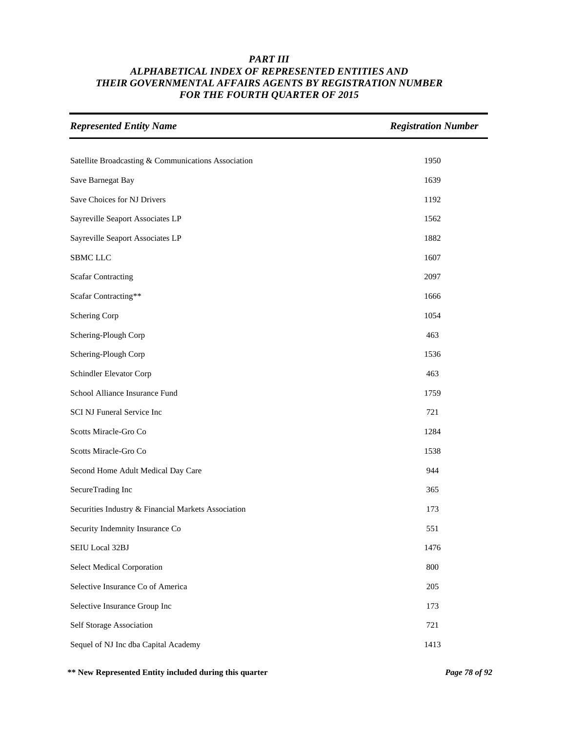| <b>Represented Entity Name</b>                      | <b>Registration Number</b> |
|-----------------------------------------------------|----------------------------|
|                                                     |                            |
| Satellite Broadcasting & Communications Association | 1950                       |
| Save Barnegat Bay                                   | 1639                       |
| Save Choices for NJ Drivers                         | 1192                       |
| Sayreville Seaport Associates LP                    | 1562                       |
| Sayreville Seaport Associates LP                    | 1882                       |
| <b>SBMC LLC</b>                                     | 1607                       |
| <b>Scafar Contracting</b>                           | 2097                       |
| Scafar Contracting**                                | 1666                       |
| Schering Corp                                       | 1054                       |
| Schering-Plough Corp                                | 463                        |
| Schering-Plough Corp                                | 1536                       |
| Schindler Elevator Corp                             | 463                        |
| School Alliance Insurance Fund                      | 1759                       |
| SCI NJ Funeral Service Inc                          | 721                        |
| Scotts Miracle-Gro Co                               | 1284                       |
| Scotts Miracle-Gro Co                               | 1538                       |
| Second Home Adult Medical Day Care                  | 944                        |
| SecureTrading Inc                                   | 365                        |
| Securities Industry & Financial Markets Association | 173                        |
| Security Indemnity Insurance Co                     | 551                        |
| SEIU Local 32BJ                                     | 1476                       |
| Select Medical Corporation                          | 800                        |
| Selective Insurance Co of America                   | 205                        |
| Selective Insurance Group Inc                       | 173                        |
| Self Storage Association                            | 721                        |
| Sequel of NJ Inc dba Capital Academy                | 1413                       |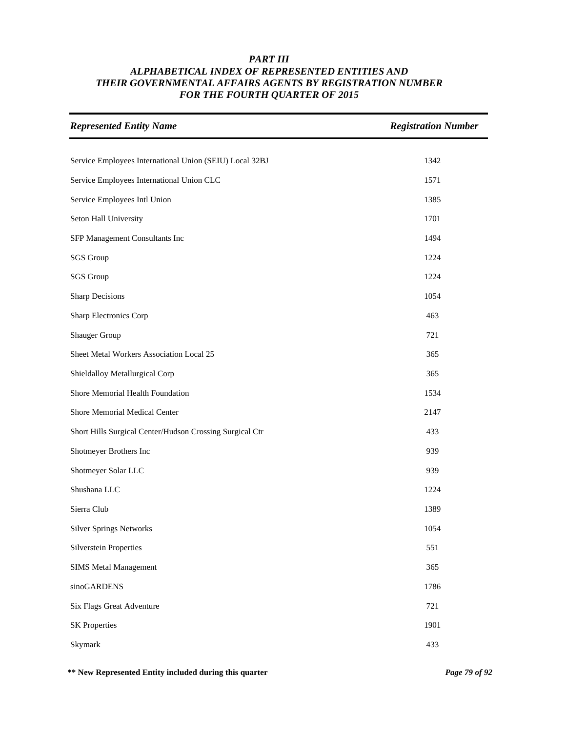| <b>Represented Entity Name</b>                           | <b>Registration Number</b> |
|----------------------------------------------------------|----------------------------|
| Service Employees International Union (SEIU) Local 32BJ  | 1342                       |
| Service Employees International Union CLC                | 1571                       |
| Service Employees Intl Union                             | 1385                       |
| Seton Hall University                                    | 1701                       |
| SFP Management Consultants Inc                           | 1494                       |
| <b>SGS</b> Group                                         | 1224                       |
| <b>SGS</b> Group                                         | 1224                       |
| <b>Sharp Decisions</b>                                   | 1054                       |
| Sharp Electronics Corp                                   | 463                        |
| Shauger Group                                            | 721                        |
| Sheet Metal Workers Association Local 25                 | 365                        |
| Shieldalloy Metallurgical Corp                           | 365                        |
| Shore Memorial Health Foundation                         | 1534                       |
| Shore Memorial Medical Center                            | 2147                       |
| Short Hills Surgical Center/Hudson Crossing Surgical Ctr | 433                        |
| Shotmeyer Brothers Inc                                   | 939                        |
| Shotmeyer Solar LLC                                      | 939                        |
| Shushana LLC                                             | 1224                       |
| Sierra Club                                              | 1389                       |
| <b>Silver Springs Networks</b>                           | 1054                       |
| <b>Silverstein Properties</b>                            | 551                        |
| <b>SIMS Metal Management</b>                             | 365                        |
| sinoGARDENS                                              | 1786                       |
| Six Flags Great Adventure                                | 721                        |
| <b>SK Properties</b>                                     | 1901                       |
| Skymark                                                  | 433                        |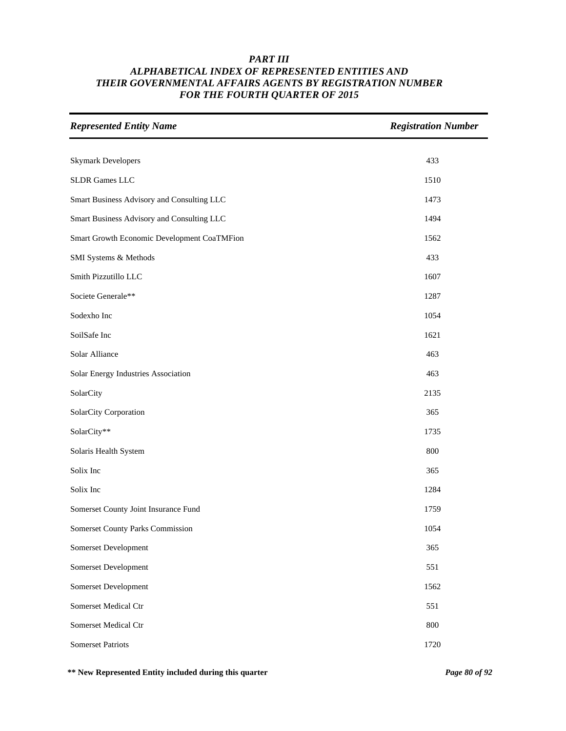| <b>Represented Entity Name</b>              | <b>Registration Number</b> |
|---------------------------------------------|----------------------------|
|                                             |                            |
| <b>Skymark Developers</b>                   | 433                        |
| <b>SLDR</b> Games LLC                       | 1510                       |
| Smart Business Advisory and Consulting LLC  | 1473                       |
| Smart Business Advisory and Consulting LLC  | 1494                       |
| Smart Growth Economic Development CoaTMFion | 1562                       |
| SMI Systems & Methods                       | 433                        |
| Smith Pizzutillo LLC                        | 1607                       |
| Societe Generale**                          | 1287                       |
| Sodexho Inc                                 | 1054                       |
| SoilSafe Inc                                | 1621                       |
| Solar Alliance                              | 463                        |
| Solar Energy Industries Association         | 463                        |
| SolarCity                                   | 2135                       |
| SolarCity Corporation                       | 365                        |
| SolarCity**                                 | 1735                       |
| Solaris Health System                       | 800                        |
| Solix Inc                                   | 365                        |
| Solix Inc                                   | 1284                       |
| Somerset County Joint Insurance Fund        | 1759                       |
| Somerset County Parks Commission            | 1054                       |
| Somerset Development                        | 365                        |
| Somerset Development                        | 551                        |
| Somerset Development                        | 1562                       |
| Somerset Medical Ctr                        | 551                        |
| Somerset Medical Ctr                        | 800                        |
| <b>Somerset Patriots</b>                    | 1720                       |

**\*\* New Represented Entity included during this quarter** *Page 80 of 92*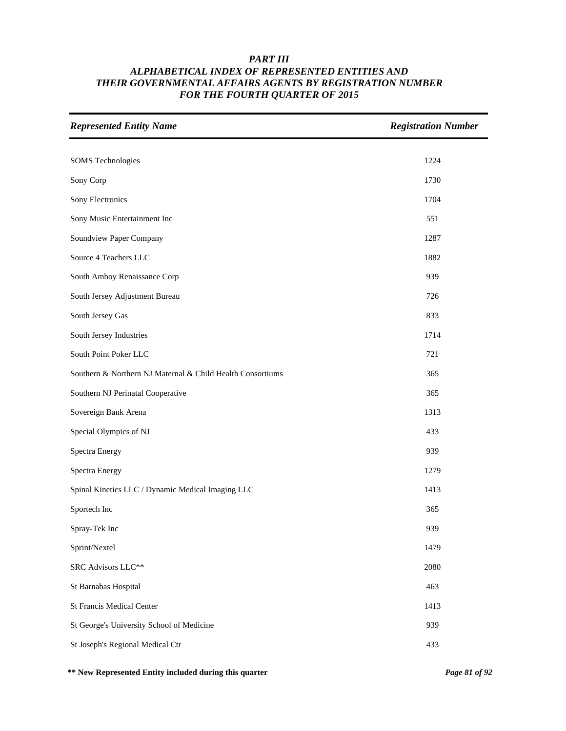| <b>Represented Entity Name</b>                             | <b>Registration Number</b> |
|------------------------------------------------------------|----------------------------|
|                                                            |                            |
| <b>SOMS</b> Technologies                                   | 1224                       |
| Sony Corp                                                  | 1730                       |
| Sony Electronics                                           | 1704                       |
| Sony Music Entertainment Inc                               | 551                        |
| Soundview Paper Company                                    | 1287                       |
| Source 4 Teachers LLC                                      | 1882                       |
| South Amboy Renaissance Corp                               | 939                        |
| South Jersey Adjustment Bureau                             | 726                        |
| South Jersey Gas                                           | 833                        |
| South Jersey Industries                                    | 1714                       |
| South Point Poker LLC                                      | 721                        |
| Southern & Northern NJ Maternal & Child Health Consortiums | 365                        |
| Southern NJ Perinatal Cooperative                          | 365                        |
| Sovereign Bank Arena                                       | 1313                       |
| Special Olympics of NJ                                     | 433                        |
| Spectra Energy                                             | 939                        |
| Spectra Energy                                             | 1279                       |
| Spinal Kinetics LLC / Dynamic Medical Imaging LLC          | 1413                       |
| Sportech Inc                                               | 365                        |
| Spray-Tek Inc                                              | 939                        |
| Sprint/Nextel                                              | 1479                       |
| SRC Advisors LLC**                                         | 2080                       |
| St Barnabas Hospital                                       | 463                        |
| <b>St Francis Medical Center</b>                           | 1413                       |
| St George's University School of Medicine                  | 939                        |
| St Joseph's Regional Medical Ctr                           | 433                        |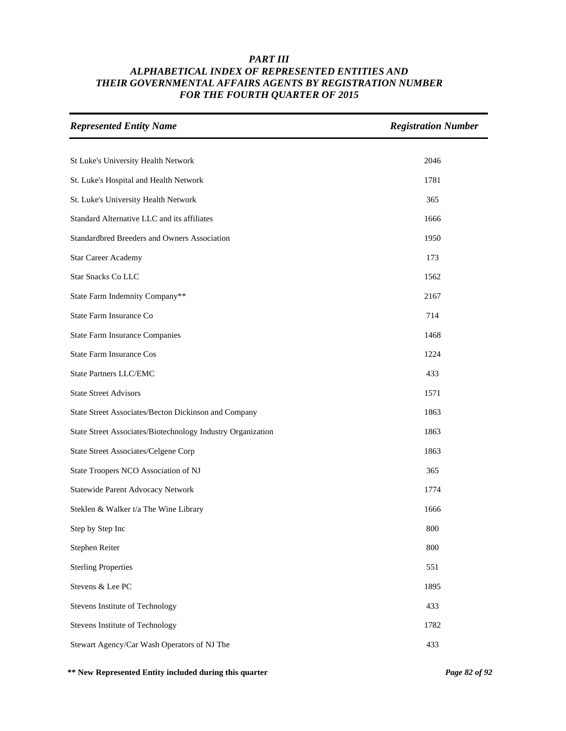| <b>Represented Entity Name</b>                              | <b>Registration Number</b> |
|-------------------------------------------------------------|----------------------------|
|                                                             |                            |
| St Luke's University Health Network                         | 2046                       |
| St. Luke's Hospital and Health Network                      | 1781                       |
| St. Luke's University Health Network                        | 365                        |
| Standard Alternative LLC and its affiliates                 | 1666                       |
| Standardbred Breeders and Owners Association                | 1950                       |
| Star Career Academy                                         | 173                        |
| <b>Star Snacks Co LLC</b>                                   | 1562                       |
| State Farm Indemnity Company**                              | 2167                       |
| State Farm Insurance Co                                     | 714                        |
| <b>State Farm Insurance Companies</b>                       | 1468                       |
| <b>State Farm Insurance Cos</b>                             | 1224                       |
| <b>State Partners LLC/EMC</b>                               | 433                        |
| <b>State Street Advisors</b>                                | 1571                       |
| State Street Associates/Becton Dickinson and Company        | 1863                       |
| State Street Associates/Biotechnology Industry Organization | 1863                       |
| State Street Associates/Celgene Corp                        | 1863                       |
| State Troopers NCO Association of NJ                        | 365                        |
| Statewide Parent Advocacy Network                           | 1774                       |
| Steklen & Walker t/a The Wine Library                       | 1666                       |
| Step by Step Inc                                            | 800                        |
| Stephen Reiter                                              | 800                        |
| <b>Sterling Properties</b>                                  | 551                        |
| Stevens & Lee PC                                            | 1895                       |
| Stevens Institute of Technology                             | 433                        |
| Stevens Institute of Technology                             | 1782                       |
| Stewart Agency/Car Wash Operators of NJ The                 | 433                        |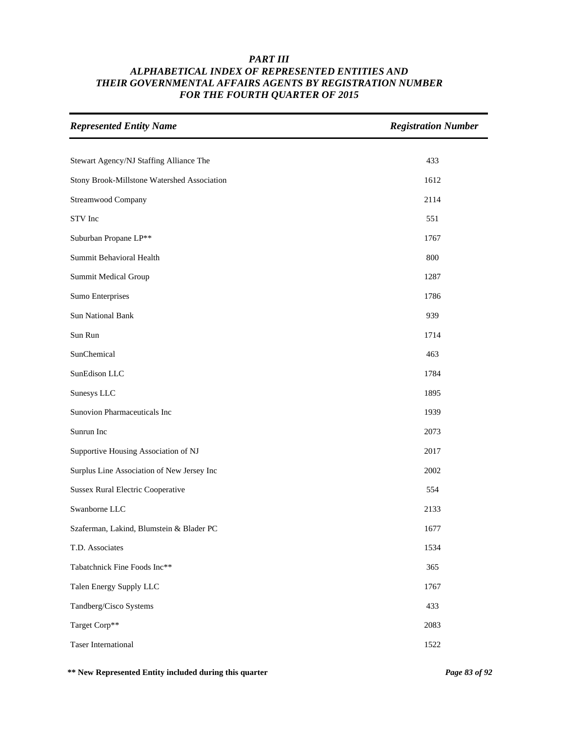| <b>Represented Entity Name</b>              | <b>Registration Number</b> |
|---------------------------------------------|----------------------------|
|                                             |                            |
| Stewart Agency/NJ Staffing Alliance The     | 433                        |
| Stony Brook-Millstone Watershed Association | 1612                       |
| Streamwood Company                          | 2114                       |
| STV Inc                                     | 551                        |
| Suburban Propane LP**                       | 1767                       |
| Summit Behavioral Health                    | 800                        |
| Summit Medical Group                        | 1287                       |
| Sumo Enterprises                            | 1786                       |
| <b>Sun National Bank</b>                    | 939                        |
| Sun Run                                     | 1714                       |
| SunChemical                                 | 463                        |
| SunEdison LLC                               | 1784                       |
| Sunesys LLC                                 | 1895                       |
| Sunovion Pharmaceuticals Inc                | 1939                       |
| Sunrun Inc                                  | 2073                       |
| Supportive Housing Association of NJ        | 2017                       |
| Surplus Line Association of New Jersey Inc  | 2002                       |
| <b>Sussex Rural Electric Cooperative</b>    | 554                        |
| Swanborne LLC                               | 2133                       |
| Szaferman, Lakind, Blumstein & Blader PC    | 1677                       |
| T.D. Associates                             | 1534                       |
| Tabatchnick Fine Foods Inc**                | 365                        |
| Talen Energy Supply LLC                     | 1767                       |
| Tandberg/Cisco Systems                      | 433                        |
| Target Corp**                               | 2083                       |
| <b>Taser International</b>                  | 1522                       |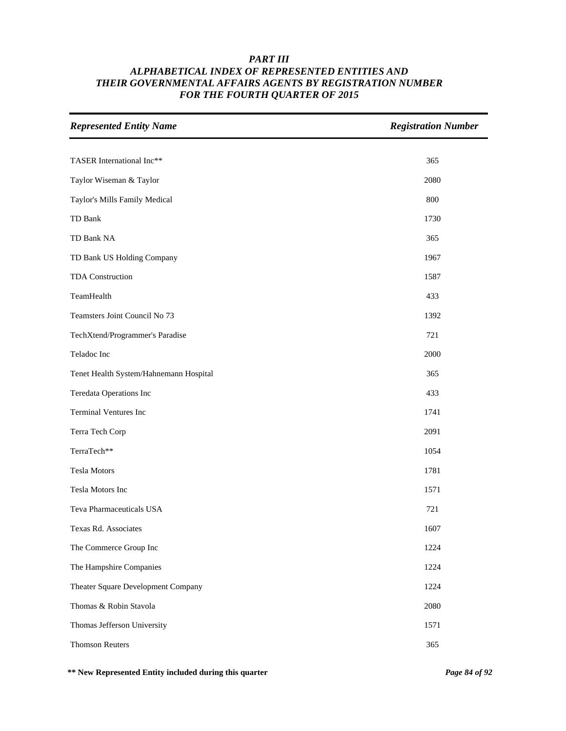| <b>Represented Entity Name</b>         | <b>Registration Number</b> |
|----------------------------------------|----------------------------|
|                                        |                            |
| TASER International Inc**              | 365                        |
| Taylor Wiseman & Taylor                | 2080                       |
| Taylor's Mills Family Medical          | 800                        |
| TD Bank                                | 1730                       |
| TD Bank NA                             | 365                        |
| TD Bank US Holding Company             | 1967                       |
| TDA Construction                       | 1587                       |
| TeamHealth                             | 433                        |
| Teamsters Joint Council No 73          | 1392                       |
| TechXtend/Programmer's Paradise        | 721                        |
| Teladoc Inc                            | 2000                       |
| Tenet Health System/Hahnemann Hospital | 365                        |
| Teredata Operations Inc                | 433                        |
| <b>Terminal Ventures Inc</b>           | 1741                       |
| Terra Tech Corp                        | 2091                       |
| TerraTech**                            | 1054                       |
| <b>Tesla Motors</b>                    | 1781                       |
| Tesla Motors Inc                       | 1571                       |
| Teva Pharmaceuticals USA               | 721                        |
| Texas Rd. Associates                   | 1607                       |
| The Commerce Group Inc                 | 1224                       |
| The Hampshire Companies                | 1224                       |
| Theater Square Development Company     | 1224                       |
| Thomas & Robin Stavola                 | 2080                       |
| Thomas Jefferson University            | 1571                       |
| <b>Thomson Reuters</b>                 | 365                        |

**\*\* New Represented Entity included during this quarter** *Page 84 of 92*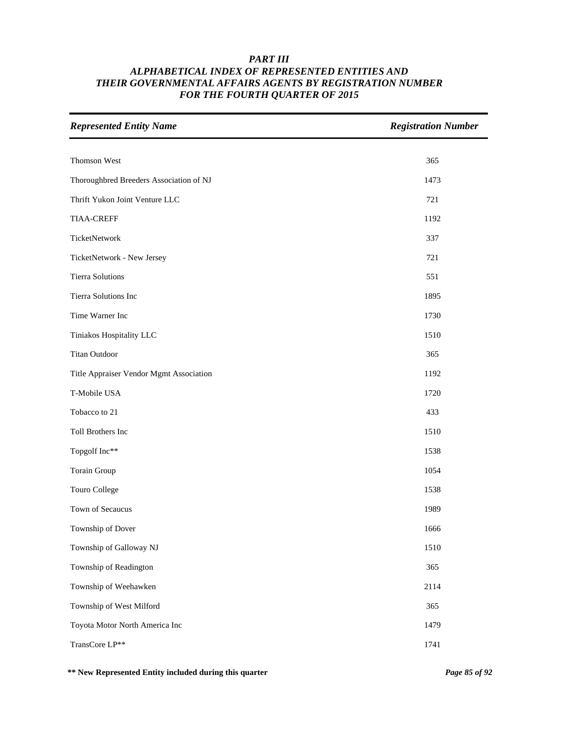| <b>Represented Entity Name</b>          | <b>Registration Number</b> |
|-----------------------------------------|----------------------------|
|                                         |                            |
| Thomson West                            | 365                        |
| Thoroughbred Breeders Association of NJ | 1473                       |
| Thrift Yukon Joint Venture LLC          | 721                        |
| <b>TIAA-CREFF</b>                       | 1192                       |
| TicketNetwork                           | 337                        |
| TicketNetwork - New Jersey              | 721                        |
| <b>Tierra Solutions</b>                 | 551                        |
| Tierra Solutions Inc                    | 1895                       |
| Time Warner Inc                         | 1730                       |
| Tiniakos Hospitality LLC                | 1510                       |
| <b>Titan Outdoor</b>                    | 365                        |
| Title Appraiser Vendor Mgmt Association | 1192                       |
| T-Mobile USA                            | 1720                       |
| Tobacco to 21                           | 433                        |
| Toll Brothers Inc                       | 1510                       |
| Topgolf Inc**                           | 1538                       |
| Torain Group                            | 1054                       |
| Touro College                           | 1538                       |
| Town of Secaucus                        | 1989                       |
| Township of Dover                       | 1666                       |
| Township of Galloway NJ                 | 1510                       |
| Township of Readington                  | 365                        |
| Township of Weehawken                   | 2114                       |
| Township of West Milford                | 365                        |
| Toyota Motor North America Inc          | 1479                       |
| TransCore LP**                          | 1741                       |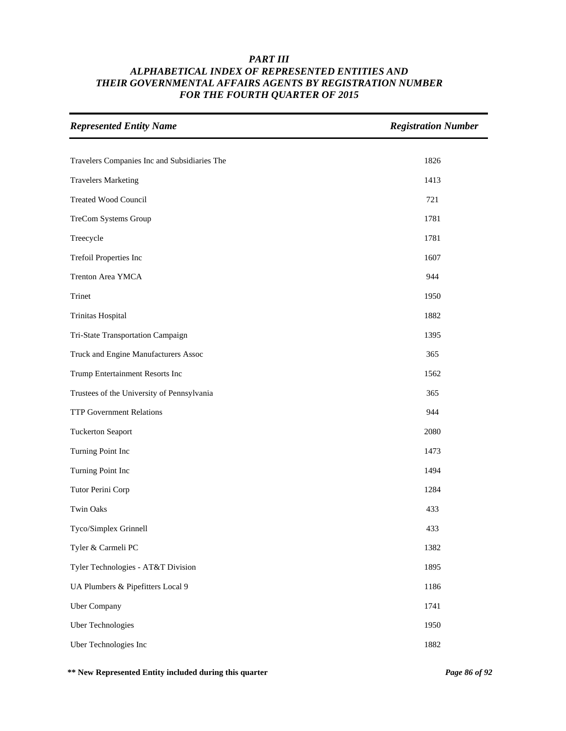| <b>Represented Entity Name</b>               | <b>Registration Number</b> |
|----------------------------------------------|----------------------------|
|                                              | 1826                       |
| Travelers Companies Inc and Subsidiaries The |                            |
| <b>Travelers Marketing</b>                   | 1413                       |
| Treated Wood Council                         | 721                        |
| TreCom Systems Group                         | 1781                       |
| Treecycle                                    | 1781                       |
| Trefoil Properties Inc                       | 1607                       |
| Trenton Area YMCA                            | 944                        |
| Trinet                                       | 1950                       |
| Trinitas Hospital                            | 1882                       |
| Tri-State Transportation Campaign            | 1395                       |
| Truck and Engine Manufacturers Assoc         | 365                        |
| Trump Entertainment Resorts Inc              | 1562                       |
| Trustees of the University of Pennsylvania   | 365                        |
| <b>TTP Government Relations</b>              | 944                        |
| <b>Tuckerton Seaport</b>                     | 2080                       |
| Turning Point Inc                            | 1473                       |
| Turning Point Inc                            | 1494                       |
| Tutor Perini Corp                            | 1284                       |
| <b>Twin Oaks</b>                             | 433                        |
| Tyco/Simplex Grinnell                        | 433                        |
| Tyler & Carmeli PC                           | 1382                       |
| Tyler Technologies - AT&T Division           | 1895                       |
| UA Plumbers & Pipefitters Local 9            | 1186                       |
| Uber Company                                 | 1741                       |
| Uber Technologies                            | 1950                       |
| Uber Technologies Inc                        | 1882                       |

**\*\* New Represented Entity included during this quarter** *Page 86 of 92*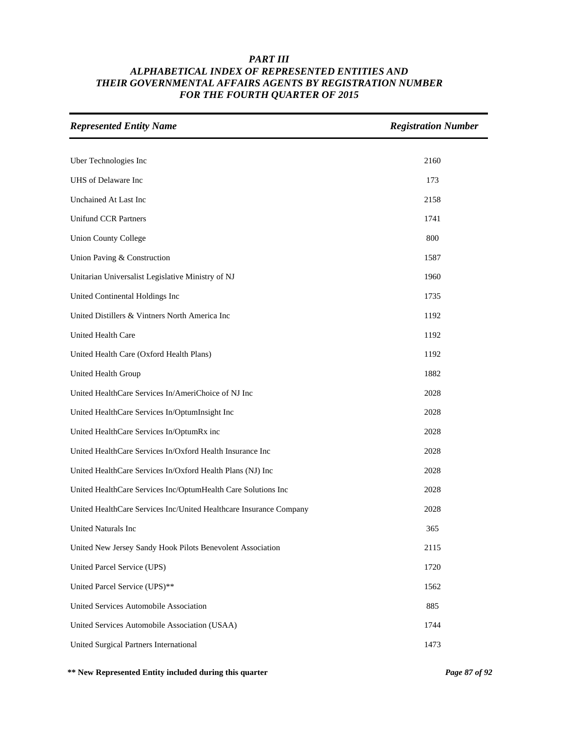| <b>Represented Entity Name</b>                                     | <b>Registration Number</b> |
|--------------------------------------------------------------------|----------------------------|
|                                                                    |                            |
| Uber Technologies Inc                                              | 2160                       |
| UHS of Delaware Inc                                                | 173                        |
| Unchained At Last Inc                                              | 2158                       |
| <b>Unifund CCR Partners</b>                                        | 1741                       |
| <b>Union County College</b>                                        | 800                        |
| Union Paving & Construction                                        | 1587                       |
| Unitarian Universalist Legislative Ministry of NJ                  | 1960                       |
| United Continental Holdings Inc                                    | 1735                       |
| United Distillers & Vintners North America Inc                     | 1192                       |
| <b>United Health Care</b>                                          | 1192                       |
| United Health Care (Oxford Health Plans)                           | 1192                       |
| United Health Group                                                | 1882                       |
| United HealthCare Services In/AmeriChoice of NJ Inc                | 2028                       |
| United HealthCare Services In/OptumInsight Inc                     | 2028                       |
| United HealthCare Services In/OptumRx inc                          | 2028                       |
| United HealthCare Services In/Oxford Health Insurance Inc          | 2028                       |
| United HealthCare Services In/Oxford Health Plans (NJ) Inc         | 2028                       |
| United HealthCare Services Inc/OptumHealth Care Solutions Inc      | 2028                       |
| United HealthCare Services Inc/United Healthcare Insurance Company | 2028                       |
| United Naturals Inc                                                | 365                        |
| United New Jersey Sandy Hook Pilots Benevolent Association         | 2115                       |
| United Parcel Service (UPS)                                        | 1720                       |
| United Parcel Service (UPS)**                                      | 1562                       |
| United Services Automobile Association                             | 885                        |
| United Services Automobile Association (USAA)                      | 1744                       |
| United Surgical Partners International                             | 1473                       |

**\*\* New Represented Entity included during this quarter** *Page 87 of 92*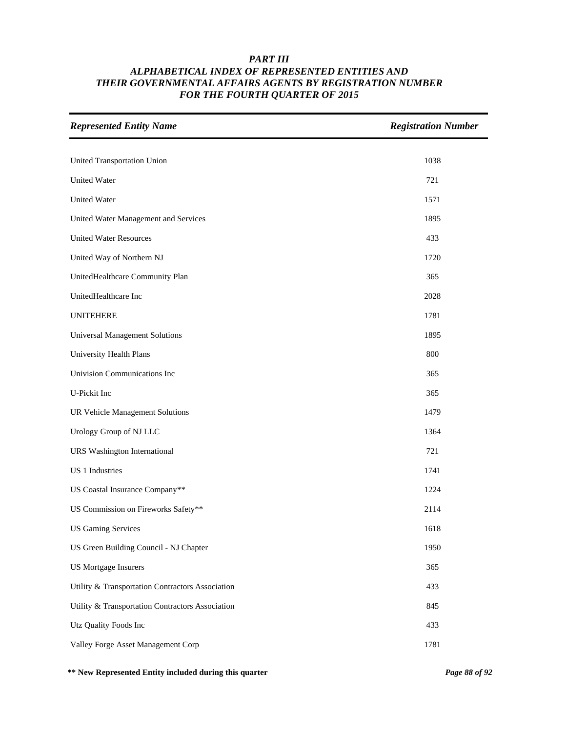| <b>Represented Entity Name</b>                   | <b>Registration Number</b> |
|--------------------------------------------------|----------------------------|
|                                                  |                            |
| United Transportation Union                      | 1038                       |
| <b>United Water</b>                              | 721                        |
| <b>United Water</b>                              | 1571                       |
| United Water Management and Services             | 1895                       |
| <b>United Water Resources</b>                    | 433                        |
| United Way of Northern NJ                        | 1720                       |
| UnitedHealthcare Community Plan                  | 365                        |
| UnitedHealthcare Inc                             | 2028                       |
| <b>UNITEHERE</b>                                 | 1781                       |
| <b>Universal Management Solutions</b>            | 1895                       |
| University Health Plans                          | 800                        |
| Univision Communications Inc                     | 365                        |
| U-Pickit Inc                                     | 365                        |
| <b>UR Vehicle Management Solutions</b>           | 1479                       |
| Urology Group of NJ LLC                          | 1364                       |
| <b>URS</b> Washington International              | 721                        |
| US 1 Industries                                  | 1741                       |
| US Coastal Insurance Company**                   | 1224                       |
| US Commission on Fireworks Safety**              | 2114                       |
| <b>US Gaming Services</b>                        | 1618                       |
| US Green Building Council - NJ Chapter           | 1950                       |
| <b>US Mortgage Insurers</b>                      | 365                        |
| Utility & Transportation Contractors Association | 433                        |
| Utility & Transportation Contractors Association | 845                        |
| Utz Quality Foods Inc                            | 433                        |
| Valley Forge Asset Management Corp               | 1781                       |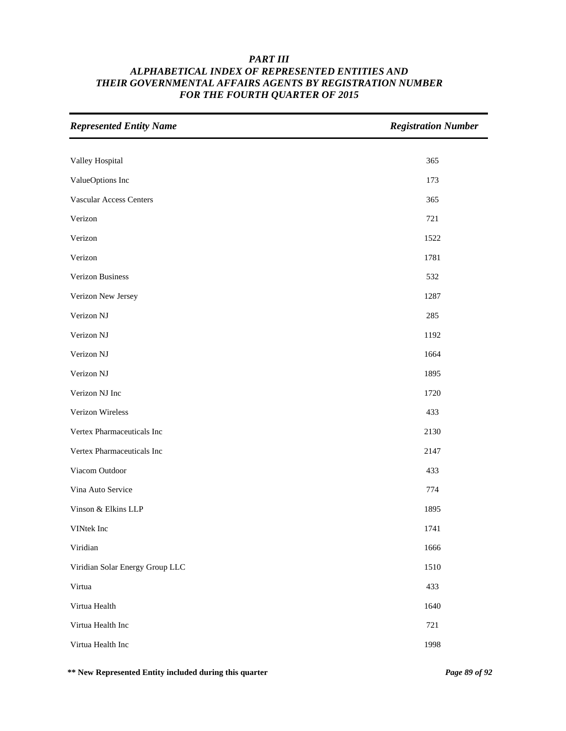| <b>Represented Entity Name</b>  | <b>Registration Number</b> |
|---------------------------------|----------------------------|
|                                 |                            |
| Valley Hospital                 | 365                        |
| ValueOptions Inc                | 173                        |
| <b>Vascular Access Centers</b>  | 365                        |
| Verizon                         | 721                        |
| Verizon                         | 1522                       |
| Verizon                         | 1781                       |
| Verizon Business                | 532                        |
| Verizon New Jersey              | 1287                       |
| Verizon NJ                      | 285                        |
| Verizon NJ                      | 1192                       |
| Verizon NJ                      | 1664                       |
| Verizon NJ                      | 1895                       |
| Verizon NJ Inc                  | 1720                       |
| Verizon Wireless                | 433                        |
| Vertex Pharmaceuticals Inc      | 2130                       |
| Vertex Pharmaceuticals Inc      | 2147                       |
| Viacom Outdoor                  | 433                        |
| Vina Auto Service               | 774                        |
| Vinson & Elkins LLP             | 1895                       |
| VINtek Inc                      | 1741                       |
| Viridian                        | 1666                       |
| Viridian Solar Energy Group LLC | 1510                       |
| Virtua                          | 433                        |
| Virtua Health                   | 1640                       |
| Virtua Health Inc               | 721                        |
| Virtua Health Inc               | 1998                       |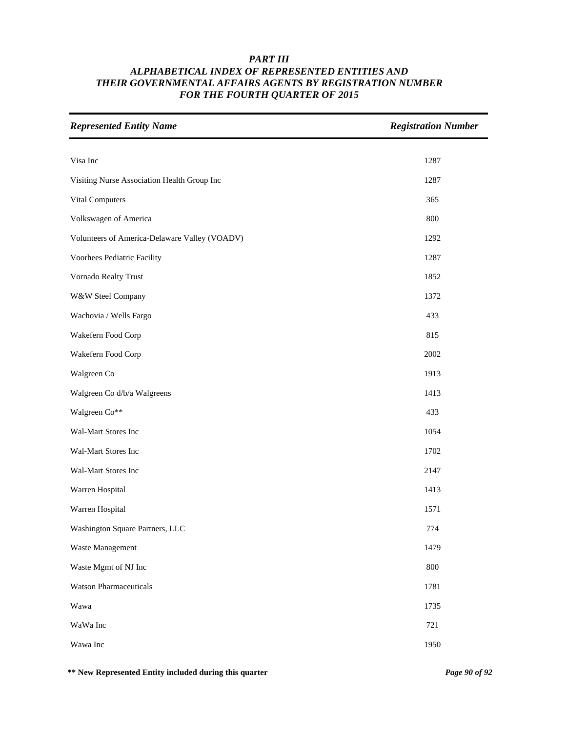| <b>Represented Entity Name</b>                | <b>Registration Number</b> |
|-----------------------------------------------|----------------------------|
|                                               |                            |
| Visa Inc                                      | 1287                       |
| Visiting Nurse Association Health Group Inc   | 1287                       |
| Vital Computers                               | 365                        |
| Volkswagen of America                         | 800                        |
| Volunteers of America-Delaware Valley (VOADV) | 1292                       |
| Voorhees Pediatric Facility                   | 1287                       |
| Vornado Realty Trust                          | 1852                       |
| W&W Steel Company                             | 1372                       |
| Wachovia / Wells Fargo                        | 433                        |
| Wakefern Food Corp                            | 815                        |
| Wakefern Food Corp                            | 2002                       |
| Walgreen Co                                   | 1913                       |
| Walgreen Co d/b/a Walgreens                   | 1413                       |
| Walgreen Co**                                 | 433                        |
| Wal-Mart Stores Inc                           | 1054                       |
| Wal-Mart Stores Inc                           | 1702                       |
| Wal-Mart Stores Inc                           | 2147                       |
| Warren Hospital                               | 1413                       |
| Warren Hospital                               | 1571                       |
| Washington Square Partners, LLC               | 774                        |
| Waste Management                              | 1479                       |
| Waste Mgmt of NJ Inc                          | 800                        |
| <b>Watson Pharmaceuticals</b>                 | 1781                       |
| Wawa                                          | 1735                       |
| WaWa Inc                                      | 721                        |
| Wawa Inc                                      | 1950                       |

**\*\* New Represented Entity included during this quarter** *Page 90 of 92*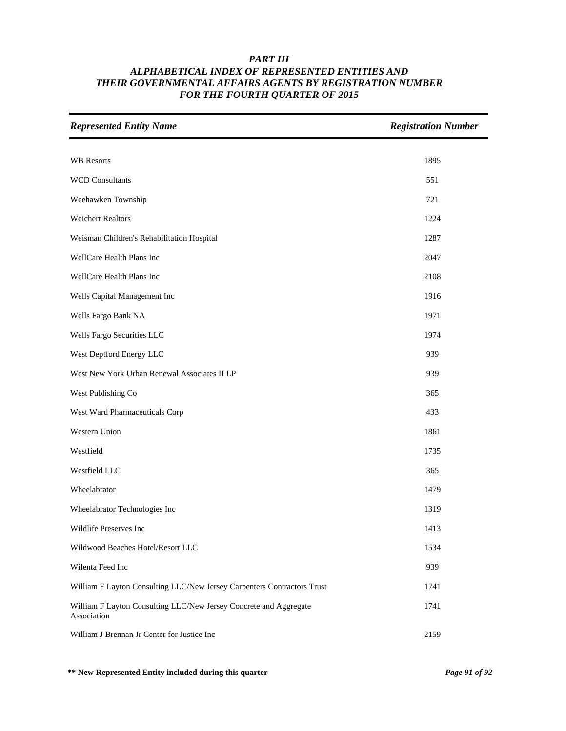| <b>Represented Entity Name</b>                                                   | <b>Registration Number</b> |
|----------------------------------------------------------------------------------|----------------------------|
|                                                                                  |                            |
| <b>WB</b> Resorts                                                                | 1895                       |
| <b>WCD Consultants</b>                                                           | 551                        |
| Weehawken Township                                                               | 721                        |
| <b>Weichert Realtors</b>                                                         | 1224                       |
| Weisman Children's Rehabilitation Hospital                                       | 1287                       |
| WellCare Health Plans Inc                                                        | 2047                       |
| WellCare Health Plans Inc                                                        | 2108                       |
| Wells Capital Management Inc                                                     | 1916                       |
| Wells Fargo Bank NA                                                              | 1971                       |
| Wells Fargo Securities LLC                                                       | 1974                       |
| West Deptford Energy LLC                                                         | 939                        |
| West New York Urban Renewal Associates II LP                                     | 939                        |
| West Publishing Co                                                               | 365                        |
| West Ward Pharmaceuticals Corp                                                   | 433                        |
| Western Union                                                                    | 1861                       |
| Westfield                                                                        | 1735                       |
| Westfield LLC                                                                    | 365                        |
| Wheelabrator                                                                     | 1479                       |
| Wheelabrator Technologies Inc                                                    | 1319                       |
| Wildlife Preserves Inc                                                           | 1413                       |
| Wildwood Beaches Hotel/Resort LLC                                                | 1534                       |
| Wilenta Feed Inc                                                                 | 939                        |
| William F Layton Consulting LLC/New Jersey Carpenters Contractors Trust          | 1741                       |
| William F Layton Consulting LLC/New Jersey Concrete and Aggregate<br>Association | 1741                       |
| William J Brennan Jr Center for Justice Inc                                      | 2159                       |